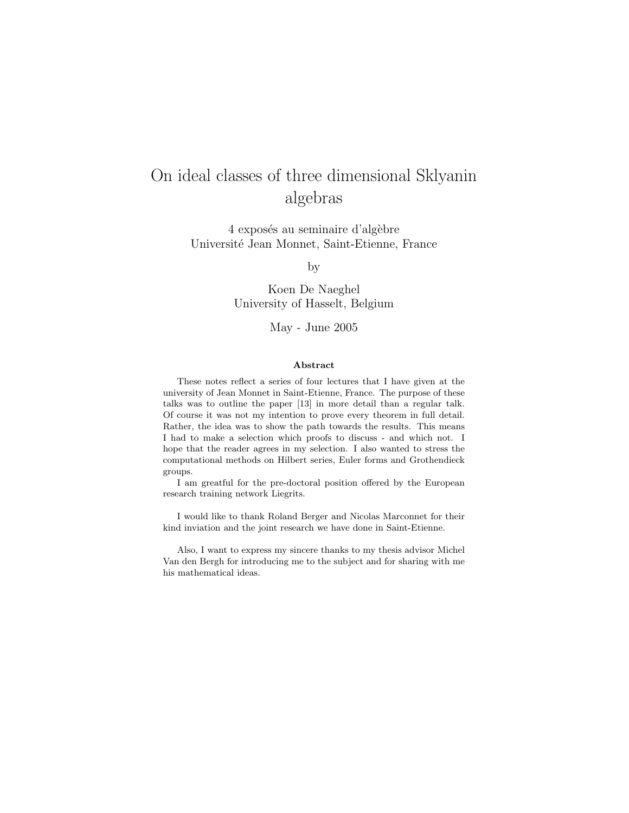# On ideal classes of three dimensional Sklyanin algebras

4 exposés au seminaire d'algèbre Universit´e Jean Monnet, Saint-Etienne, France

by

Koen De Naeghel University of Hasselt, Belgium

May - June 2005

#### Abstract

These notes reflect a series of four lectures that I have given at the university of Jean Monnet in Saint-Etienne, France. The purpose of these talks was to outline the paper [13] in more detail than a regular talk. Of course it was not my intention to prove every theorem in full detail. Rather, the idea was to show the path towards the results. This means I had to make a selection which proofs to discuss - and which not. I hope that the reader agrees in my selection. I also wanted to stress the computational methods on Hilbert series, Euler forms and Grothendieck groups.

I am greatful for the pre-doctoral position offered by the European research training network Liegrits.

I would like to thank Roland Berger and Nicolas Marconnet for their kind inviation and the joint research we have done in Saint-Etienne.

Also, I want to express my sincere thanks to my thesis advisor Michel Van den Bergh for introducing me to the subject and for sharing with me his mathematical ideas.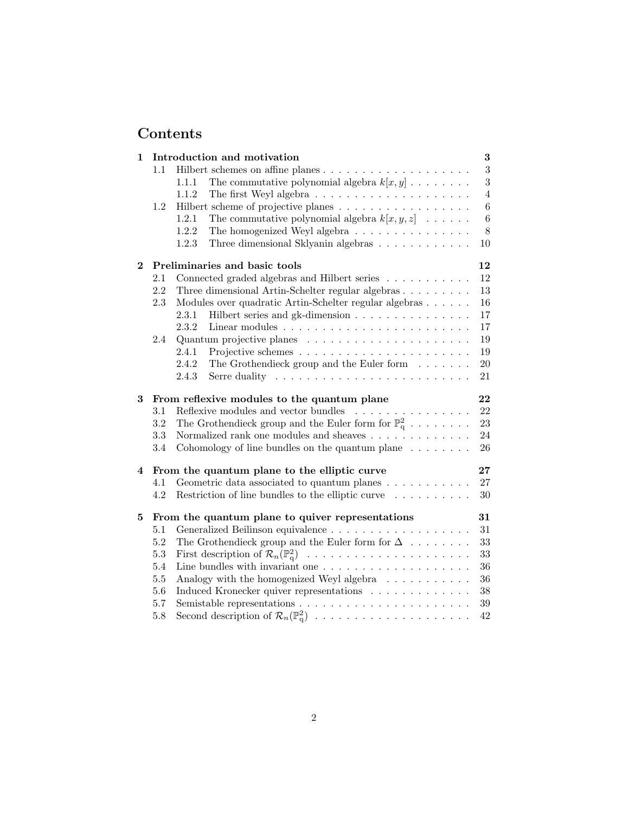# Contents

| 1        | Introduction and motivation |                                                                                  |                 |  |  |  |  |
|----------|-----------------------------|----------------------------------------------------------------------------------|-----------------|--|--|--|--|
|          | 1.1                         |                                                                                  | $\overline{3}$  |  |  |  |  |
|          |                             | The commutative polynomial algebra $k[x, y] \dots \dots \dots$<br>1.1.1          | 3               |  |  |  |  |
|          |                             | 1.1.2<br>The first Weyl algebra $\dots \dots \dots \dots \dots \dots \dots$      | $\overline{4}$  |  |  |  |  |
|          | 1.2                         | Hilbert scheme of projective planes                                              | 6               |  |  |  |  |
|          |                             | 1.2.1<br>The commutative polynomial algebra $k[x, y, z] \dots$ .                 | $6\phantom{.}6$ |  |  |  |  |
|          |                             | The homogenized Weyl algebra<br>1.2.2                                            | 8               |  |  |  |  |
|          |                             | Three dimensional Sklyanin algebras<br>1.2.3                                     | 10              |  |  |  |  |
| $\bf{2}$ |                             | Preliminaries and basic tools                                                    | 12              |  |  |  |  |
|          | 2.1                         | Connected graded algebras and Hilbert series                                     | 12              |  |  |  |  |
|          | 2.2                         | Three dimensional Artin-Schelter regular algebras                                | 13              |  |  |  |  |
|          | 2.3                         | Modules over quadratic Artin-Schelter regular algebras                           | 16              |  |  |  |  |
|          |                             | Hilbert series and gk-dimension<br>2.3.1                                         | 17              |  |  |  |  |
|          |                             | 2.3.2<br>Linear modules $\dots \dots \dots \dots \dots \dots \dots \dots \dots$  | 17              |  |  |  |  |
|          | 2.4                         |                                                                                  | 19              |  |  |  |  |
|          |                             | 2.4.1                                                                            | 19              |  |  |  |  |
|          |                             | 2.4.2<br>The Grothendieck group and the Euler form $\ldots \ldots$               | $20\,$          |  |  |  |  |
|          |                             | 2.4.3<br>Serre duality $\ldots \ldots \ldots \ldots \ldots \ldots \ldots \ldots$ | 21              |  |  |  |  |
|          |                             |                                                                                  |                 |  |  |  |  |
|          |                             |                                                                                  |                 |  |  |  |  |
| 3        |                             | From reflexive modules to the quantum plane                                      | 22              |  |  |  |  |
|          | 3.1                         | Reflexive modules and vector bundles $\ldots \ldots \ldots \ldots \ldots$        | 22              |  |  |  |  |
|          | 3.2                         | The Grothendieck group and the Euler form for $\mathbb{P}^2_q$                   | 23              |  |  |  |  |
|          | 3.3                         | Normalized rank one modules and sheaves $\ldots \ldots \ldots \ldots$            | 24              |  |  |  |  |
|          | 3.4                         | Cohomology of line bundles on the quantum plane $\ldots \ldots$                  | 26              |  |  |  |  |
| 4        |                             | From the quantum plane to the elliptic curve                                     | $27\,$          |  |  |  |  |
|          | 4.1                         | Geometric data associated to quantum planes $\dots \dots \dots$                  | 27              |  |  |  |  |
|          | 4.2                         | Restriction of line bundles to the elliptic curve                                | $30\,$          |  |  |  |  |
| 5        |                             | From the quantum plane to quiver representations                                 | 31              |  |  |  |  |
|          | 5.1                         |                                                                                  | 31              |  |  |  |  |
|          | 5.2                         | The Grothendieck group and the Euler form for $\Delta$                           | 33              |  |  |  |  |
|          | $5.3\,$                     |                                                                                  | 33              |  |  |  |  |
|          | 5.4                         | Line bundles with invariant one $\ldots \ldots \ldots \ldots \ldots \ldots$      | 36              |  |  |  |  |
|          | 5.5                         | Analogy with the homogenized Weyl algebra                                        | 36              |  |  |  |  |
|          | $5.6\,$                     | Induced Kronecker quiver representations                                         | $38\,$          |  |  |  |  |
|          | 5.7                         | Second description of $\mathcal{R}_n(\mathbb{P}_q^2)$                            | $39\,$          |  |  |  |  |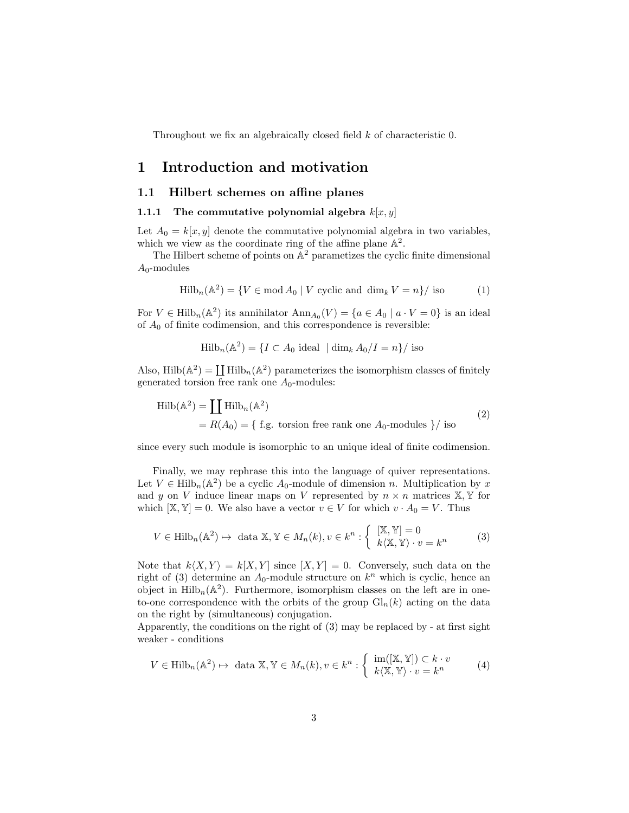Throughout we fix an algebraically closed field k of characteristic 0.

# 1 Introduction and motivation

## 1.1 Hilbert schemes on affine planes

#### 1.1.1 The commutative polynomial algebra  $k[x, y]$

Let  $A_0 = k[x, y]$  denote the commutative polynomial algebra in two variables, which we view as the coordinate ring of the affine plane  $\mathbb{A}^2$ .

The Hilbert scheme of points on  $\mathbb{A}^2$  parametizes the cyclic finite dimensional  $A_0$ -modules

$$
\text{Hilb}_n(\mathbb{A}^2) = \{ V \in \text{mod } A_0 \mid V \text{ cyclic and } \dim_k V = n \} / \text{ iso}
$$
 (1)

For  $V \in \text{Hilb}_n(\mathbb{A}^2)$  its annihilator  $\text{Ann}_{A_0}(V) = \{a \in A_0 \mid a \cdot V = 0\}$  is an ideal of  $A_0$  of finite codimension, and this correspondence is reversible:

$$
\mathrm{Hilb}_{n}(\mathbb{A}^{2}) = \{ I \subset A_{0} \text{ ideal } | \dim_{k} A_{0}/I = n \} / \text{ iso }
$$

Also, Hilb $(\mathbb{A}^2) = \coprod$  Hilb $_n(\mathbb{A}^2)$  parameterizes the isomorphism classes of finitely generated torsion free rank one  $A_0$ -modules:

$$
Hilb(\mathbb{A}^2) = \coprod Hilb_n(\mathbb{A}^2)
$$
  
=  $R(A_0) = \{ f.g. torsion free rank one  $A_0$ -modules \} / iso$  (2)

since every such module is isomorphic to an unique ideal of finite codimension.

Finally, we may rephrase this into the language of quiver representations. Let  $V \in \text{Hilb}_n(\mathbb{A}^2)$  be a cyclic  $A_0$ -module of dimension n. Multiplication by x and y on V induce linear maps on V represented by  $n \times n$  matrices  $X, Y$  for which  $[\mathbb{X}, \mathbb{Y}] = 0$ . We also have a vector  $v \in V$  for which  $v \cdot A_0 = V$ . Thus

$$
V \in \text{Hilb}_n(\mathbb{A}^2) \mapsto \text{ data } \mathbb{X}, \mathbb{Y} \in M_n(k), v \in k^n : \begin{cases} [\mathbb{X}, \mathbb{Y}] = 0 \\ k \langle \mathbb{X}, \mathbb{Y} \rangle \cdot v = k^n \end{cases} \tag{3}
$$

Note that  $k\langle X, Y \rangle = k[X, Y]$  since  $[X, Y] = 0$ . Conversely, such data on the right of (3) determine an  $A_0$ -module structure on  $k^n$  which is cyclic, hence an object in  $\text{Hilb}_n(\mathbb{A}^2)$ . Furthermore, isomorphism classes on the left are in oneto-one correspondence with the orbits of the group  $Gl_n(k)$  acting on the data on the right by (simultaneous) conjugation.

Apparently, the conditions on the right of (3) may be replaced by - at first sight weaker - conditions

$$
V \in \text{Hilb}_n(\mathbb{A}^2) \mapsto \text{ data } \mathbb{X}, \mathbb{Y} \in M_n(k), v \in k^n : \begin{cases} \text{im}([\mathbb{X}, \mathbb{Y}]) \subset k \cdot v \\ k(\mathbb{X}, \mathbb{Y}) \cdot v = k^n \end{cases} \tag{4}
$$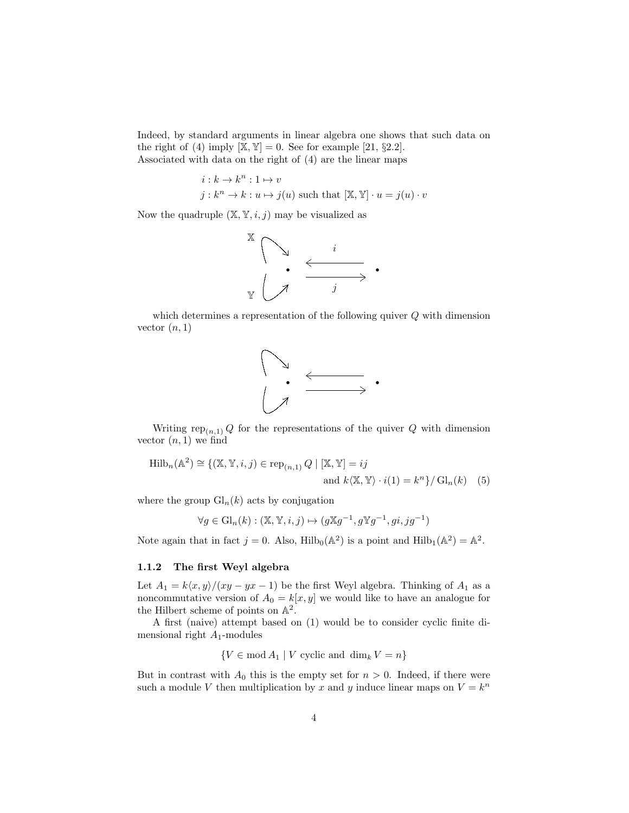Indeed, by standard arguments in linear algebra one shows that such data on the right of (4) imply  $[\mathbb{X}, \mathbb{Y}] = 0$ . See for example [21, §2.2]. Associated with data on the right of (4) are the linear maps

$$
i: k \to k^n : 1 \mapsto v
$$
  

$$
j: k^n \to k: u \mapsto j(u) \text{ such that } [\mathbb{X}, \mathbb{Y}] \cdot u = j(u) \cdot v
$$

Now the quadruple  $(\mathbb{X}, \mathbb{Y}, i, j)$  may be visualized as



which determines a representation of the following quiver  $Q$  with dimension vector  $(n, 1)$ 



Writing rep<sub>(n,1)</sub> Q for the representations of the quiver Q with dimension vector  $(n, 1)$  we find

$$
\text{Hilb}_n(\mathbb{A}^2) \cong \{ (\mathbb{X}, \mathbb{Y}, i, j) \in \text{rep}_{(n,1)} Q \mid [\mathbb{X}, \mathbb{Y}] = ij
$$
  
and  $k \langle \mathbb{X}, \mathbb{Y} \rangle \cdot i(1) = k^n \} / \text{Gl}_n(k)$  (5)

where the group  $\mathrm{Gl}_n(k)$  acts by conjugation

$$
\forall g \in \mathrm{Gl}_n(k) : (\mathbb{X}, \mathbb{Y}, i, j) \mapsto (g\mathbb{X}g^{-1}, g\mathbb{Y}g^{-1}, gi, jg^{-1})
$$

Note again that in fact  $j = 0$ . Also, Hilb<sub>0</sub>( $\mathbb{A}^2$ ) is a point and Hilb<sub>1</sub>( $\mathbb{A}^2$ ) =  $\mathbb{A}^2$ .

## 1.1.2 The first Weyl algebra

Let  $A_1 = k\langle x, y \rangle/(xy - yx - 1)$  be the first Weyl algebra. Thinking of  $A_1$  as a noncommutative version of  $A_0 = k[x, y]$  we would like to have an analogue for the Hilbert scheme of points on  $\mathbb{A}^2$ .

A first (naive) attempt based on (1) would be to consider cyclic finite dimensional right  $A_1$ -modules

 ${V \in \text{mod } A_1 \mid V \text{ cyclic and } \dim_k V = n}$ 

But in contrast with  $A_0$  this is the empty set for  $n > 0$ . Indeed, if there were such a module V then multiplication by x and y induce linear maps on  $V = k^n$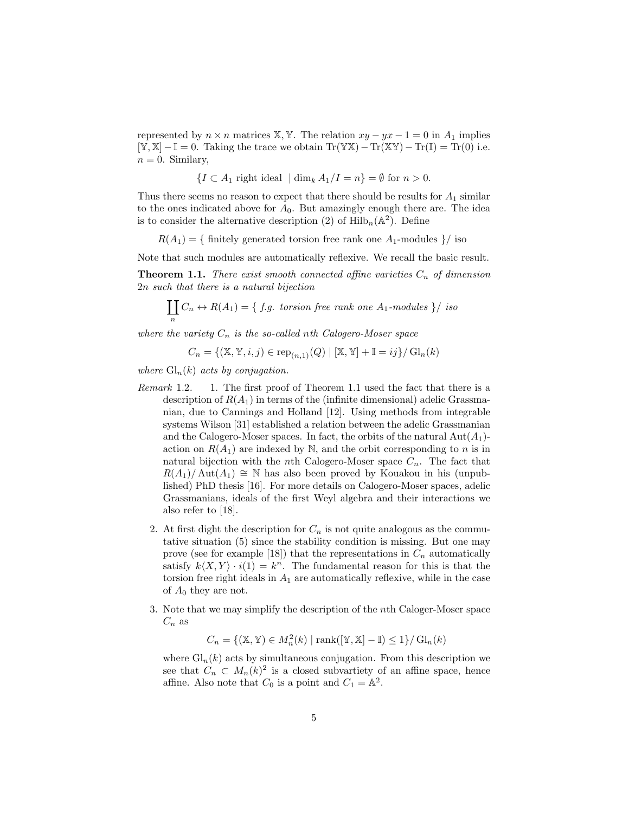represented by  $n \times n$  matrices X, Y. The relation  $xy - yx - 1 = 0$  in  $A_1$  implies  $[\mathbb{Y}, \mathbb{X}] - \mathbb{I} = 0$ . Taking the trace we obtain Tr( $\mathbb{Y}\mathbb{X}$ ) – Tr( $\mathbb{X}\mathbb{Y}$ ) – Tr( $\mathbb{I}$ ) = Tr(0) i.e.  $n = 0$ . Similary,

$$
\{I \subset A_1 \text{ right ideal } | \dim_k A_1 / I = n\} = \emptyset \text{ for } n > 0.
$$

Thus there seems no reason to expect that there should be results for  $A_1$  similar to the ones indicated above for  $A_0$ . But amazingly enough there are. The idea is to consider the alternative description (2) of  $\mathrm{Hilb}_{n}(\mathbb{A}^{2})$ . Define

 $R(A_1) = \{$  finitely generated torsion free rank one  $A_1$ -modules  $\}/$  iso

Note that such modules are automatically reflexive. We recall the basic result.

**Theorem 1.1.** There exist smooth connected affine varieties  $C_n$  of dimension 2n such that there is a natural bijection

 $\prod C_n \leftrightarrow R(A_1) = \{ f.g. \text{ torsion free rank one } A_1 \text{-modules } \} / \text{ iso}$ n

where the variety  $C_n$  is the so-called nth Calogero-Moser space

$$
C_n = \{ (\mathbb{X}, \mathbb{Y}, i, j) \in \text{rep}_{(n,1)}(Q) \mid [\mathbb{X}, \mathbb{Y}] + \mathbb{I} = ij \} / \text{Gl}_n(k)
$$

where  $\mathrm{Gl}_n(k)$  acts by conjugation.

- Remark 1.2. 1. The first proof of Theorem 1.1 used the fact that there is a description of  $R(A_1)$  in terms of the (infinite dimensional) adelic Grassmanian, due to Cannings and Holland [12]. Using methods from integrable systems Wilson [31] established a relation between the adelic Grassmanian and the Calogero-Moser spaces. In fact, the orbits of the natural  $Aut(A_1)$ action on  $R(A_1)$  are indexed by N, and the orbit corresponding to n is in natural bijection with the *n*th Calogero-Moser space  $C_n$ . The fact that  $R(A_1)/\text{Aut}(A_1) \cong \mathbb{N}$  has also been proved by Kouakou in his (unpublished) PhD thesis [16]. For more details on Calogero-Moser spaces, adelic Grassmanians, ideals of the first Weyl algebra and their interactions we also refer to [18].
	- 2. At first dight the description for  $C_n$  is not quite analogous as the commutative situation (5) since the stability condition is missing. But one may prove (see for example [18]) that the representations in  $C_n$  automatically satisfy  $k\langle X, Y \rangle \cdot i(1) = k^n$ . The fundamental reason for this is that the torsion free right ideals in  $A_1$  are automatically reflexive, while in the case of  $A_0$  they are not.
	- 3. Note that we may simplify the description of the nth Caloger-Moser space  $C_n$  as

 $C_n = \{(\mathbb{X}, \mathbb{Y}) \in M_n^2(k) \mid \text{rank}([\mathbb{Y}, \mathbb{X}] - \mathbb{I}) \leq 1\} / \mathrm{Gl}_n(k)$ 

where  $\mathrm{Gl}_n(k)$  acts by simultaneous conjugation. From this description we see that  $C_n \subset M_n(k)^2$  is a closed subvartiety of an affine space, hence affine. Also note that  $C_0$  is a point and  $C_1 = \mathbb{A}^2$ .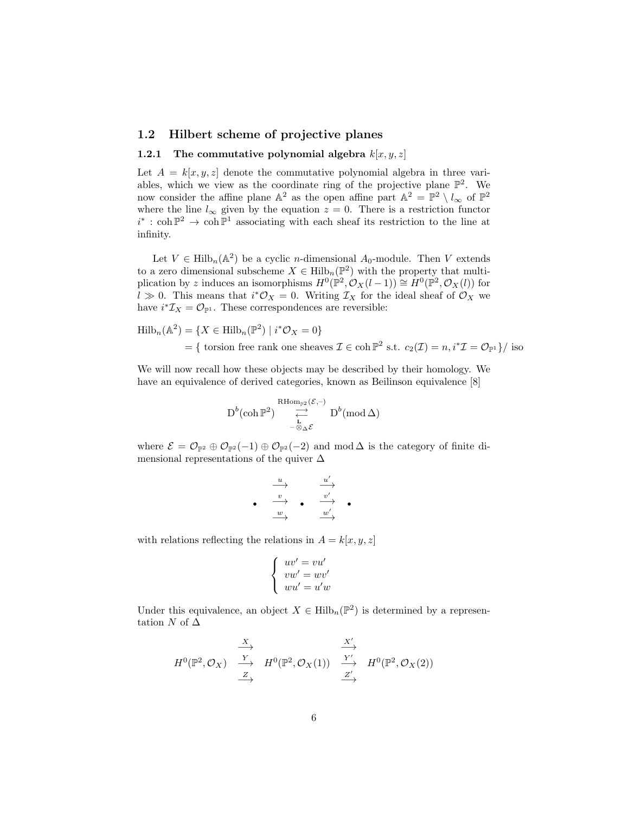### 1.2 Hilbert scheme of projective planes

#### 1.2.1 The commutative polynomial algebra  $k[x, y, z]$

Let  $A = k[x, y, z]$  denote the commutative polynomial algebra in three variables, which we view as the coordinate ring of the projective plane  $\mathbb{P}^2$ . We now consider the affine plane  $\mathbb{A}^2$  as the open affine part  $\mathbb{A}^2 = \mathbb{P}^2 \setminus l_{\infty}$  of  $\mathbb{P}^2$ where the line  $l_{\infty}$  given by the equation  $z = 0$ . There is a restriction functor  $i^*$ : coh  $\mathbb{P}^2$  → coh  $\mathbb{P}^1$  associating with each sheaf its restriction to the line at infinity.

Let  $V \in \text{Hilb}_n(\mathbb{A}^2)$  be a cyclic *n*-dimensional  $A_0$ -module. Then V extends to a zero dimensional subscheme  $X \in \mathrm{Hilb}_n(\mathbb{P}^2)$  with the property that multiplication by z induces an isomorphisms  $H^0(\mathbb{P}^2, \mathcal{O}_X(l-1)) \cong H^0(\mathbb{P}^2, \mathcal{O}_X(l))$  for  $l \gg 0$ . This means that  $i^* \mathcal{O}_X = 0$ . Writing  $\mathcal{I}_X$  for the ideal sheaf of  $\mathcal{O}_X$  we have  $i^*\mathcal{I}_X = \mathcal{O}_{\mathbb{P}^1}$ . These correspondences are reversible:

$$
\text{Hilb}_n(\mathbb{A}^2) = \{ X \in \text{Hilb}_n(\mathbb{P}^2) \mid i^* \mathcal{O}_X = 0 \}
$$
  
=  $\{ \text{ torsion free rank one sheaves } \mathcal{I} \in \text{coh } \mathbb{P}^2 \text{ s.t. } c_2(\mathcal{I}) = n, i^* \mathcal{I} = \mathcal{O}_{\mathbb{P}^1} \} / \text{ iso}$ 

We will now recall how these objects may be described by their homology. We have an equivalence of derived categories, known as Beilinson equivalence [8]

$$
\operatorname{D}^b(\operatorname{coh} \mathbb{P}^2) \underset{\substack{\leftarrow \\ -\otimes_{\Delta} \mathcal{E}}}{\overset{\operatorname{RHom}_{\mathbb{P}^2}(\mathcal{E},-)}{\rightleftarrow}} \operatorname{D}^b(\operatorname{mod} \Delta)
$$

where  $\mathcal{E} = \mathcal{O}_{\mathbb{P}^2} \oplus \mathcal{O}_{\mathbb{P}^2}(-1) \oplus \mathcal{O}_{\mathbb{P}^2}(-2)$  and mod  $\Delta$  is the category of finite dimensional representations of the quiver  $\Delta$ 

$$
\begin{array}{ccccc}\n & u & & u' \\
 & \rightarrow & & \xrightarrow{u'} \\
 & \xrightarrow{v} & & \xrightarrow{v'} \\
 & w & & w' \\
\end{array}
$$

with relations reflecting the relations in  $A = k[x, y, z]$ 

$$
\left\{\begin{array}{c} uv'=vu'\\ vw'=wv'\\ wu'=u'w\end{array}\right.
$$

Under this equivalence, an object  $X \in \mathrm{Hilb}_n(\mathbb{P}^2)$  is determined by a representation N of  $\Delta$ 

$$
H^{0}(\mathbb{P}^{2}, \mathcal{O}_{X}) \xrightarrow{\begin{array}{c}\nX \\
Y \\
\longrightarrow \\
Z \\
\longrightarrow\n\end{array}} H^{0}(\mathbb{P}^{2}, \mathcal{O}_{X}(1)) \xrightarrow{\begin{array}{c}\nX' \\
Y' \\
\longrightarrow \\
Z' \\
\longrightarrow\n\end{array}} H^{0}(\mathbb{P}^{2}, \mathcal{O}_{X}(2))
$$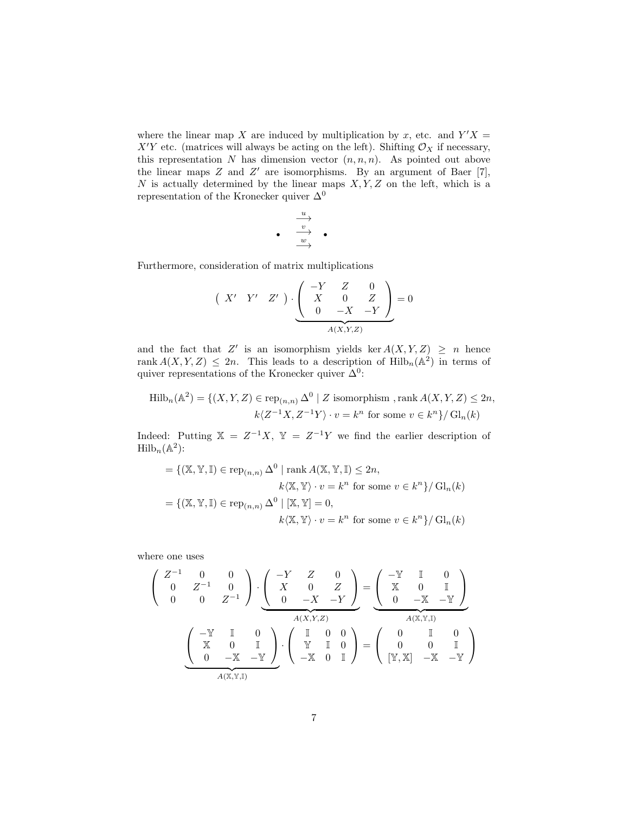where the linear map X are induced by multiplication by x, etc. and  $Y'X =$  $X'Y$  etc. (matrices will always be acting on the left). Shifting  $\mathcal{O}_X$  if necessary, this representation  $N$  has dimension vector  $(n, n, n)$ . As pointed out above the linear maps  $Z$  and  $Z'$  are isomorphisms. By an argument of Baer [7], N is actually determined by the linear maps  $X, Y, Z$  on the left, which is a representation of the Kronecker quiver  $\Delta^0$ 

$$
\begin{array}{c}\n\downarrow \\
\downarrow \\
\downarrow \\
\downarrow \\
\downarrow\n\end{array}
$$

Furthermore, consideration of matrix multiplications

$$
\begin{pmatrix} X' & Y' & Z' \end{pmatrix} \cdot \underbrace{\begin{pmatrix} -Y & Z & 0 \\ X & 0 & Z \\ 0 & -X & -Y \end{pmatrix}}_{A(X,Y,Z)} = 0
$$

and the fact that Z' is an isomorphism yields ker  $A(X, Y, Z) \geq n$  hence rank  $A(X, Y, Z) \leq 2n$ . This leads to a description of  $Hilb_n(\mathbb{A}^2)$  in terms of quiver representations of the Kronecker quiver  $\Delta^0$ :

$$
\text{Hilb}_n(\mathbb{A}^2) = \{ (X, Y, Z) \in \text{rep}_{(n,n)} \Delta^0 \mid Z \text{ isomorphism, rank } A(X, Y, Z) \le 2n, k\langle Z^{-1}X, Z^{-1}Y \rangle \cdot v = k^n \text{ for some } v \in k^n \}/ \text{Gl}_n(k)
$$

Indeed: Putting  $X = Z^{-1}X$ ,  $Y = Z^{-1}Y$  we find the earlier description of  $\mathrm{Hilb}_n(\mathbb{A}^2)$ :

$$
= \{ (\mathbb{X}, \mathbb{Y}, \mathbb{I}) \in \operatorname{rep}_{(n,n)} \Delta^0 \mid \operatorname{rank} A(\mathbb{X}, \mathbb{Y}, \mathbb{I}) \le 2n, k(\mathbb{X}, \mathbb{Y}) \cdot v = k^n \text{ for some } v \in k^n \} / \operatorname{Gl}_n(k) = \{ (\mathbb{X}, \mathbb{Y}, \mathbb{I}) \in \operatorname{rep}_{(n,n)} \Delta^0 \mid [\mathbb{X}, \mathbb{Y}] = 0, k(\mathbb{X}, \mathbb{Y}) \cdot v = k^n \text{ for some } v \in k^n \} / \operatorname{Gl}_n(k)
$$

where one uses

$$
\begin{pmatrix}\nZ^{-1} & 0 & 0 \\
0 & Z^{-1} & 0 \\
0 & 0 & Z^{-1}\n\end{pmatrix} \cdot \underbrace{\begin{pmatrix}\n-Y & Z & 0 \\
X & 0 & Z \\
0 & -X & -Y\n\end{pmatrix}}_{A(X,Y,Z)} = \underbrace{\begin{pmatrix}\n-\mathbb{Y} & \mathbb{I} & 0 \\
\mathbb{X} & 0 & \mathbb{I} \\
0 & -\mathbb{X} & -\mathbb{Y}\n\end{pmatrix}}_{A(X,Y,\mathbb{I})}
$$
\n
$$
\underbrace{\begin{pmatrix}\n-\mathbb{Y} & \mathbb{I} & 0 \\
\mathbb{X} & 0 & \mathbb{I} \\
0 & -\mathbb{X} & -\mathbb{Y}\n\end{pmatrix}}_{A(X,Y,\mathbb{I})} \cdot \begin{pmatrix}\n\mathbb{I} & 0 & 0 \\
\mathbb{Y} & \mathbb{I} & 0 \\
-\mathbb{X} & 0 & \mathbb{I}\n\end{pmatrix} = \begin{pmatrix}\n0 & \mathbb{I} & 0 \\
0 & 0 & \mathbb{I} \\
\mathbb{Y}, \mathbb{X} & -\mathbb{X} & -\mathbb{Y}\n\end{pmatrix}
$$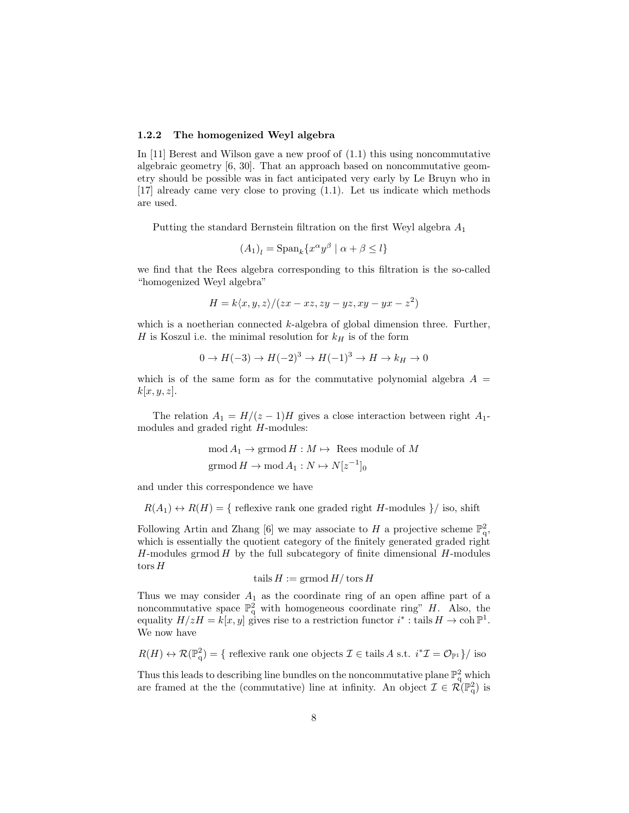#### 1.2.2 The homogenized Weyl algebra

In [11] Berest and Wilson gave a new proof of  $(1.1)$  this using noncommutative algebraic geometry [6, 30]. That an approach based on noncommutative geometry should be possible was in fact anticipated very early by Le Bruyn who in [17] already came very close to proving (1.1). Let us indicate which methods are used.

Putting the standard Bernstein filtration on the first Weyl algebra  $A_1$ 

$$
(A_1)_l = \text{Span}_k \{ x^{\alpha} y^{\beta} \mid \alpha + \beta \le l \}
$$

we find that the Rees algebra corresponding to this filtration is the so-called "homogenized Weyl algebra"

$$
H = k \langle x, y, z \rangle / (zx - xz, zy - yz, xy - yx - z^2)
$$

which is a noetherian connected  $k$ -algebra of global dimension three. Further, H is Koszul i.e. the minimal resolution for  $k_H$  is of the form

$$
0 \to H(-3) \to H(-2)^3 \to H(-1)^3 \to H \to k_H \to 0
$$

which is of the same form as for the commutative polynomial algebra  $A =$  $k[x, y, z]$ .

The relation  $A_1 = H/(z-1)H$  gives a close interaction between right  $A_1$ modules and graded right H-modules:

$$
\text{mod } A_1 \to \text{grmod } H : M \mapsto \text{Rees module of } M
$$
  

$$
\text{grmod } H \to \text{mod } A_1 : N \mapsto N[z^{-1}]_0
$$

and under this correspondence we have

 $R(A_1) \leftrightarrow R(H) = \{$  reflexive rank one graded right H-modules  $\}/$  iso, shift

Following Artin and Zhang [6] we may associate to H a projective scheme  $\mathbb{P}^2_q$ , which is essentially the quotient category of the finitely generated graded right  $H$ -modules grmod  $H$  by the full subcategory of finite dimensional  $H$ -modules tors H

$$
tails H := \mathrm{grmod}\,H/\operatorname{tors} H
$$

Thus we may consider  $A_1$  as the coordinate ring of an open affine part of a noncommutative space  $\mathbb{P}^2_q$  with homogeneous coordinate ring" H. Also, the equality  $H/zH = k[x, y]$  gives rise to a restriction functor  $i^*$ : tails  $H \to \text{coh } \mathbb{P}^1$ . We now have

$$
R(H) \leftrightarrow \mathcal{R}(\mathbb{P}_q^2) = \{ \text{ reflexive rank one objects } \mathcal{I} \in \text{tails } A \text{ s.t. } i^* \mathcal{I} = \mathcal{O}_{\mathbb{P}^1} \} / \text{ iso }
$$

Thus this leads to describing line bundles on the noncommutative plane  $\mathbb{P}^2_q$  which are framed at the the (commutative) line at infinity. An object  $\mathcal{I} \in \mathcal{R}(\mathbb{P}_{q}^{2})$  is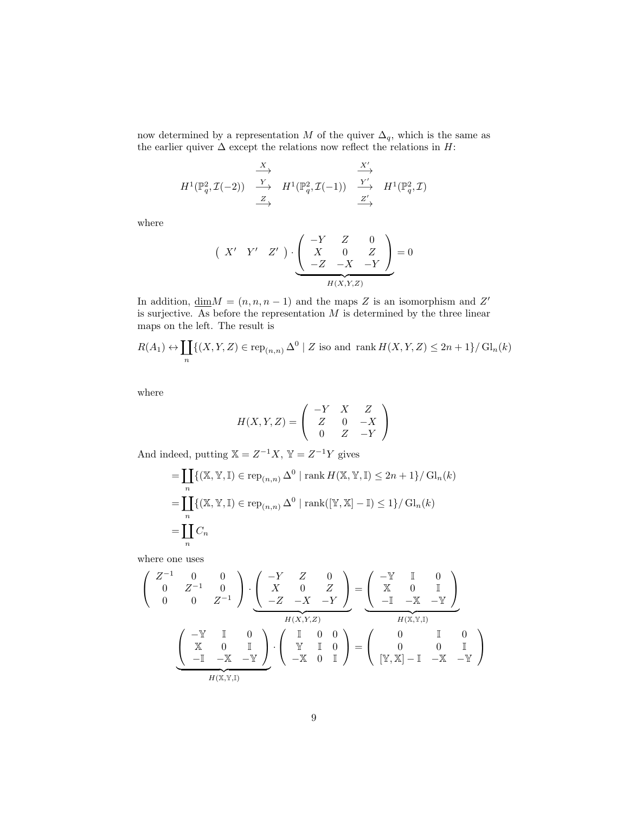now determined by a representation M of the quiver  $\Delta_q$ , which is the same as the earlier quiver  $\Delta$  except the relations now reflect the relations in  $H$ :

$$
H^{1}(\mathbb{P}_{q}^{2}, \mathcal{I}(-2)) \xrightarrow{\begin{array}{c} X \\ \longrightarrow \\ \hline Z \end{array}} H^{1}(\mathbb{P}_{q}^{2}, \mathcal{I}(-1)) \xrightarrow{\begin{array}{c} X' \\ \longrightarrow \\ \hline Z' \end{array}} H^{1}(\mathbb{P}_{q}^{2}, \mathcal{I})
$$

where

$$
\begin{pmatrix} X' & Y' & Z' \end{pmatrix} \cdot \underbrace{\begin{pmatrix} -Y & Z & 0 \\ X & 0 & Z \\ -Z & -X & -Y \end{pmatrix}}_{H(X,Y,Z)} = 0
$$

In addition,  $\dim M = (n, n, n-1)$  and the maps Z is an isomorphism and Z' is surjective. As before the representation  $M$  is determined by the three linear maps on the left. The result is

$$
R(A_1) \leftrightarrow \coprod_n \{ (X, Y, Z) \in \text{rep}_{(n,n)} \Delta^0 \mid Z \text{ iso and } \text{rank } H(X, Y, Z) \le 2n + 1 \} / \text{Gl}_n(k)
$$

where

$$
H(X, Y, Z) = \begin{pmatrix} -Y & X & Z \\ Z & 0 & -X \\ 0 & Z & -Y \end{pmatrix}
$$

And indeed, putting  $X = Z^{-1}X$ ,  $Y = Z^{-1}Y$  gives

$$
= \coprod_{n} \{ (\mathbb{X}, \mathbb{Y}, \mathbb{I}) \in \operatorname{rep}_{(n,n)} \Delta^{0} \mid \operatorname{rank} H(\mathbb{X}, \mathbb{Y}, \mathbb{I}) \le 2n + 1 \} / \operatorname{Gl}_{n}(k)
$$
  
= 
$$
\coprod_{n} \{ (\mathbb{X}, \mathbb{Y}, \mathbb{I}) \in \operatorname{rep}_{(n,n)} \Delta^{0} \mid \operatorname{rank}([\mathbb{Y}, \mathbb{X}] - \mathbb{I}) \le 1 \} / \operatorname{Gl}_{n}(k)
$$
  
= 
$$
\coprod_{n} C_{n}
$$

where one uses

$$
\begin{pmatrix}\nZ^{-1} & 0 & 0 \\
0 & Z^{-1} & 0 \\
0 & 0 & Z^{-1}\n\end{pmatrix} \cdot \underbrace{\begin{pmatrix}\n-Y & Z & 0 \\
X & 0 & Z \\
-Z & -X & -Y\n\end{pmatrix}}_{H(X,Y,Z)} = \underbrace{\begin{pmatrix}\n-\mathbb{Y} & \mathbb{I} & 0 \\
\mathbb{X} & 0 & \mathbb{I} \\
-\mathbb{I} & -\mathbb{X} & -\mathbb{Y}\n\end{pmatrix}}_{H(X,\mathbb{Y},\mathbb{I})}
$$
\n
$$
\underbrace{\begin{pmatrix}\n-\mathbb{Y} & \mathbb{I} & 0 \\
0 & Z^{-1} & 0 \\
-\mathbb{I} & -\mathbb{X} & -Y\n\end{pmatrix}}_{H(X,\mathbb{Y},\mathbb{I})} \cdot \begin{pmatrix}\n\mathbb{I} & 0 & 0 \\
\mathbb{Y} & \mathbb{I} & 0 \\
-\mathbb{X} & 0 & \mathbb{I}\n\end{pmatrix} = \begin{pmatrix}\n0 & \mathbb{I} & 0 \\
0 & 0 & \mathbb{I} \\
0 & 0 & \mathbb{I} \\
[\mathbb{Y}, \mathbb{X}] - \mathbb{I} & -\mathbb{X} & -\mathbb{Y}\n\end{pmatrix}
$$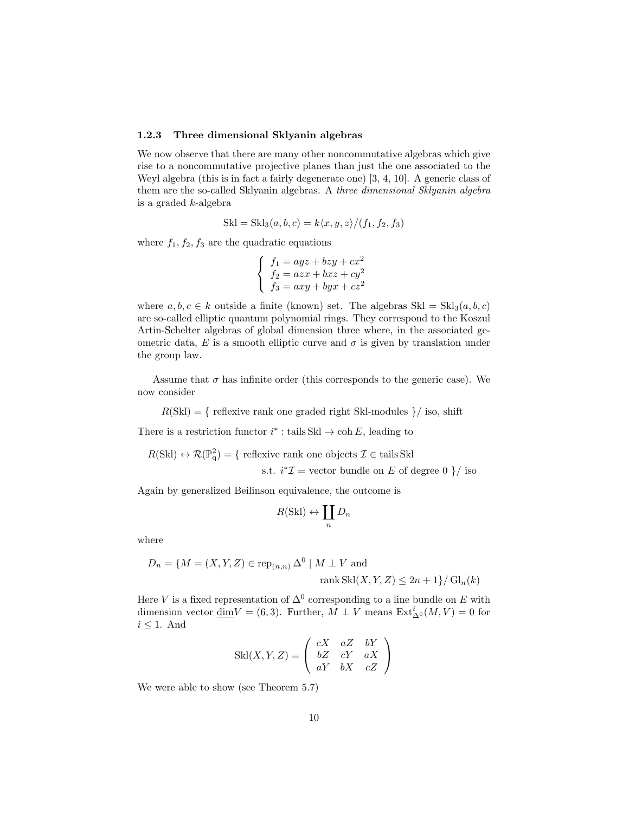#### 1.2.3 Three dimensional Sklyanin algebras

We now observe that there are many other noncommutative algebras which give rise to a noncommutative projective planes than just the one associated to the Weyl algebra (this is in fact a fairly degenerate one) [3, 4, 10]. A generic class of them are the so-called Sklyanin algebras. A three dimensional Sklyanin algebra is a graded k-algebra

$$
Skl = Skl3(a, b, c) = k\langle x, y, z \rangle / (f1, f2, f3)
$$

where  $f_1, f_2, f_3$  are the quadratic equations

$$
\begin{cases}\nf_1 = ayz + bzy + cx^2 \\
f_2 = azx + bxz + cy^2 \\
f_3 = axy + byx + cz^2\n\end{cases}
$$

where  $a, b, c \in k$  outside a finite (known) set. The algebras  $Skl = Skl_3(a, b, c)$ are so-called elliptic quantum polynomial rings. They correspond to the Koszul Artin-Schelter algebras of global dimension three where, in the associated geometric data, E is a smooth elliptic curve and  $\sigma$  is given by translation under the group law.

Assume that  $\sigma$  has infinite order (this corresponds to the generic case). We now consider

 $R(Skl) = \{$  reflexive rank one graded right Skl-modules  $\}/$  iso, shift

There is a restriction functor  $i^*$ : tails Skl  $\rightarrow$  coh E, leading to

$$
R(Skl) \leftrightarrow \mathcal{R}(\mathbb{P}_q^2) = \{ \text{ reflexive rank one objects } \mathcal{I} \in \text{tails Skl} \}
$$
  
s.t.  $i^*\mathcal{I} = \text{vector bundle on } E \text{ of degree 0 } \} / \text{ iso}$ 

Again by generalized Beilinson equivalence, the outcome is

$$
R(\text{Skl}) \leftrightarrow \coprod_n D_n
$$

where

$$
D_n = \{ M = (X, Y, Z) \in \text{rep}_{(n,n)} \Delta^0 \mid M \perp V \text{ and}
$$
  
rank Skl(X, Y, Z)  $\leq 2n + 1 \} / \text{Gl}_n(k)$ 

Here V is a fixed representation of  $\Delta^0$  corresponding to a line bundle on E with dimension vector  $\underline{\dim} V = (6,3)$ . Further,  $M \perp V$  means  $\mathrm{Ext}^i_{\Delta^0}(M, V) = 0$  for  $i \leq 1$ . And

$$
Skl(X, Y, Z) = \begin{pmatrix} cX & aZ & bY \\ bZ & cY & aX \\ aY & bX & cZ \end{pmatrix}
$$

We were able to show (see Theorem 5.7)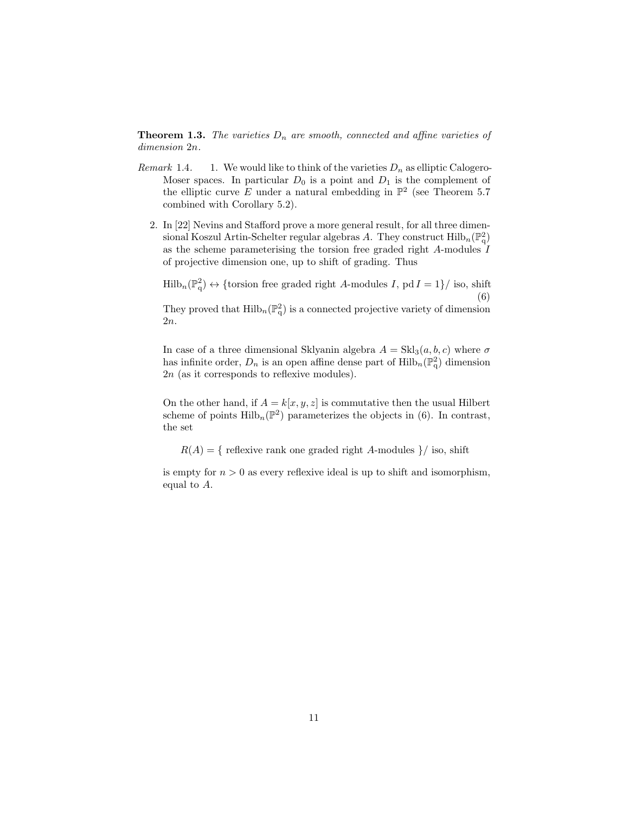**Theorem 1.3.** The varieties  $D_n$  are smooth, connected and affine varieties of dimension 2n.

- Remark 1.4. 1. We would like to think of the varieties  $D_n$  as elliptic Calogero-Moser spaces. In particular  $D_0$  is a point and  $D_1$  is the complement of the elliptic curve E under a natural embedding in  $\mathbb{P}^2$  (see Theorem 5.7) combined with Corollary 5.2).
	- 2. In [22] Nevins and Stafford prove a more general result, for all three dimensional Koszul Artin-Schelter regular algebras A. They construct  $\mathrm{Hilb}_{n}(\mathbb{P}_{q}^{2})$ as the scheme parameterising the torsion free graded right  $A$ -modules  $I$ of projective dimension one, up to shift of grading. Thus

 $\text{Hilb}_n(\mathbb{P}^2_q) \leftrightarrow \{\text{torsion free graded right } A\text{-modules } I, \text{ pd } I = 1\}/\text{ iso, shift}$ (6)

They proved that  $\text{Hilb}_n(\mathbb{P}^2_q)$  is a connected projective variety of dimension 2n.

In case of a three dimensional Sklyanin algebra  $A = Skl_3(a, b, c)$  where  $\sigma$ has infinite order,  $D_n$  is an open affine dense part of  $\mathrm{Hilb}_n(\mathbb{P}_q^2)$  dimension 2n (as it corresponds to reflexive modules).

On the other hand, if  $A = k[x, y, z]$  is commutative then the usual Hilbert scheme of points  $\mathrm{Hilb}_{n}(\mathbb{P}^{2})$  parameterizes the objects in (6). In contrast, the set

 $R(A) = \{$  reflexive rank one graded right A-modules  $\}/$  iso, shift

is empty for  $n > 0$  as every reflexive ideal is up to shift and isomorphism, equal to A.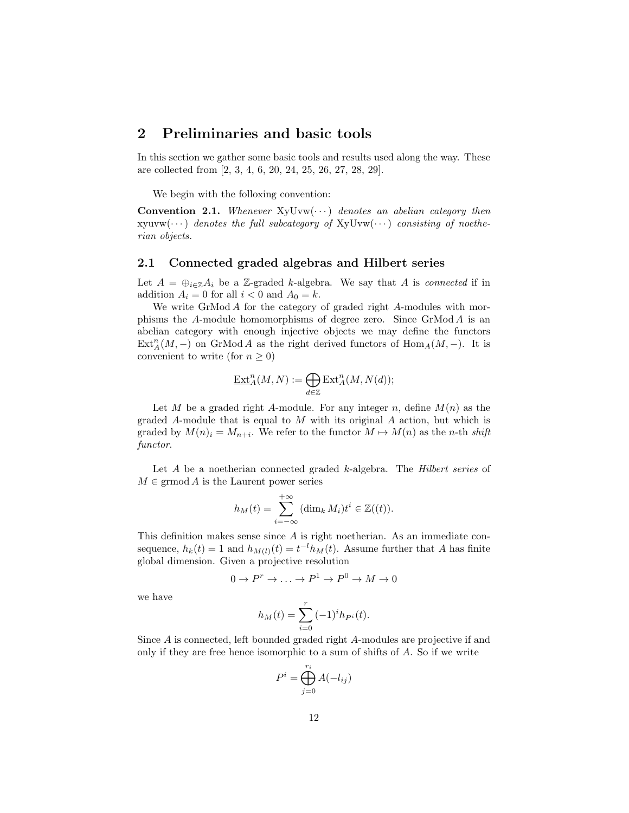# 2 Preliminaries and basic tools

In this section we gather some basic tools and results used along the way. These are collected from [2, 3, 4, 6, 20, 24, 25, 26, 27, 28, 29].

We begin with the folloxing convention:

**Convention 2.1.** Whenever  $XyUvw(\cdots)$  denotes an abelian category then  $xyuvw(\cdots)$  denotes the full subcategory of  $xyUvw(\cdots)$  consisting of noetherian objects.

## 2.1 Connected graded algebras and Hilbert series

Let  $A = \bigoplus_{i \in \mathbb{Z}} A_i$  be a Z-graded k-algebra. We say that A is connected if in addition  $A_i = 0$  for all  $i < 0$  and  $A_0 = k$ .

We write GrMod A for the category of graded right A-modules with morphisms the A-module homomorphisms of degree zero. Since  $\mathbb{G}$ rMod A is an abelian category with enough injective objects we may define the functors  $\text{Ext}_{A}^{n}(M, -)$  on GrMod A as the right derived functors of  $\text{Hom}_{A}(M, -)$ . It is convenient to write (for  $n \geq 0$ )

$$
\underline{\operatorname{Ext}}_A^n(M,N):=\bigoplus_{d\in\mathbb{Z}}\operatorname{Ext}_A^n(M,N(d));
$$

Let M be a graded right A-module. For any integer n, define  $M(n)$  as the graded A-module that is equal to M with its original A action, but which is graded by  $M(n)_i = M_{n+i}$ . We refer to the functor  $M \mapsto M(n)$  as the n-th shift functor.

Let  $A$  be a noetherian connected graded  $k$ -algebra. The *Hilbert series* of  $M \in \mathrm{grmod}\,A$  is the Laurent power series

$$
h_M(t) = \sum_{i=-\infty}^{+\infty} (\dim_k M_i) t^i \in \mathbb{Z}((t)).
$$

This definition makes sense since A is right noetherian. As an immediate consequence,  $h_k(t) = 1$  and  $h_{M(t)}(t) = t^{-1}h_M(t)$ . Assume further that A has finite global dimension. Given a projective resolution

$$
0 \to P^r \to \dots \to P^1 \to P^0 \to M \to 0
$$

we have

$$
h_M(t) = \sum_{i=0}^{r} (-1)^i h_{P^i}(t).
$$

Since A is connected, left bounded graded right A-modules are projective if and only if they are free hence isomorphic to a sum of shifts of A. So if we write

$$
P^i = \bigoplus_{j=0}^{r_i} A(-l_{ij})
$$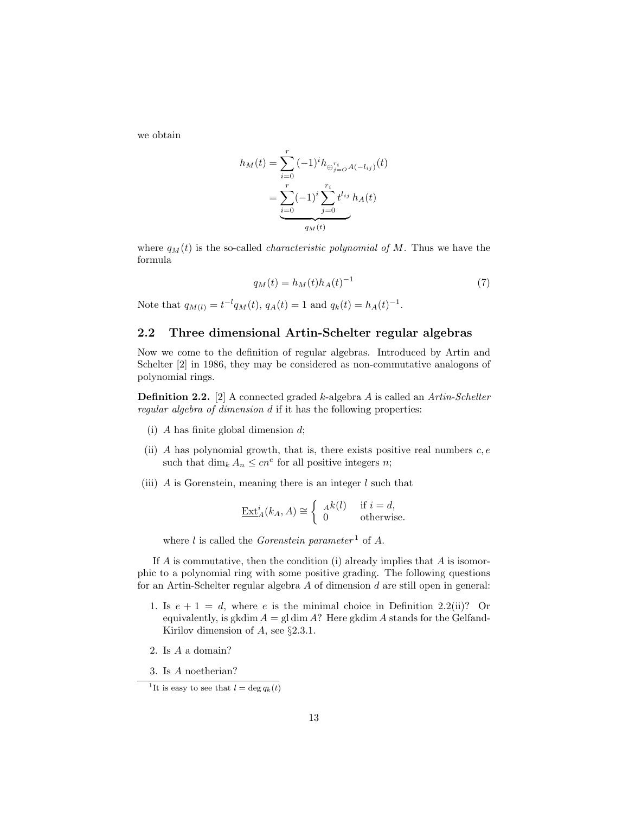we obtain

$$
h_M(t) = \sum_{i=0}^r (-1)^i h_{\bigoplus_{j=0}^{r_i} A(-l_{ij})}(t)
$$
  
= 
$$
\underbrace{\sum_{i=0}^r (-1)^i \sum_{j=0}^{r_i} t^{l_{ij}} h_A(t)}_{q_M(t)}
$$

where  $q_M(t)$  is the so-called *characteristic polynomial of* M. Thus we have the formula

$$
q_M(t) = h_M(t)h_A(t)^{-1}
$$
\n(7)

Note that  $q_{M(l)} = t^{-l} q_M(t)$ ,  $q_A(t) = 1$  and  $q_k(t) = h_A(t)^{-1}$ .

# 2.2 Three dimensional Artin-Schelter regular algebras

Now we come to the definition of regular algebras. Introduced by Artin and Schelter [2] in 1986, they may be considered as non-commutative analogons of polynomial rings.

Definition 2.2. [2] A connected graded k-algebra A is called an Artin-Schelter regular algebra of dimension d if it has the following properties:

- (i) A has finite global dimension  $d$ ;
- (ii) A has polynomial growth, that is, there exists positive real numbers  $c, e$ such that  $\dim_k A_n \leq cn^e$  for all positive integers *n*;
- (iii)  $\tilde{A}$  is Gorenstein, meaning there is an integer  $\tilde{l}$  such that

$$
\underline{\operatorname{Ext}}_{A}^{i}(k_{A}, A) \cong \begin{cases} A^{k}(l) & \text{if } i = d, \\ 0 & \text{otherwise.} \end{cases}
$$

where  $l$  is called the *Gorenstein parameter*<sup>1</sup> of  $A$ .

If A is commutative, then the condition (i) already implies that A is isomorphic to a polynomial ring with some positive grading. The following questions for an Artin-Schelter regular algebra A of dimension d are still open in general:

- 1. Is  $e + 1 = d$ , where e is the minimal choice in Definition 2.2(ii)? Or equivalently, is gkdim  $A = \text{gl} \dim A$ ? Here gkdim A stands for the Gelfand-Kirilov dimension of  $A$ , see §2.3.1.
- 2. Is A a domain?
- 3. Is A noetherian?

<sup>&</sup>lt;sup>1</sup>It is easy to see that  $l = \deg q_k(t)$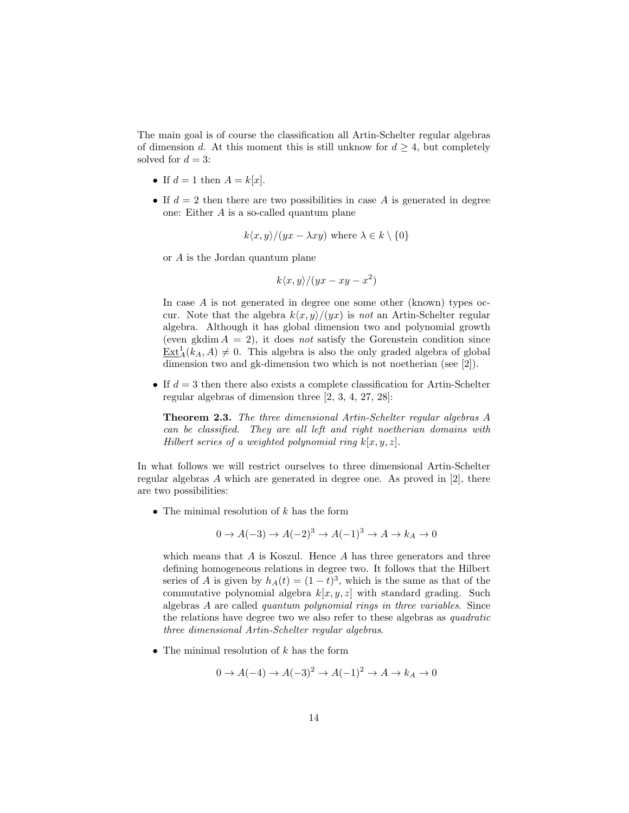The main goal is of course the classification all Artin-Schelter regular algebras of dimension d. At this moment this is still unknow for  $d \geq 4$ , but completely solved for  $d = 3$ :

- If  $d = 1$  then  $A = k[x]$ .
- If  $d = 2$  then there are two possibilities in case A is generated in degree one: Either A is a so-called quantum plane

$$
k\langle x,y\rangle/(yx - \lambda xy)
$$
 where  $\lambda \in k \setminus \{0\}$ 

or A is the Jordan quantum plane

$$
k\langle x,y\rangle/(yx-xy-x^2)
$$

In case A is not generated in degree one some other (known) types occur. Note that the algebra  $k\langle x, y \rangle/(yx)$  is not an Artin-Schelter regular algebra. Although it has global dimension two and polynomial growth (even gkdim  $A = 2$ ), it does not satisfy the Gorenstein condition since  $\text{Ext}_{A}^{1}(k_{A}, A) \neq 0$ . This algebra is also the only graded algebra of global dimension two and gk-dimension two which is not noetherian (see [2]).

• If  $d = 3$  then there also exists a complete classification for Artin-Schelter regular algebras of dimension three [2, 3, 4, 27, 28]:

Theorem 2.3. The three dimensional Artin-Schelter regular algebras A can be classified. They are all left and right noetherian domains with Hilbert series of a weighted polynomial ring  $k[x, y, z]$ .

In what follows we will restrict ourselves to three dimensional Artin-Schelter regular algebras A which are generated in degree one. As proved in [2], there are two possibilities:

• The minimal resolution of  $k$  has the form

$$
0 \to A(-3) \to A(-2)^3 \to A(-1)^3 \to A \to k_A \to 0
$$

which means that  $A$  is Koszul. Hence  $A$  has three generators and three defining homogeneous relations in degree two. It follows that the Hilbert series of A is given by  $h_A(t) = (1-t)^3$ , which is the same as that of the commutative polynomial algebra  $k[x, y, z]$  with standard grading. Such algebras A are called quantum polynomial rings in three variables. Since the relations have degree two we also refer to these algebras as quadratic three dimensional Artin-Schelter regular algebras.

• The minimal resolution of  $k$  has the form

$$
0 \to A(-4) \to A(-3)^2 \to A(-1)^2 \to A \to k_A \to 0
$$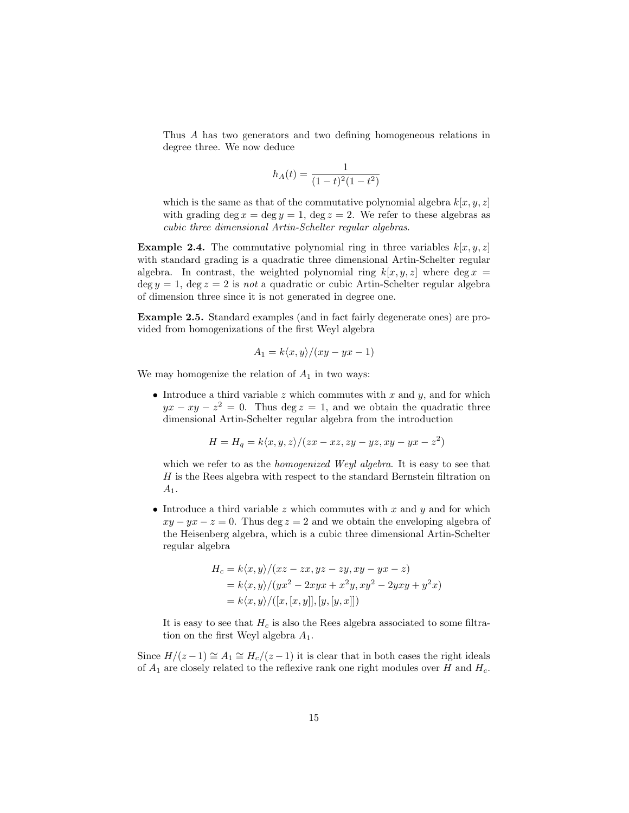Thus A has two generators and two defining homogeneous relations in degree three. We now deduce

$$
h_A(t) = \frac{1}{(1-t)^2(1-t^2)}
$$

which is the same as that of the commutative polynomial algebra  $k[x, y, z]$ with grading deg  $x = \deg y = 1$ , deg  $z = 2$ . We refer to these algebras as cubic three dimensional Artin-Schelter regular algebras.

**Example 2.4.** The commutative polynomial ring in three variables  $k[x, y, z]$ with standard grading is a quadratic three dimensional Artin-Schelter regular algebra. In contrast, the weighted polynomial ring  $k[x, y, z]$  where deg  $x =$  $\deg y = 1$ ,  $\deg z = 2$  is not a quadratic or cubic Artin-Schelter regular algebra of dimension three since it is not generated in degree one.

Example 2.5. Standard examples (and in fact fairly degenerate ones) are provided from homogenizations of the first Weyl algebra

$$
A_1 = k \langle x, y \rangle / (xy - yx - 1)
$$

We may homogenize the relation of  $A_1$  in two ways:

• Introduce a third variable  $z$  which commutes with  $x$  and  $y$ , and for which  $yx - xy - z^2 = 0$ . Thus deg  $z = 1$ , and we obtain the quadratic three dimensional Artin-Schelter regular algebra from the introduction

$$
H = H_q = k \langle x, y, z \rangle / (zx - xz, zy - yz, xy - yx - z^2)
$$

which we refer to as the *homogenized Weyl algebra*. It is easy to see that H is the Rees algebra with respect to the standard Bernstein filtration on  $A_1$ .

• Introduce a third variable z which commutes with x and  $y$  and for which  $xy - yx - z = 0$ . Thus deg  $z = 2$  and we obtain the enveloping algebra of the Heisenberg algebra, which is a cubic three dimensional Artin-Schelter regular algebra

$$
H_c = k \langle x, y \rangle / (xz - zx, yz - zy, xy - yx - z)
$$
  
=  $k \langle x, y \rangle / (yx^2 - 2xyx + x^2y, xy^2 - 2yxy + y^2x)$   
=  $k \langle x, y \rangle / ([x, [x, y]], [y, [y, x]])$ 

It is easy to see that  $H_c$  is also the Rees algebra associated to some filtration on the first Weyl algebra  $A_1$ .

Since  $H/(z-1) \cong A_1 \cong H_c/(z-1)$  it is clear that in both cases the right ideals of  $A_1$  are closely related to the reflexive rank one right modules over H and  $H_c$ .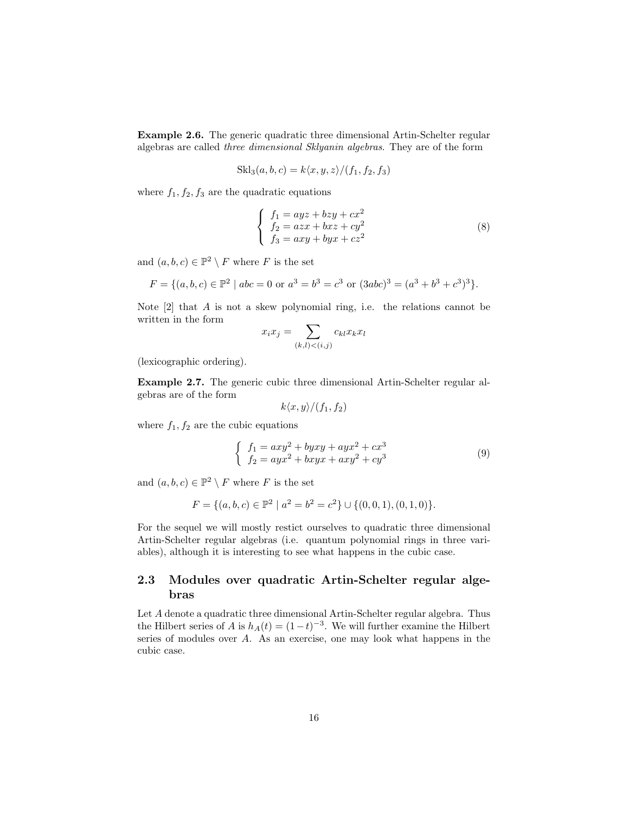Example 2.6. The generic quadratic three dimensional Artin-Schelter regular algebras are called three dimensional Sklyanin algebras. They are of the form

$$
Skl_3(a, b, c) = k\langle x, y, z \rangle / (f_1, f_2, f_3)
$$

where  $f_1, f_2, f_3$  are the quadratic equations

$$
\begin{cases}\n f_1 = ayz + bzy + cx^2 \\
 f_2 = azx + bxz + cy^2 \\
 f_3 = axy + byx + cz^2\n\end{cases}
$$
\n(8)

and  $(a, b, c) \in \mathbb{P}^2 \setminus F$  where F is the set

$$
F = \{(a, b, c) \in \mathbb{P}^2 \mid abc = 0 \text{ or } a^3 = b^3 = c^3 \text{ or } (3abc)^3 = (a^3 + b^3 + c^3)^3\}.
$$

Note  $[2]$  that A is not a skew polynomial ring, i.e. the relations cannot be written in the form

$$
x_i x_j = \sum_{(k,l) < (i,j)} c_{kl} x_k x_l
$$

(lexicographic ordering).

Example 2.7. The generic cubic three dimensional Artin-Schelter regular algebras are of the form

$$
k\langle x,y\rangle/(f_1,f_2)
$$

where  $f_1, f_2$  are the cubic equations

$$
\begin{cases}\nf_1 = axy^2 + byxy + ayx^2 + cx^3 \\
f_2 = ayx^2 + bxyx + axy^2 + cy^3\n\end{cases}
$$
\n(9)

and  $(a, b, c) \in \mathbb{P}^2 \setminus F$  where F is the set

$$
F = \{(a, b, c) \in \mathbb{P}^2 \mid a^2 = b^2 = c^2\} \cup \{(0, 0, 1), (0, 1, 0)\}.
$$

For the sequel we will mostly restict ourselves to quadratic three dimensional Artin-Schelter regular algebras (i.e. quantum polynomial rings in three variables), although it is interesting to see what happens in the cubic case.

# 2.3 Modules over quadratic Artin-Schelter regular algebras

Let A denote a quadratic three dimensional Artin-Schelter regular algebra. Thus the Hilbert series of A is  $h_A(t) = (1-t)^{-3}$ . We will further examine the Hilbert series of modules over A. As an exercise, one may look what happens in the cubic case.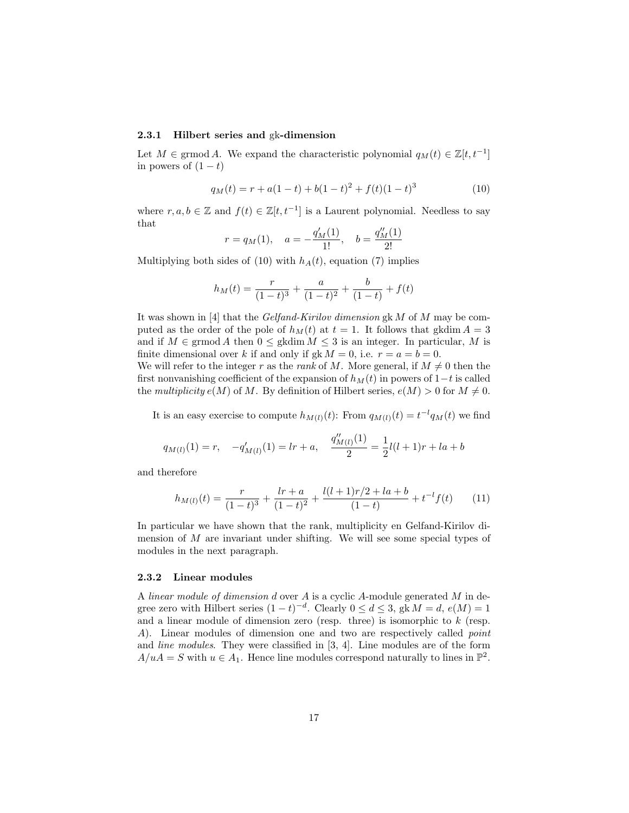#### 2.3.1 Hilbert series and gk-dimension

Let  $M \in \mathrm{grmod}\, A$ . We expand the characteristic polynomial  $q_M(t) \in \mathbb{Z}[t, t^{-1}]$ in powers of  $(1-t)$ 

$$
q_M(t) = r + a(1-t) + b(1-t)^2 + f(t)(1-t)^3
$$
\n(10)

where  $r, a, b \in \mathbb{Z}$  and  $f(t) \in \mathbb{Z}[t, t^{-1}]$  is a Laurent polynomial. Needless to say that

$$
r = q_M(1)
$$
,  $a = -\frac{q'_M(1)}{1!}$ ,  $b = \frac{q''_M(1)}{2!}$ 

Multiplying both sides of (10) with  $h_A(t)$ , equation (7) implies

$$
h_M(t) = \frac{r}{(1-t)^3} + \frac{a}{(1-t)^2} + \frac{b}{(1-t)} + f(t)
$$

It was shown in [4] that the Gelfand-Kirilov dimension gk M of M may be computed as the order of the pole of  $h<sub>M</sub>(t)$  at  $t = 1$ . It follows that gkdim  $A = 3$ and if  $M \in \mathrm{grmod}\,A$  then  $0 \leq \mathrm{gkdim}\,M \leq 3$  is an integer. In particular, M is finite dimensional over k if and only if gk  $M = 0$ , i.e.  $r = a = b = 0$ .

We will refer to the integer r as the rank of M. More general, if  $M \neq 0$  then the first nonvanishing coefficient of the expansion of  $h<sub>M</sub>(t)$  in powers of 1−t is called the multiplicity  $e(M)$  of M. By definition of Hilbert series,  $e(M) > 0$  for  $M \neq 0$ .

It is an easy exercise to compute  $h_{M(l)}(t)$ : From  $q_{M(l)}(t) = t^{-l}q_M(t)$  we find

$$
q_{M(l)}(1) = r, \quad -q'_{M(l)}(1) = lr + a, \quad \frac{q''_{M(l)}(1)}{2} = \frac{1}{2}l(l+1)r + la + b
$$

and therefore

$$
h_{M(l)}(t) = \frac{r}{(1-t)^3} + \frac{lr + a}{(1-t)^2} + \frac{l(l+1)r/2 + la + b}{(1-t)} + t^{-l}f(t) \tag{11}
$$

In particular we have shown that the rank, multiplicity en Gelfand-Kirilov dimension of  $M$  are invariant under shifting. We will see some special types of modules in the next paragraph.

#### 2.3.2 Linear modules

A linear module of dimension d over A is a cyclic A-module generated M in degree zero with Hilbert series  $(1-t)^{-d}$ . Clearly  $0 \le d \le 3$ , gk  $M = d$ ,  $e(M) = 1$ and a linear module of dimension zero (resp. three) is isomorphic to  $k$  (resp. A). Linear modules of dimension one and two are respectively called *point* and line modules. They were classified in [3, 4]. Line modules are of the form  $A/uA = S$  with  $u \in A_1$ . Hence line modules correspond naturally to lines in  $\mathbb{P}^2$ .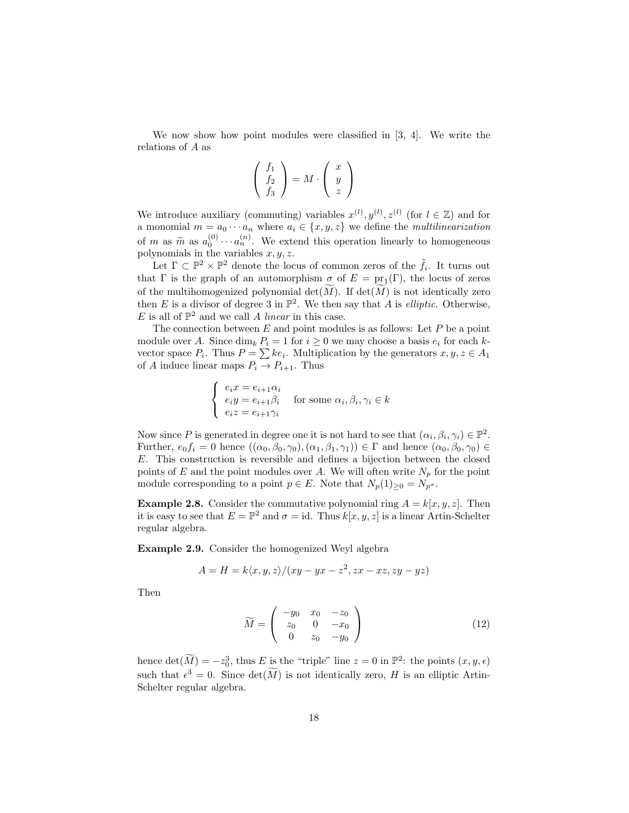We now show how point modules were classified in [3, 4]. We write the relations of A as

$$
\left(\begin{array}{c} f_1 \\ f_2 \\ f_3 \end{array}\right) = M \cdot \left(\begin{array}{c} x \\ y \\ z \end{array}\right)
$$

We introduce auxiliary (commuting) variables  $x^{(l)}$ ,  $y^{(l)}$ ,  $z^{(l)}$  (for  $l \in \mathbb{Z}$ ) and for a monomial  $m = a_0 \cdots a_n$  where  $a_i \in \{x, y, z\}$  we define the *multilinearization* of m as  $\tilde{m}$  as  $a_0^{(0)} \cdots a_n^{(n)}$ . We extend this operation linearly to homogeneous<br>polynomials in the variables  $x, y, z$ polynomials in the variables  $x, y, z$ .

Let  $\Gamma \subset \mathbb{P}^2 \times \mathbb{P}^2$  denote the locus of common zeros of the  $\tilde{f}_i$ . It turns out that  $\Gamma$  is the graph of an automorphism  $\sigma$  of  $E = \text{pr}_1(\Gamma)$ , the locus of zeros of the multihomogenized polynomial  $\det(M)$ . If  $\det(M)$  is not identically zero then E is a divisor of degree 3 in  $\mathbb{P}^2$ . We then say that A is *elliptic*. Otherwise, E is all of  $\mathbb{P}^2$  and we call A linear in this case.

The connection between  $E$  and point modules is as follows: Let  $P$  be a point module over A. Since  $\dim_k P_i = 1$  for  $i \geq 0$  we may choose a basis  $e_i$  for each kvector space  $P_i$ . Thus  $P = \sum k e_i$ . Multiplication by the generators  $x, y, z \in A_1$ of A induce linear maps  $P_i \to P_{i+1}$ . Thus

$$
\begin{cases}\n e_i x = e_{i+1} \alpha_i \\
 e_i y = e_{i+1} \beta_i \\
 e_i z = e_{i+1} \gamma_i\n\end{cases}
$$
 for some  $\alpha_i, \beta_i, \gamma_i \in k$ 

Now since P is generated in degree one it is not hard to see that  $(\alpha_i, \beta_i, \gamma_i) \in \mathbb{P}^2$ . Further,  $e_0f_i = 0$  hence  $((\alpha_0, \beta_0, \gamma_0), (\alpha_1, \beta_1, \gamma_1)) \in \Gamma$  and hence  $(\alpha_0, \beta_0, \gamma_0) \in$ E. This construction is reversible and defines a bijection between the closed points of E and the point modules over A. We will often write  $N_p$  for the point module corresponding to a point  $p \in E$ . Note that  $N_p(1)_{\geq 0} = N_{p^{\sigma}}$ .

**Example 2.8.** Consider the commutative polynomial ring  $A = k[x, y, z]$ . Then it is easy to see that  $E = \mathbb{P}^2$  and  $\sigma = id$ . Thus  $k[x, y, z]$  is a linear Artin-Schelter regular algebra.

Example 2.9. Consider the homogenized Weyl algebra

$$
A = H = k \langle x, y, z \rangle / (xy - yx - z^2, zx - xz, zy - yz)
$$

Then

$$
\widetilde{M} = \begin{pmatrix} -y_0 & x_0 & -z_0 \\ z_0 & 0 & -x_0 \\ 0 & z_0 & -y_0 \end{pmatrix}
$$
 (12)

hence  $\det(\widetilde{M}) = -z_0^3$ , thus E is the "triple" line  $z = 0$  in  $\mathbb{P}^2$ : the points  $(x, y, \epsilon)$ such that  $\epsilon^3 = 0$ . Since  $\det(\widetilde{M})$  is not identically zero, H is an elliptic Artin-Schelter regular algebra.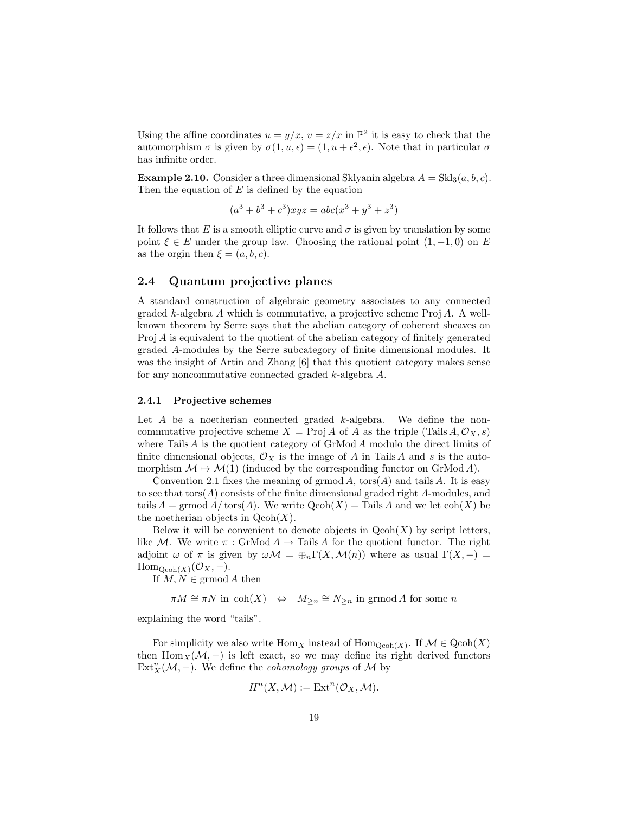Using the affine coordinates  $u = y/x$ ,  $v = z/x$  in  $\mathbb{P}^2$  it is easy to check that the automorphism  $\sigma$  is given by  $\sigma(1, u, \epsilon) = (1, u + \epsilon^2, \epsilon)$ . Note that in particular  $\sigma$ has infinite order.

**Example 2.10.** Consider a three dimensional Sklyanin algebra  $A = Skl_3(a, b, c)$ . Then the equation of  $E$  is defined by the equation

$$
(a3 + b3 + c3)xyz = abc(x3 + y3 + z3)
$$

It follows that E is a smooth elliptic curve and  $\sigma$  is given by translation by some point  $\xi \in E$  under the group law. Choosing the rational point  $(1, -1, 0)$  on E as the orgin then  $\xi = (a, b, c)$ .

# 2.4 Quantum projective planes

A standard construction of algebraic geometry associates to any connected graded k-algebra A which is commutative, a projective scheme  $\text{Proj } A$ . A wellknown theorem by Serre says that the abelian category of coherent sheaves on Proj A is equivalent to the quotient of the abelian category of finitely generated graded A-modules by the Serre subcategory of finite dimensional modules. It was the insight of Artin and Zhang [6] that this quotient category makes sense for any noncommutative connected graded k-algebra A.

#### 2.4.1 Projective schemes

Let  $A$  be a noetherian connected graded  $k$ -algebra. We define the noncommutative projective scheme  $X = \text{Proj } A$  of A as the triple (Tails  $A, \mathcal{O}_X, s$ ) where Tails  $A$  is the quotient category of  $GrMod A$  modulo the direct limits of finite dimensional objects,  $\mathcal{O}_X$  is the image of A in Tails A and s is the automorphism  $\mathcal{M} \mapsto \mathcal{M}(1)$  (induced by the corresponding functor on GrMod A).

Convention 2.1 fixes the meaning of grmod A,  $t$ ors $(A)$  and tails A. It is easy to see that  $tors(A)$  consists of the finite dimensional graded right A-modules, and tails  $A = \mathrm{grmod} A/\mathrm{tors}(A)$ . We write  $\mathrm{Qcoh}(X) = \mathrm{Tails} A$  and we let  $\mathrm{coh}(X)$  be the noetherian objects in  $Qcoh(X)$ .

Below it will be convenient to denote objects in  $Qcoh(X)$  by script letters, like M. We write  $\pi : \text{GrMod } A \to \text{Tails } A$  for the quotient functor. The right adjoint  $\omega$  of  $\pi$  is given by  $\omega \mathcal{M} = \bigoplus_n \Gamma(X, \mathcal{M}(n))$  where as usual  $\Gamma(X, -) =$  $\text{Hom}_{\text{Qcoh}(X)}(\mathcal{O}_X,-).$ 

If  $M, N \in \mathrm{grmod}\,A$  then

 $\pi M \cong \pi N$  in  $\text{coh}(X) \iff M_{\geq n} \cong N_{\geq n}$  in grmod A for some n

explaining the word "tails".

For simplicity we also write  $\text{Hom}_X$  instead of  $\text{Hom}_{\text{Qcoh}(X)}$ . If  $\mathcal{M} \in \text{Qcoh}(X)$ then Hom $_X(\mathcal{M},-)$  is left exact, so we may define its right derived functors  $\text{Ext}^n_X(\mathcal{M},-)$ . We define the *cohomology groups* of M by

$$
H^{n}(X, \mathcal{M}) := \operatorname{Ext}^{n}(\mathcal{O}_{X}, \mathcal{M}).
$$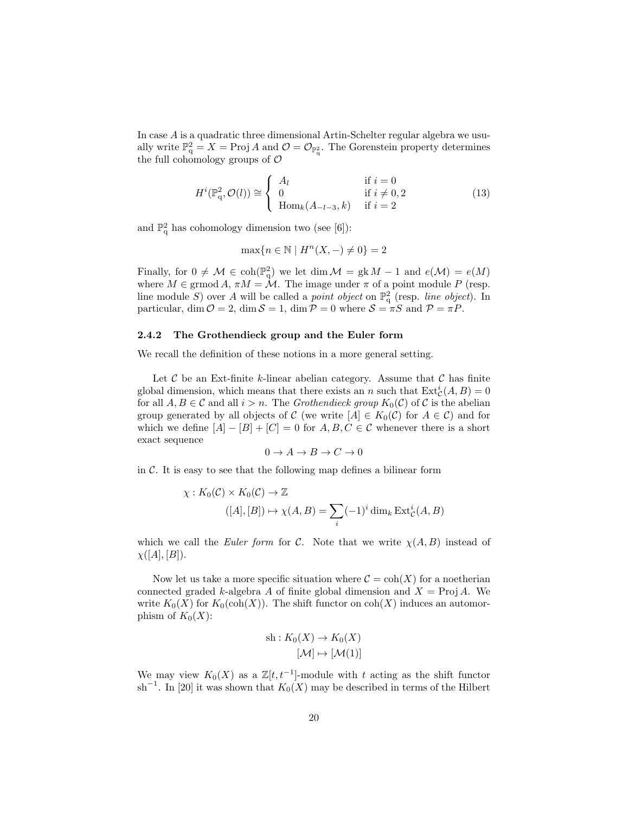In case A is a quadratic three dimensional Artin-Schelter regular algebra we usually write  $\mathbb{P}^2_q = X = \text{Proj } A$  and  $\mathcal{O} = \mathcal{O}_{\mathbb{P}^2_q}$ . The Gorenstein property determines the full cohomology groups of  $\mathcal O$ 

$$
H^{i}(\mathbb{P}_{q}^{2}, \mathcal{O}(l)) \cong \begin{cases} A_{l} & \text{if } i = 0\\ 0 & \text{if } i \neq 0, 2\\ \text{Hom}_{k}(A_{-l-3}, k) & \text{if } i = 2 \end{cases}
$$
(13)

and  $\mathbb{P}^2_q$  has cohomology dimension two (see [6]):

$$
\max\{n \in \mathbb{N} \mid H^n(X, -) \neq 0\} = 2
$$

Finally, for  $0 \neq M \in \text{coh}(\mathbb{P}_{q}^{2})$  we let  $\dim \mathcal{M} = \text{gk } M - 1$  and  $e(\mathcal{M}) = e(M)$ where  $M \in \text{grmod } A$ ,  $\pi M = \mathcal{M}$ . The image under  $\pi$  of a point module P (resp. line module S) over A will be called a *point object* on  $\mathbb{P}^2$  (resp. *line object*). In particular, dim  $\mathcal{O} = 2$ , dim  $\mathcal{S} = 1$ , dim  $\mathcal{P} = 0$  where  $\mathcal{S} = \pi S$  and  $\mathcal{P} = \pi P$ .

#### 2.4.2 The Grothendieck group and the Euler form

We recall the definition of these notions in a more general setting.

Let  $\mathcal C$  be an Ext-finite k-linear abelian category. Assume that  $\mathcal C$  has finite global dimension, which means that there exists an n such that  $\text{Ext}^i_{\mathcal{C}}(A, B) = 0$ for all  $A, B \in \mathcal{C}$  and all  $i > n$ . The *Grothendieck group*  $K_0(\mathcal{C})$  of  $\mathcal{C}$  is the abelian group generated by all objects of C (we write  $[A] \in K_0(\mathcal{C})$  for  $A \in \mathcal{C}$ ) and for which we define  $[A] - [B] + [C] = 0$  for  $A, B, C \in \mathcal{C}$  whenever there is a short exact sequence

$$
0 \to A \to B \to C \to 0
$$

in  $\mathcal C$ . It is easy to see that the following map defines a bilinear form

$$
\chi: K_0(\mathcal{C}) \times K_0(\mathcal{C}) \to \mathbb{Z}
$$
  
([A],[B])  $\mapsto \chi(A, B) = \sum_i (-1)^i \dim_k \operatorname{Ext}^i_{\mathcal{C}}(A, B)$ 

which we call the Euler form for C. Note that we write  $\chi(A, B)$  instead of  $\chi([A],[B]).$ 

Now let us take a more specific situation where  $C = \text{coh}(X)$  for a noetherian connected graded k-algebra A of finite global dimension and  $X = \text{Proj } A$ . We write  $K_0(X)$  for  $K_0(\text{coh}(X))$ . The shift functor on  $\text{coh}(X)$  induces an automorphism of  $K_0(X)$ :

sh: 
$$
K_0(X) \to K_0(X)
$$
  
 $[\mathcal{M}] \mapsto [\mathcal{M}(1)]$ 

We may view  $K_0(X)$  as a  $\mathbb{Z}[t, t^{-1}]$ -module with t acting as the shift functor sh<sup>-1</sup>. In [20] it was shown that  $K_0(X)$  may be described in terms of the Hilbert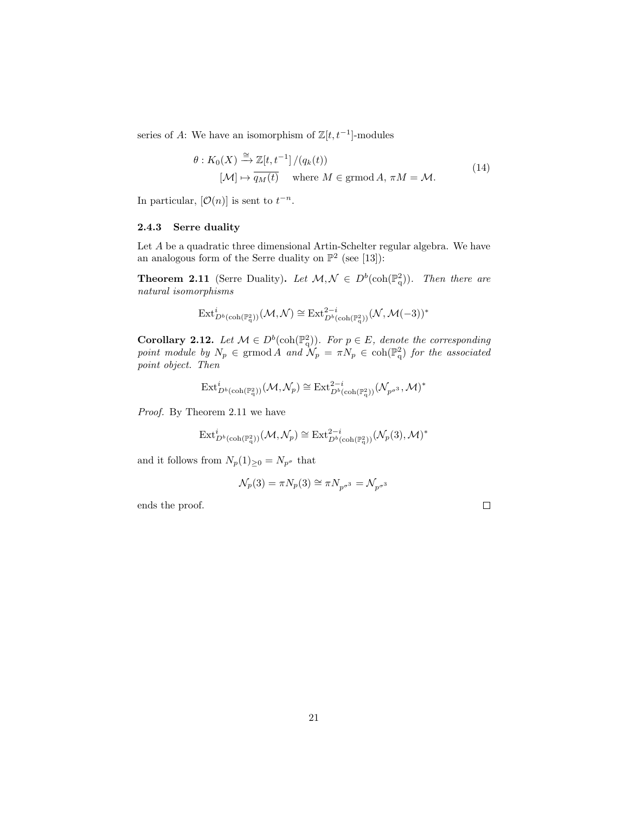series of A: We have an isomorphism of  $\mathbb{Z}[t, t^{-1}]$ -modules

$$
\theta: K_0(X) \xrightarrow{\cong} \mathbb{Z}[t, t^{-1}]/(q_k(t))
$$
  

$$
[\mathcal{M}] \mapsto \overline{q_M(t)} \quad \text{where } M \in \text{grmod } A, \pi M = \mathcal{M}.
$$
 (14)

In particular,  $[O(n)]$  is sent to  $t^{-n}$ .

#### 2.4.3 Serre duality

Let A be a quadratic three dimensional Artin-Schelter regular algebra. We have an analogous form of the Serre duality on  $\mathbb{P}^2$  (see [13]):

**Theorem 2.11** (Serre Duality). Let  $M, \mathcal{N} \in D^b(\text{coh}(\mathbb{P}^2_q))$ . Then there are natural isomorphisms

$$
\mathrm{Ext}^i_{D^b(\mathrm{coh}(\mathbb{P}^2_q))}(\mathcal{M},\mathcal{N})\cong \mathrm{Ext}^{2-i}_{D^b(\mathrm{coh}(\mathbb{P}^2_q))}(\mathcal{N},\mathcal{M}(-3))^*
$$

**Corollary 2.12.** Let  $M \in D^b(\text{coh}(\mathbb{P}_q^2))$ . For  $p \in E$ , denote the corresponding point module by  $N_p \in \mathrm{grmod} A$  and  $\mathcal{N}_p = \pi N_p \in \mathrm{coh}(\mathbb{P}^2_q)$  for the associated point object. Then

$$
\mathrm{Ext}^i_{D^b(\mathrm{coh}(\mathbb{P}^2_q))}(\mathcal{M},\mathcal{N}_p)\cong \mathrm{Ext}^{2-i}_{D^b(\mathrm{coh}(\mathbb{P}^2_q))}(\mathcal{N}_{p^{\sigma^3}},\mathcal{M})^*
$$

Proof. By Theorem 2.11 we have

$$
\mathrm{Ext}^i_{D^b(\mathrm{coh}(\mathbb{P}^2_q))}(\mathcal{M},\mathcal{N}_p)\cong \mathrm{Ext}^{2-i}_{D^b(\mathrm{coh}(\mathbb{P}^2_q))}(\mathcal{N}_p(3),\mathcal{M})^*
$$

and it follows from  $N_p(1)_{\geq 0} = N_{p^{\sigma}}$  that

$$
\mathcal{N}_p(3) = \pi N_p(3) \cong \pi N_{p^{\sigma^3}} = \mathcal{N}_{p^{\sigma^3}}
$$

ends the proof.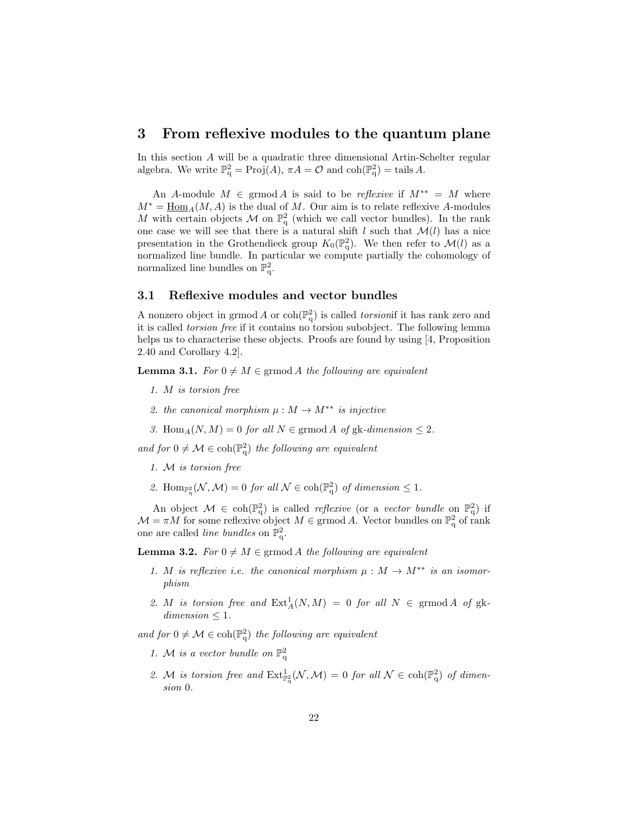# 3 From reflexive modules to the quantum plane

In this section A will be a quadratic three dimensional Artin-Schelter regular algebra. We write  $\mathbb{P}_{q}^{2} = \text{Proj}(A)$ ,  $\pi A = \mathcal{O}$  and  $\text{coh}(\mathbb{P}_{q}^{2}) = \text{tails } A$ .

An A-module  $M \in \mathrm{grmod}\,A$  is said to be *reflexive* if  $M^{**} = M$  where  $M^* = \underline{\text{Hom}}_A(M, A)$  is the dual of M. Our aim is to relate reflexive A-modules M with certain objects M on  $\mathbb{P}^2$  (which we call vector bundles). In the rank one case we will see that there is a natural shift l such that  $\mathcal{M}(l)$  has a nice presentation in the Grothendieck group  $K_0(\mathbb{P}_q^2)$ . We then refer to  $\mathcal{M}(l)$  as a normalized line bundle. In particular we compute partially the cohomology of normalized line bundles on  $\mathbb{P}^2_q$ .

### 3.1 Reflexive modules and vector bundles

A nonzero object in grmod A or  $\coh(\mathbb{P}_{q}^{2})$  is called *torsionif* it has rank zero and it is called torsion free if it contains no torsion subobject. The following lemma helps us to characterise these objects. Proofs are found by using [4, Proposition] 2.40 and Corollary 4.2].

**Lemma 3.1.** For  $0 \neq M \in \text{grmod } A$  the following are equivalent

- 1. M is torsion free
- 2. the canonical morphism  $\mu : M \to M^{**}$  is injective
- 3. Hom $_A(N, M) = 0$  for all  $N \in \mathrm{grmod} A$  of  $g k$ -dimension  $\leq 2$ .

and for  $0 \neq \mathcal{M} \in \text{coh}(\mathbb{P}_{q}^{2})$  the following are equivalent

- 1. M is torsion free
- 2. Hom<sub> $\mathbb{P}_{\mathbb{q}}^2(\mathcal{N},\mathcal{M})=0$  for all  $\mathcal{N} \in \text{coh}(\mathbb{P}_{\mathbb{q}}^2)$  of dimension  $\leq 1$ .</sub>

An object  $\mathcal{M} \in \text{coh}(\mathbb{P}_{q}^{2})$  is called *reflexive* (or a *vector bundle* on  $\mathbb{P}_{q}^{2}$ ) if  $\mathcal{M} = \pi M$  for some reflexive object  $M \in \mathrm{grmod}\,A$ . Vector bundles on  $\mathbb{P}^2$  of rank one are called *line bundles* on  $\mathbb{P}^2_q$ .

**Lemma 3.2.** For  $0 \neq M \in \text{grmod } A$  the following are equivalent

- 1. M is reflexive i.e. the canonical morphism  $\mu : M \to M^{**}$  is an isomorphism
- 2. M is torsion free and  $\text{Ext}^1_A(N,M) = 0$  for all  $N \in \text{grmod } A$  of gk $dimension \leq 1$ .

and for  $0 \neq \mathcal{M} \in \text{coh}(\mathbb{P}_{q}^{2})$  the following are equivalent

- 1. M is a vector bundle on  $\mathbb{P}^2$
- 2. M is torsion free and  $\text{Ext}_{\mathbb{P}^2_q}^1(\mathcal{N},\mathcal{M})=0$  for all  $\mathcal{N} \in \text{coh}(\mathbb{P}^2_q)$  of dimension 0.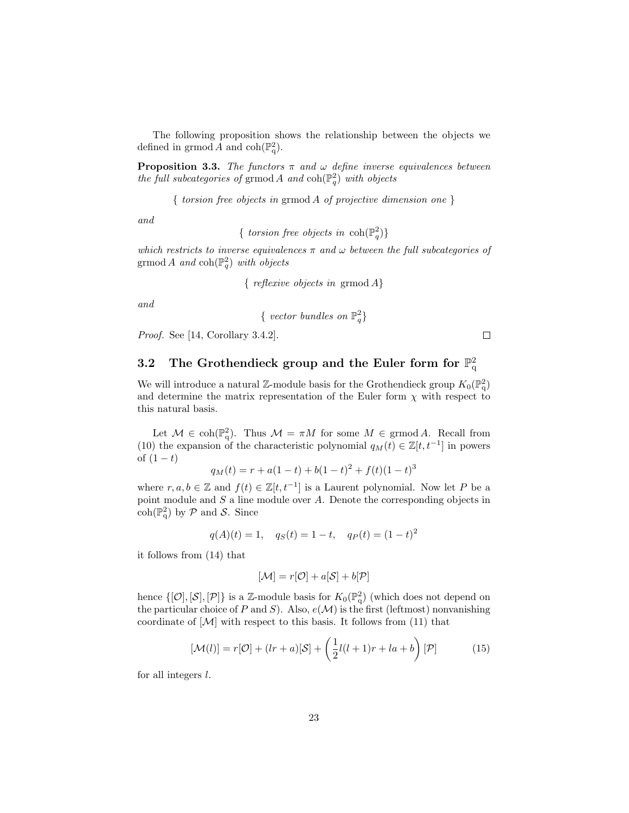The following proposition shows the relationship between the objects we defined in grmod A and  $\mathrm{coh}(\mathbb{P}^2_q)$ .

**Proposition 3.3.** The functors  $\pi$  and  $\omega$  define inverse equivalences between the full subcategories of grmod A and  $\coh(\mathbb{P}_q^2)$  with objects

{ torsion free objects in grmod A of projective dimension one }

and

{ torsion free objects in  $\coh(\mathbb{P}^2_q)$ }

which restricts to inverse equivalences  $\pi$  and  $\omega$  between the full subcategories of grmod A and  $\text{coh}(\mathbb{P}^2_q)$  with objects

{ reflexive objects in grmod A}

and

{ vector bundles on 
$$
\mathbb{P}^2_q
$$
}

Proof. See [14, Corollary 3.4.2].

3.2 The Grothendieck group and the Euler form for  $\mathbb{P}^2_q$ 

We will introduce a natural Z-module basis for the Grothendieck group  $K_0(\mathbb{P}_q^2)$ and determine the matrix representation of the Euler form  $\chi$  with respect to this natural basis.

Let  $M \in \text{coh}(\mathbb{P}_{q}^{2})$ . Thus  $M = \pi M$  for some  $M \in \text{grmod } A$ . Recall from (10) the expansion of the characteristic polynomial  $q_M(t) \in \mathbb{Z}[t, t^{-1}]$  in powers of  $(1 - t)$ 

$$
q_M(t) = r + a(1-t) + b(1-t)^2 + f(t)(1-t)^3
$$

where  $r, a, b \in \mathbb{Z}$  and  $f(t) \in \mathbb{Z}[t, t^{-1}]$  is a Laurent polynomial. Now let P be a point module and  $S$  a line module over  $A$ . Denote the corresponding objects in  $\coh(\mathbb{P}_{q}^{2})$  by  $P$  and  $S$ . Since

$$
q(A)(t) = 1
$$
,  $q_S(t) = 1 - t$ ,  $q_P(t) = (1 - t)^2$ 

it follows from (14) that

$$
[\mathcal{M}] = r[\mathcal{O}] + a[\mathcal{S}] + b[\mathcal{P}]
$$

hence  $\{[\mathcal{O}], [\mathcal{S}], [\mathcal{P}]\}$  is a Z-module basis for  $K_0(\mathbb{P}_q^2)$  (which does not depend on the particular choice of P and S). Also,  $e(\mathcal{M})$  is the first (leftmost) nonvanishing coordinate of  $[\mathcal{M}]$  with respect to this basis. It follows from (11) that

$$
[\mathcal{M}(l)] = r[\mathcal{O}] + (lr + a)[\mathcal{S}] + \left(\frac{1}{2}l(l+1)r + la + b\right)[\mathcal{P}] \tag{15}
$$

for all integers l.

 $\Box$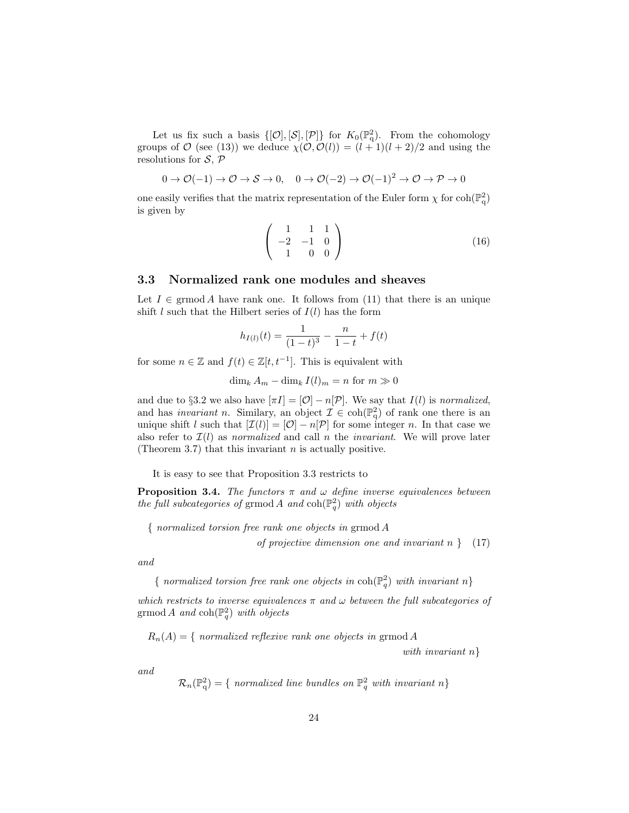Let us fix such a basis  $\{[\mathcal{O}], [\mathcal{S}], [\mathcal{P}]\}$  for  $K_0(\mathbb{P}_q^2)$ . From the cohomology groups of  $\mathcal O$  (see (13)) we deduce  $\chi(\mathcal O, \mathcal O(l)) = (l+1)(l+2)/2$  and using the resolutions for  $S, \mathcal{P}$ 

$$
0 \to \mathcal{O}(-1) \to \mathcal{O} \to \mathcal{S} \to 0, \quad 0 \to \mathcal{O}(-2) \to \mathcal{O}(-1)^2 \to \mathcal{O} \to \mathcal{P} \to 0
$$

one easily verifies that the matrix representation of the Euler form  $\chi$  for  $\text{coh}(\mathbb{P}^2_q)$ is given by

$$
\left(\begin{array}{ccc} 1 & 1 & 1 \\ -2 & -1 & 0 \\ 1 & 0 & 0 \end{array}\right) \tag{16}
$$

## 3.3 Normalized rank one modules and sheaves

Let  $I \in \mathrm{grmod}\, A$  have rank one. It follows from (11) that there is an unique shift l such that the Hilbert series of  $I(l)$  has the form

$$
h_{I(l)}(t) = \frac{1}{(1-t)^3} - \frac{n}{1-t} + f(t)
$$

for some  $n \in \mathbb{Z}$  and  $f(t) \in \mathbb{Z}[t, t^{-1}]$ . This is equivalent with

$$
\dim_k A_m - \dim_k I(l)_m = n \text{ for } m \gg 0
$$

and due to §3.2 we also have  $[\pi I] = [O] - n[\mathcal{P}]$ . We say that  $I(l)$  is normalized, and has *invariant n*. Similary, an object  $\mathcal{I} \in \text{coh}(\mathbb{P}_{q}^{2})$  of rank one there is an unique shift l such that  $[\mathcal{I}(l)] = [\mathcal{O}] - n[\mathcal{P}]$  for some integer n. In that case we also refer to  $\mathcal{I}(l)$  as normalized and call n the invariant. We will prove later (Theorem 3.7) that this invariant  $n$  is actually positive.

It is easy to see that Proposition 3.3 restricts to

**Proposition 3.4.** The functors  $\pi$  and  $\omega$  define inverse equivalences between the full subcategories of grmod A and  $\coh(\mathbb{P}_q^2)$  with objects

{ normalized torsion free rank one objects in grmod A

of projective dimension one and invariant  $n \}$  (17)

and

{ normalized torsion free rank one objects in  $\coh(\mathbb{P}^2_q)$  with invariant  $n$ }

which restricts to inverse equivalences  $\pi$  and  $\omega$  between the full subcategories of grmod A and  $\text{coh}(\mathbb{P}^2_q)$  with objects

 $R_n(A) = \{$  normalized reflexive rank one objects in grmod A

with invariant  $n$ }

and

$$
\mathcal{R}_n(\mathbb{P}_q^2) = \{ \text{ normalized line bundles on } \mathbb{P}_q^2 \text{ with invariant } n \}
$$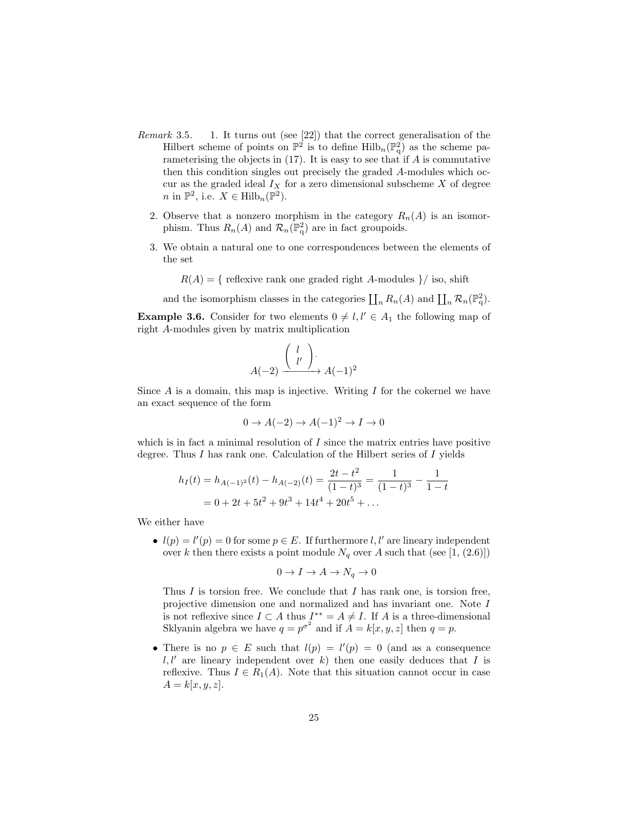- Remark 3.5. 1. It turns out (see [22]) that the correct generalisation of the Hilbert scheme of points on  $\mathbb{P}^2$  is to define  $\text{Hilb}_n(\mathbb{P}^2_q)$  as the scheme parameterising the objects in  $(17)$ . It is easy to see that if A is commutative then this condition singles out precisely the graded A-modules which occur as the graded ideal  $I_X$  for a zero dimensional subscheme X of degree *n* in  $\mathbb{P}^2$ , i.e.  $X \in \text{Hilb}_n(\mathbb{P}^2)$ .
	- 2. Observe that a nonzero morphism in the category  $R_n(A)$  is an isomorphism. Thus  $R_n(A)$  and  $\mathcal{R}_n(\mathbb{P}^2_q)$  are in fact groupoids.
	- 3. We obtain a natural one to one correspondences between the elements of the set
		- $R(A) = \{$  reflexive rank one graded right A-modules  $\}/$  iso, shift

and the isomorphism classes in the categories  $\prod_n R_n(A)$  and  $\prod_n \mathcal{R}_n(\mathbb{P}^2_q)$ .

**Example 3.6.** Consider for two elements  $0 \neq l, l' \in A_1$  the following map of right A-modules given by matrix multiplication

$$
A(-2) \xrightarrow{\begin{pmatrix} l \\ l' \end{pmatrix}} A(-1)^2
$$

Since  $A$  is a domain, this map is injective. Writing  $I$  for the cokernel we have an exact sequence of the form

$$
0 \to A(-2) \to A(-1)^2 \to I \to 0
$$

which is in fact a minimal resolution of  $I$  since the matrix entries have positive degree. Thus I has rank one. Calculation of the Hilbert series of I yields

$$
h_I(t) = h_{A(-1)^2}(t) - h_{A(-2)}(t) = \frac{2t - t^2}{(1 - t)^3} = \frac{1}{(1 - t)^3} - \frac{1}{1 - t}
$$
  
= 0 + 2t + 5t<sup>2</sup> + 9t<sup>3</sup> + 14t<sup>4</sup> + 20t<sup>5</sup> + ...

We either have

•  $l(p) = l'(p) = 0$  for some  $p \in E$ . If furthermore l, l' are lineary independent over k then there exists a point module  $N_q$  over A such that (see [1, (2.6)])

$$
0 \to I \to A \to N_q \to 0
$$

Thus  $I$  is torsion free. We conclude that  $I$  has rank one, is torsion free, projective dimension one and normalized and has invariant one. Note I is not reflexive since  $I \subset A$  thus  $I^{**} = A \neq I$ . If A is a three-dimensional Sklyanin algebra we have  $q = p^{\sigma^2}$  and if  $A = k[x, y, z]$  then  $q = p$ .

• There is no  $p \in E$  such that  $l(p) = l'(p) = 0$  (and as a consequence  $l, l'$  are lineary independent over k) then one easily deduces that I is reflexive. Thus  $I \in R_1(A)$ . Note that this situation cannot occur in case  $A = k[x, y, z].$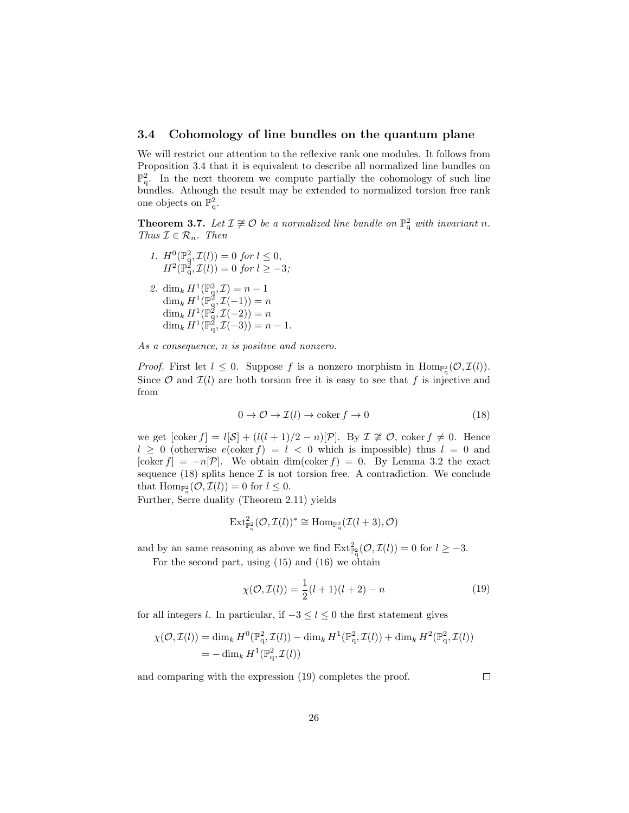## 3.4 Cohomology of line bundles on the quantum plane

We will restrict our attention to the reflexive rank one modules. It follows from Proposition 3.4 that it is equivalent to describe all normalized line bundles on  $\mathbb{P}^2_q$ . In the next theorem we compute partially the cohomology of such line bundles. Athough the result may be extended to normalized torsion free rank one objects on  $\mathbb{P}^2$ .

**Theorem 3.7.** Let  $\mathcal{I} \not\cong \mathcal{O}$  be a normalized line bundle on  $\mathbb{P}^2_q$  with invariant n. Thus  $\mathcal{I} \in \mathcal{R}_n$ . Then

- 1.  $H^0(\mathbb{P}_q^2, \mathcal{I}(l)) = 0$  for  $l \leq 0$ ,  $H^2(\mathbb{P}_{q}^2, \mathcal{I}(l)) = 0$  for  $l \geq -3$ ;
- 2. dim<sub>k</sub>  $H^1(\mathbb{P}_q^2, \mathcal{I}) = n 1$  $\dim_k H^1(\mathbb{P}^{\bar{2}}_q,\mathcal{I}(-1))=n$  $\dim_k H^1(\mathbb{P}^2_q, \mathcal{I}(-2)) = n$  $\dim_k H^1(\mathbb{P}^2_q, \mathcal{I}(-3)) = n - 1.$

As a consequence, n is positive and nonzero.

*Proof.* First let  $l \leq 0$ . Suppose f is a nonzero morphism in  $\text{Hom}_{\mathbb{P}^2_q}(\mathcal{O},\mathcal{I}(l))$ . Since  $\mathcal O$  and  $\mathcal I(l)$  are both torsion free it is easy to see that f is injective and from

$$
0 \to \mathcal{O} \to \mathcal{I}(l) \to \text{coker } f \to 0 \tag{18}
$$

we get  $[\text{coker } f] = l[\mathcal{S}] + (l(l+1)/2 - n)[\mathcal{P}]$ . By  $\mathcal{I} \not\cong \mathcal{O}$ ,  $\text{coker } f \neq 0$ . Hence  $l \geq 0$  (otherwise  $e(\text{coker } f) = l \leq 0$  which is impossible) thus  $l = 0$  and [coker  $f$ ] =  $-n[\mathcal{P}]$ . We obtain dim(coker  $f$ ) = 0. By Lemma 3.2 the exact sequence (18) splits hence  $\mathcal I$  is not torsion free. A contradiction. We conclude that  $\text{Hom}_{\mathbb{P}^2_\mathbf{q}}(\mathcal{O},\mathcal{I}(l))=0$  for  $l\leq 0$ .

Further, Serre duality (Theorem 2.11) yields

$$
\mathrm{Ext}^2_{\mathbb{P}^2_q}(\mathcal{O},\mathcal{I}(l))^* \cong \mathrm{Hom}_{\mathbb{P}^2_q}(\mathcal{I}(l+3),\mathcal{O})
$$

and by an same reasoning as above we find  $\text{Ext}_{\mathbb{P}_q^2}^2(\mathcal{O},\mathcal{I}(l))=0$  for  $l \geq -3$ .

For the second part, using (15) and (16) we obtain

$$
\chi(\mathcal{O}, \mathcal{I}(l)) = \frac{1}{2}(l+1)(l+2) - n \tag{19}
$$

for all integers l. In particular, if  $-3 \le l \le 0$  the first statement gives

$$
\chi(\mathcal{O},\mathcal{I}(l)) = \dim_k H^0(\mathbb{P}_q^2,\mathcal{I}(l)) - \dim_k H^1(\mathbb{P}_q^2,\mathcal{I}(l)) + \dim_k H^2(\mathbb{P}_q^2,\mathcal{I}(l))
$$
  
=  $-\dim_k H^1(\mathbb{P}_q^2,\mathcal{I}(l))$ 

and comparing with the expression (19) completes the proof.

 $\Box$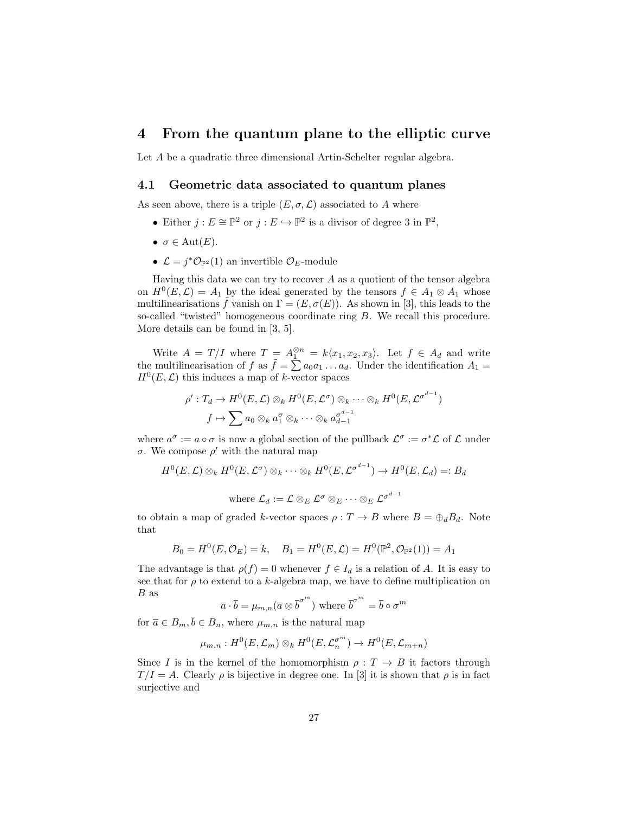# 4 From the quantum plane to the elliptic curve

Let A be a quadratic three dimensional Artin-Schelter regular algebra.

#### 4.1 Geometric data associated to quantum planes

As seen above, there is a triple  $(E, \sigma, \mathcal{L})$  associated to A where

- Either  $j: E \cong \mathbb{P}^2$  or  $j: E \hookrightarrow \mathbb{P}^2$  is a divisor of degree 3 in  $\mathbb{P}^2$ ,
- $\sigma \in \text{Aut}(E)$ .
- $\mathcal{L} = j^* \mathcal{O}_{\mathbb{P}^2}(1)$  an invertible  $\mathcal{O}_E$ -module

Having this data we can try to recover  $A$  as a quotient of the tensor algebra on  $H^0(E, \mathcal{L}) = A_1$  by the ideal generated by the tensors  $f \in A_1 \otimes A_1$  whose multilinearisations  $\tilde{f}$  vanish on  $\Gamma = (E, \sigma(E))$ . As shown in [3], this leads to the so-called "twisted" homogeneous coordinate ring B. We recall this procedure. More details can be found in [3, 5].

Write  $A = T/I$  where  $T = A_1^{\otimes n} = k\langle x_1, x_2, x_3 \rangle$ . Let  $f \in A_d$  and write the multilinearisation of f as  $\tilde{f} = \sum a_0 a_1 \ldots a_d$ . Under the identification  $A_1 =$  $H^0(E, \mathcal{L})$  this induces a map of k-vector spaces

$$
\rho': T_d \to H^0(E, \mathcal{L}) \otimes_k H^0(E, \mathcal{L}^{\sigma}) \otimes_k \cdots \otimes_k H^0(E, \mathcal{L}^{\sigma^{d-1}})
$$
  

$$
f \mapsto \sum a_0 \otimes_k a_1^{\sigma} \otimes_k \cdots \otimes_k a_{d-1}^{\sigma^{d-1}}
$$

where  $a^{\sigma} := a \circ \sigma$  is now a global section of the pullback  $\mathcal{L}^{\sigma} := \sigma^* \mathcal{L}$  of  $\mathcal{L}$  under σ. We compose  $ρ'$  with the natural map

$$
H^{0}(E, \mathcal{L}) \otimes_{k} H^{0}(E, \mathcal{L}^{\sigma}) \otimes_{k} \cdots \otimes_{k} H^{0}(E, \mathcal{L}^{\sigma^{d-1}}) \to H^{0}(E, \mathcal{L}_{d}) =: B_{d}
$$
  
where  $\mathcal{L}_{d} := \mathcal{L} \otimes_{E} \mathcal{L}^{\sigma} \otimes_{E} \cdots \otimes_{E} \mathcal{L}^{\sigma^{d-1}}$ 

to obtain a map of graded k-vector spaces  $\rho: T \to B$  where  $B = \bigoplus_{d} B_d$ . Note that

$$
B_0 = H^0(E, \mathcal{O}_E) = k
$$
,  $B_1 = H^0(E, \mathcal{L}) = H^0(\mathbb{P}^2, \mathcal{O}_{\mathbb{P}^2}(1)) = A_1$ 

The advantage is that  $\rho(f) = 0$  whenever  $f \in I_d$  is a relation of A. It is easy to see that for  $\rho$  to extend to a k-algebra map, we have to define multiplication on B as

$$
\overline{a} \cdot \overline{b} = \mu_{m,n}(\overline{a} \otimes \overline{b}^{\sigma^m})
$$
 where  $\overline{b}^{\sigma^m} = \overline{b} \circ \sigma^m$ 

for  $\overline{a} \in B_m$ ,  $\overline{b} \in B_n$ , where  $\mu_{m,n}$  is the natural map

$$
\mu_{m,n}: H^0(E, \mathcal{L}_m) \otimes_k H^0(E, \mathcal{L}_n^{\sigma^m}) \to H^0(E, \mathcal{L}_{m+n})
$$

Since I is in the kernel of the homomorphism  $\rho : T \to B$  it factors through  $T/I = A$ . Clearly  $\rho$  is bijective in degree one. In [3] it is shown that  $\rho$  is in fact surjective and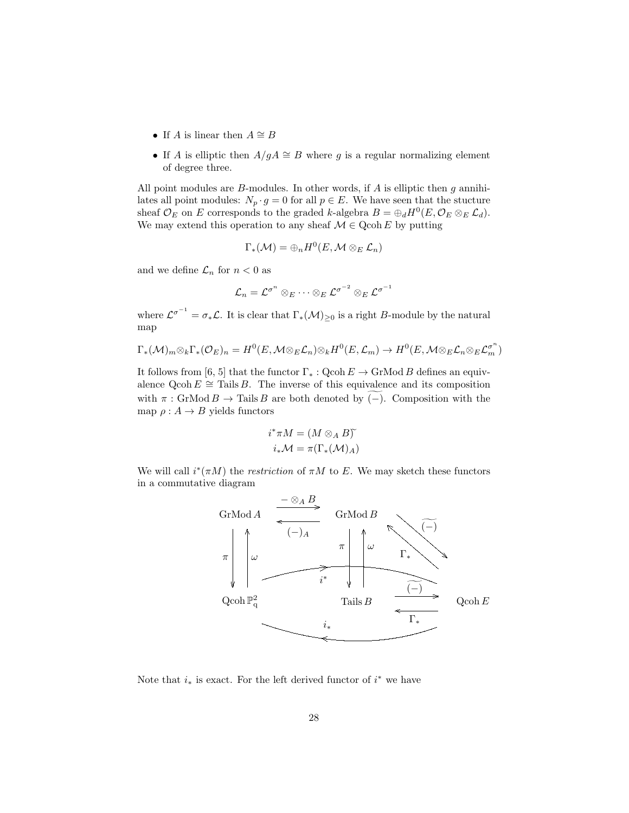- If A is linear then  $A \cong B$
- If A is elliptic then  $A/gA \cong B$  where g is a regular normalizing element of degree three.

All point modules are  $B$ -modules. In other words, if  $A$  is elliptic then  $g$  annihilates all point modules:  $N_p \cdot g = 0$  for all  $p \in E$ . We have seen that the stucture sheaf  $\mathcal{O}_E$  on E corresponds to the graded k-algebra  $B = \bigoplus_d H^0(E, \mathcal{O}_E \otimes_E \mathcal{L}_d)$ . We may extend this operation to any sheaf  $\mathcal{M} \in \text{Qcoh } E$  by putting

$$
\Gamma_*(\mathcal{M})=\oplus_n H^0(E,\mathcal{M}\otimes_E \mathcal{L}_n)
$$

and we define  $\mathcal{L}_n$  for  $n < 0$  as

$$
\mathcal{L}_n = \mathcal{L}^{\sigma^n} \otimes_E \cdots \otimes_E \mathcal{L}^{\sigma^{-2}} \otimes_E \mathcal{L}^{\sigma^{-1}}
$$

where  $\mathcal{L}^{\sigma^{-1}} = \sigma_* \mathcal{L}$ . It is clear that  $\Gamma_*(\mathcal{M})_{\geq 0}$  is a right B-module by the natural map

$$
\Gamma_*(\mathcal{M})_m \otimes_k \Gamma_*(\mathcal{O}_E)_n = H^0(E, \mathcal{M} \otimes_E \mathcal{L}_n) \otimes_k H^0(E, \mathcal{L}_m) \to H^0(E, \mathcal{M} \otimes_E \mathcal{L}_n \otimes_E \mathcal{L}_m^{\sigma^n})
$$

It follows from [6, 5] that the functor  $\Gamma_*: \text{Qcoh } E \to \text{GrMod } B$  defines an equivalence Qcoh  $E \cong$  Tails B. The inverse of this equivalence and its composition with  $\pi$ : GrMod  $B \to$  Tails B are both denoted by (-). Composition with the map  $\rho: A \to B$  yields functors

$$
i^*\pi M = (M \otimes_A B)^{\widetilde{}}\\ i_*\mathcal{M} = \pi(\Gamma_*(\mathcal{M})_A)
$$

We will call  $i^*(\pi M)$  the *restriction* of  $\pi M$  to E. We may sketch these functors in a commutative diagram



Note that  $i_*$  is exact. For the left derived functor of  $i^*$  we have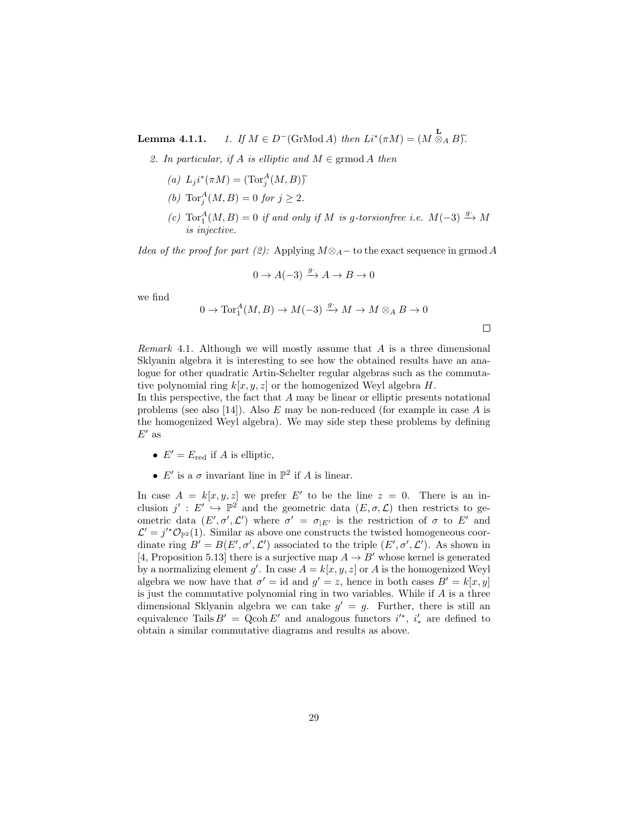**Lemma 4.1.1.**  $1.$  If  $M \in D^-(\text{GrMod } A)$  then  $Li^*(\pi M) = (M \overset{\mathbf{L}}{\otimes}_A B)$ .

- 2. In particular, if A is elliptic and  $M \in \mathrm{grmod}\, A$  then
	- (a)  $L_j i^*(\pi M) = (\text{Tor}_j^A(M, B))$
	- (*b*)  $\text{Tor}_{j}^{A}(M, B) = 0$  for  $j \geq 2$ .
	- (c)  $\text{Tor}_1^A(M, B) = 0$  if and only if M is g-torsionfree i.e.  $M(-3) \xrightarrow{g^*} M$ is injective.

*Idea of the proof for part (2):* Applying  $M \otimes_A -$  to the exact sequence in grmod A

$$
0 \to A(-3) \xrightarrow{g^*} A \to B \to 0
$$

we find

$$
0 \to \operatorname{Tor}_1^A(M, B) \to M(-3) \xrightarrow{g^*} M \to M \otimes_A B \to 0
$$

 $\Box$ 

Remark 4.1. Although we will mostly assume that  $A$  is a three dimensional Sklyanin algebra it is interesting to see how the obtained results have an analogue for other quadratic Artin-Schelter regular algebras such as the commutative polynomial ring  $k[x, y, z]$  or the homogenized Weyl algebra  $H$ .

In this perspective, the fact that A may be linear or elliptic presents notational problems (see also [14]). Also  $E$  may be non-reduced (for example in case  $A$  is the homogenized Weyl algebra). We may side step these problems by defining  $E'$  as

- $E' = E_{\text{red}}$  if A is elliptic,
- $E'$  is a  $\sigma$  invariant line in  $\mathbb{P}^2$  if A is linear.

In case  $A = k[x, y, z]$  we prefer E' to be the line  $z = 0$ . There is an inclusion  $j' : E' \to \mathbb{P}^2$  and the geometric data  $(E, \sigma, \mathcal{L})$  then restricts to geometric data  $(E', \sigma', \mathcal{L}')$  where  $\sigma' = \sigma_{|E'}$  is the restriction of  $\sigma$  to E' and  $\mathcal{L}' = j'^* \mathcal{O}_{\mathbb{P}^2}(1)$ . Similar as above one constructs the twisted homogeneous coordinate ring  $B' = B(E', \sigma', \mathcal{L}')$  associated to the triple  $(E', \sigma', \mathcal{L}')$ . As shown in [4, Proposition 5.13] there is a surjective map  $A \rightarrow B'$  whose kernel is generated by a normalizing element g'. In case  $A = k[x, y, z]$  or A is the homogenized Weyl algebra we now have that  $\sigma' = id$  and  $g' = z$ , hence in both cases  $B' = k[x, y]$ is just the commutative polynomial ring in two variables. While if  $A$  is a three dimensional Sklyanin algebra we can take  $g' = g$ . Further, there is still an equivalence Tails  $B' = \text{Qcoh } E'$  and analogous functors  $i'^{*}, i'_{*}$  are defined to obtain a similar commutative diagrams and results as above.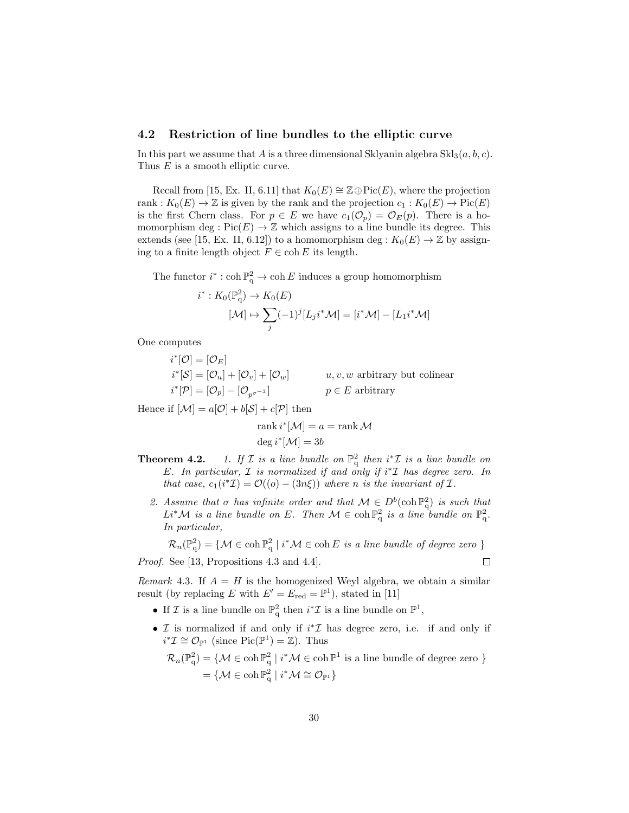### 4.2 Restriction of line bundles to the elliptic curve

In this part we assume that A is a three dimensional Sklyanin algebra  $\text{Skl}_3(a, b, c)$ . Thus E is a smooth elliptic curve.

Recall from [15, Ex. II, 6.11] that  $K_0(E) \cong \mathbb{Z} \oplus Pic(E)$ , where the projection rank :  $K_0(E) \to \mathbb{Z}$  is given by the rank and the projection  $c_1 : K_0(E) \to Pic(E)$ is the first Chern class. For  $p \in E$  we have  $c_1(\mathcal{O}_p) = \mathcal{O}_E(p)$ . There is a homomorphism deg :  $Pic(E) \to \mathbb{Z}$  which assigns to a line bundle its degree. This extends (see [15, Ex. II, 6.12]) to a homomorphism deg :  $K_0(E) \to \mathbb{Z}$  by assigning to a finite length object  $F \in \text{coh } E$  its length.

The functor  $i^* : \coth \mathbb{P}_{q}^2 \to \coth E$  induces a group homomorphism

$$
i^*: K_0(\mathbb{P}_q^2) \to K_0(E)
$$

$$
[\mathcal{M}] \mapsto \sum_j (-1)^j [L_j i^* \mathcal{M}] = [i^* \mathcal{M}] - [L_1 i^* \mathcal{M}]
$$

One computes

$$
i^*[\mathcal{O}] = [\mathcal{O}_E]
$$
  
\n
$$
i^*[\mathcal{S}] = [\mathcal{O}_u] + [\mathcal{O}_v] + [\mathcal{O}_w]
$$
  
\n
$$
i^*[\mathcal{P}] = [\mathcal{O}_p] - [\mathcal{O}_{p^{\sigma^{-3}}}]
$$
  
\n
$$
p \in E
$$
 arbitrary

Hence if  $[\mathcal{M}] = a[\mathcal{O}] + b[\mathcal{S}] + c[\mathcal{P}]$  then

$$
rank i^*[M] = a = rank M
$$

$$
deg i^*[M] = 3b
$$

- **Theorem 4.2.** 1. If  $\mathcal{I}$  is a line bundle on  $\mathbb{P}^2_q$  then  $i^*\mathcal{I}$  is a line bundle on E. In particular,  $\mathcal I$  is normalized if and only if i<sup>\*</sup> $\mathcal I$  has degree zero. In that case,  $c_1(i^*\mathcal{I}) = \mathcal{O}((o) - (3n\xi))$  where n is the invariant of  $\mathcal{I}$ .
	- 2. Assume that  $\sigma$  has infinite order and that  $\mathcal{M} \in D^b(\mathrm{coh} \mathbb{P}^2_q)$  is such that  $Li^*{\mathcal M}$  is a line bundle on E. Then  ${\mathcal M} \in \operatorname{coh} \mathbb{P}^2_q$  is a line bundle on  $\mathbb{P}^2_q$ . In particular,

 $\mathcal{R}_n(\mathbb{P}^2_q) = \{ \mathcal{M} \in \operatorname{coh} \mathbb{P}^2_q \mid i^* \mathcal{M} \in \operatorname{coh} E \text{ is a line bundle of degree zero } \}$ 

 $\Box$ 

Proof. See [13, Propositions 4.3 and 4.4].

Remark 4.3. If  $A = H$  is the homogenized Weyl algebra, we obtain a similar result (by replacing E with  $E' = E_{\text{red}} = \mathbb{P}^1$ ), stated in [11]

- If  $\mathcal I$  is a line bundle on  $\mathbb{P}^2_q$  then  $i^*\mathcal I$  is a line bundle on  $\mathbb{P}^1$ ,
- $\mathcal I$  is normalized if and only if  $i^*\mathcal I$  has degree zero, i.e. if and only if  $i^*\mathcal{I} \cong \mathcal{O}_{\mathbb{P}^1}$  (since  $\mathrm{Pic}(\mathbb{P}^1) = \mathbb{Z}$ ). Thus

$$
\mathcal{R}_n(\mathbb{P}_q^2) = \{ \mathcal{M} \in \operatorname{coh} \mathbb{P}_q^2 \mid i^* \mathcal{M} \in \operatorname{coh} \mathbb{P}^1 \text{ is a line bundle of degree zero } \}
$$

$$
= \{ \mathcal{M} \in \operatorname{coh} \mathbb{P}_q^2 \mid i^* \mathcal{M} \cong \mathcal{O}_{\mathbb{P}^1} \}
$$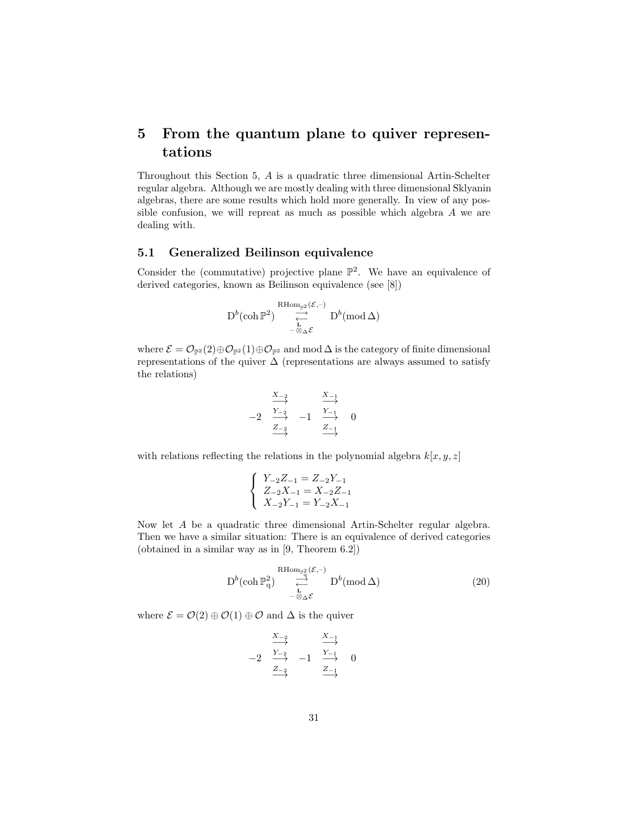# 5 From the quantum plane to quiver representations

Throughout this Section 5, A is a quadratic three dimensional Artin-Schelter regular algebra. Although we are mostly dealing with three dimensional Sklyanin algebras, there are some results which hold more generally. In view of any possible confusion, we will repreat as much as possible which algebra A we are dealing with.

# 5.1 Generalized Beilinson equivalence

Consider the (commutative) projective plane  $\mathbb{P}^2$ . We have an equivalence of derived categories, known as Beilinson equivalence (see [8])

$$
\mathbf{D}^b(\mathop{\rm coh}\nolimits \mathbb{P}^2) \underset{-\otimes_\Delta \mathcal{E}}{\overset{\mathbf{R}\mathrm{Hom}_{\mathbb{P}^2}(\mathcal{E},-)}{\rightleftarrows}} \mathbf{D}^b(\mathop{\rm mod}\nolimits \Delta)
$$

where  $\mathcal{E} = \mathcal{O}_{\mathbb{P}^2}(2) \oplus \mathcal{O}_{\mathbb{P}^2}(1) \oplus \mathcal{O}_{\mathbb{P}^2}$  and mod  $\Delta$  is the category of finite dimensional representations of the quiver  $\Delta$  (representations are always assumed to satisfy the relations)

$$
\begin{array}{cccc}\n & \xrightarrow{X_{-2}} & & \xrightarrow{X_{-1}} \\
 & \xrightarrow{Y_{-2}} & -1 & \xrightarrow{Y_{-1}} & 0 \\
 & \xrightarrow{Z_{-2}} & & \xrightarrow{Z_{-1}} & \n\end{array}
$$

with relations reflecting the relations in the polynomial algebra  $k[x, y, z]$ 

$$
\left\{\begin{array}{l} Y_{-2}Z_{-1}=Z_{-2}Y_{-1} \\ Z_{-2}X_{-1}=X_{-2}Z_{-1} \\ X_{-2}Y_{-1}=Y_{-2}X_{-1} \end{array}\right.
$$

Now let A be a quadratic three dimensional Artin-Schelter regular algebra. Then we have a similar situation: There is an equivalence of derived categories (obtained in a similar way as in [9, Theorem 6.2])

$$
D^{b}(\operatorname{coh} \mathbb{P}_{q}^{2}) \underset{-\otimes_{\Delta} \mathcal{E}}{\overset{\operatorname{RHom}_{\mathbb{P}_{q}^{2}}}{\underset{\longleftarrow}{\right}}(\mathcal{E},-)} D^{b}(\operatorname{mod} \Delta)
$$
(20)

where  $\mathcal{E} = \mathcal{O}(2) \oplus \mathcal{O}(1) \oplus \mathcal{O}$  and  $\Delta$  is the quiver

$$
\begin{array}{cccc}\n & \xrightarrow{X_{-2}} & & \xrightarrow{X_{-1}} \\
 & \xrightarrow{Y_{-2}} & -1 & \xrightarrow{Y_{-1}} & 0 \\
 & \xrightarrow{Z_{-2}} & & \xrightarrow{Z_{-1}} & \n\end{array}
$$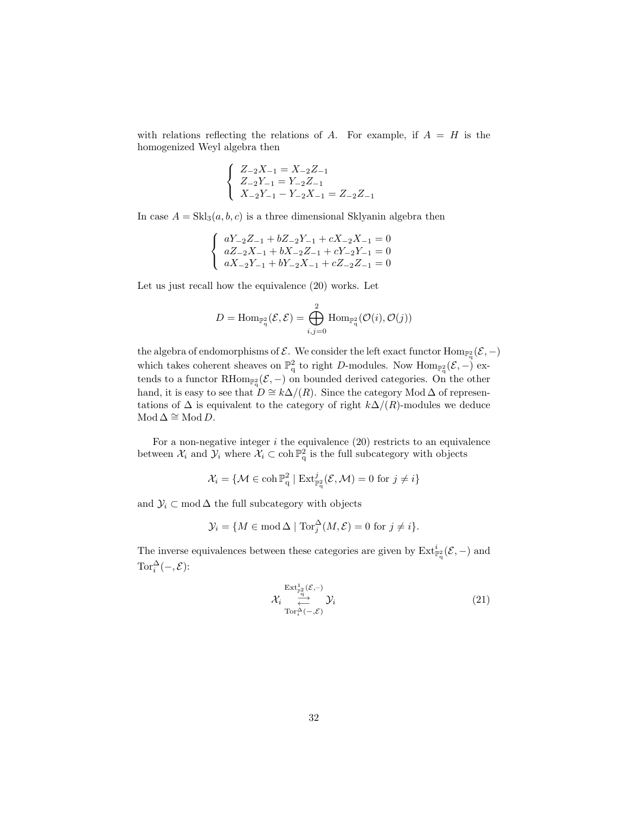with relations reflecting the relations of A. For example, if  $A = H$  is the homogenized Weyl algebra then

$$
\left\{\begin{array}{l} Z_{-2}X_{-1}=X_{-2}Z_{-1} \\ Z_{-2}Y_{-1}=Y_{-2}Z_{-1} \\ X_{-2}Y_{-1}-Y_{-2}X_{-1}=Z_{-2}Z_{-1} \end{array}\right.
$$

In case  $A = Skl_3(a, b, c)$  is a three dimensional Sklyanin algebra then

$$
\left\{\begin{array}{l} aY_{-2}Z_{-1}+bZ_{-2}Y_{-1}+cX_{-2}X_{-1}=0\\ aZ_{-2}X_{-1}+bX_{-2}Z_{-1}+cY_{-2}Y_{-1}=0\\ aX_{-2}Y_{-1}+bY_{-2}X_{-1}+cZ_{-2}Z_{-1}=0\end{array}\right.
$$

Let us just recall how the equivalence (20) works. Let

$$
D=\mathrm{Hom}_{\mathbb{P}^2_{\mathbf{q}}}(\mathcal{E},\mathcal{E})=\bigoplus_{i,j=0}^2\mathrm{Hom}_{\mathbb{P}^2_{\mathbf{q}}}(\mathcal{O}(i),\mathcal{O}(j))
$$

the algebra of endomorphisms of  $\mathcal E$ . We consider the left exact functor  $\text{Hom}_{\mathbb P^2}(\mathcal E,-)$ which takes coherent sheaves on  $\mathbb{P}^2_q$  to right D-modules. Now  $\text{Hom}_{\mathbb{P}^2_q}(\mathcal{E},-)$  extends to a functor  $\text{RHom}_{\mathbb{P}_q^2}(\mathcal{E},-)$  on bounded derived categories. On the other hand, it is easy to see that  $D \cong k\Delta/(R)$ . Since the category Mod  $\Delta$  of representations of  $\Delta$  is equivalent to the category of right  $k\Delta/(R)$ -modules we deduce  $Mod \Delta \cong Mod D.$ 

For a non-negative integer  $i$  the equivalence (20) restricts to an equivalence between  $\mathcal{X}_i$  and  $\mathcal{Y}_i$  where  $\mathcal{X}_i \subset \text{coh } \mathbb{P}^2$  is the full subcategory with objects

$$
\mathcal{X}_i = \{ \mathcal{M} \in \operatorname{coh} \mathbb{P}^2_q \mid \operatorname{Ext}^j_{\mathbb{P}^2_q}(\mathcal{E}, \mathcal{M}) = 0 \text{ for } j \neq i \}
$$

and  $\mathcal{Y}_i \subset \text{mod } \Delta$  the full subcategory with objects

$$
\mathcal{Y}_i = \{ M \in \operatorname{mod} \Delta \mid \operatorname{Tor}_j^{\Delta}(M, \mathcal{E}) = 0 \text{ for } j \neq i \}.
$$

The inverse equivalences between these categories are given by  $\text{Ext}^i_{\mathbb{P}^2_q}(\mathcal{E},-)$  and Tor $_{i}^{\Delta}(-, \mathcal{E})$ :

$$
\mathcal{X}_{i} \overset{\text{Ext}^{1}_{\mathbb{F}_{q}^{2}}(\mathcal{E},-)}{\underset{\text{Tor}_{i}^{\Delta}(-,\mathcal{E})}{\longrightarrow}} \mathcal{Y}_{i}
$$
\n(21)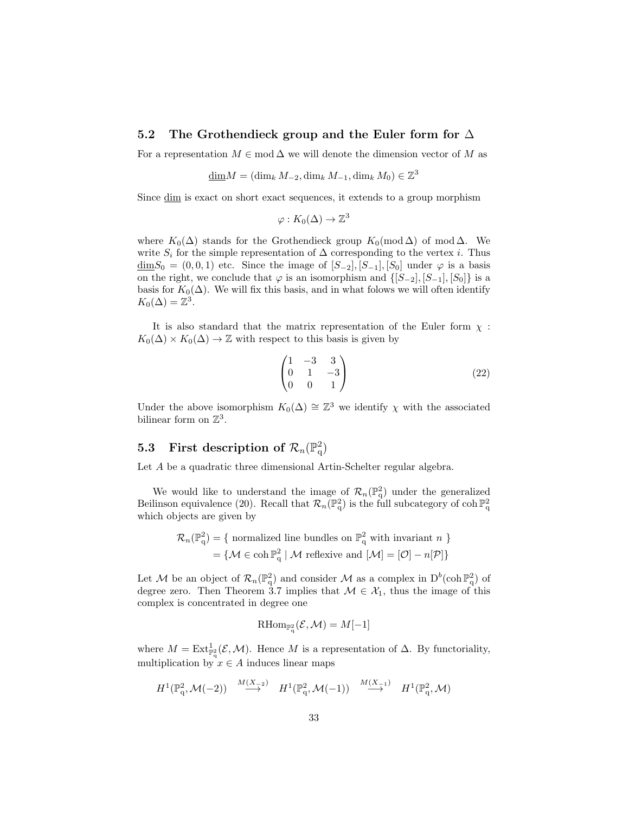## 5.2 The Grothendieck group and the Euler form for  $\Delta$

For a representation  $M \in \text{mod } \Delta$  we will denote the dimension vector of M as

$$
\underline{\dim} M = (\dim_k M_{-2}, \dim_k M_{-1}, \dim_k M_0) \in \mathbb{Z}^3
$$

Since dim is exact on short exact sequences, it extends to a group morphism

$$
\varphi: K_0(\Delta) \to \mathbb{Z}^3
$$

where  $K_0(\Delta)$  stands for the Grothendieck group  $K_0(\text{mod }\Delta)$  of mod  $\Delta$ . We write  $S_i$  for the simple representation of  $\Delta$  corresponding to the vertex *i*. Thus  $\underline{\dim}S_0 = (0, 0, 1)$  etc. Since the image of  $[S_{-2}], [S_{-1}], [S_0]$  under  $\varphi$  is a basis on the right, we conclude that  $\varphi$  is an isomorphism and  $\{[S_{-2}], [S_{-1}], [S_0]\}$  is a basis for  $K_0(\Delta)$ . We will fix this basis, and in what folows we will often identify  $K_0(\Delta) = \mathbb{Z}^3$ .

It is also standard that the matrix representation of the Euler form  $\chi$ :  $K_0(\Delta) \times K_0(\Delta) \to \mathbb{Z}$  with respect to this basis is given by

$$
\begin{pmatrix} 1 & -3 & 3 \ 0 & 1 & -3 \ 0 & 0 & 1 \end{pmatrix}
$$
 (22)

Under the above isomorphism  $K_0(\Delta) \cong \mathbb{Z}^3$  we identify  $\chi$  with the associated bilinear form on  $\mathbb{Z}^3$ .

# 5.3 First description of  $\mathcal{R}_n(\mathbb{P}^2_q)$

Let A be a quadratic three dimensional Artin-Schelter regular algebra.

We would like to understand the image of  $\mathcal{R}_n(\mathbb{P}^2_q)$  under the generalized Beilinson equivalence (20). Recall that  $\mathcal{R}_n(\mathbb{P}_q^2)$  is the full subcategory of coh  $\mathbb{P}_q^2$ which objects are given by

$$
\mathcal{R}_n(\mathbb{P}_q^2) = \{ \text{ normalized line bundles on } \mathbb{P}_q^2 \text{ with invariant } n \}
$$

$$
= \{ \mathcal{M} \in \text{coh } \mathbb{P}_q^2 \mid \mathcal{M} \text{ reflexive and } [\mathcal{M}] = [\mathcal{O}] - n[\mathcal{P}] \}
$$

Let M be an object of  $\mathcal{R}_n(\mathbb{P}^2_q)$  and consider M as a complex in  $D^b(\text{coh } \mathbb{P}^2_q)$  of degree zero. Then Theorem 3.7 implies that  $\mathcal{M} \in \mathcal{X}_1$ , thus the image of this complex is concentrated in degree one

$$
\operatorname{RHom}_{\mathbb{P}^2_{q}}(\mathcal{E},\mathcal{M})=M[-1]
$$

where  $M = \text{Ext}_{\mathbb{P}_q^2}^1(\mathcal{E}, \mathcal{M})$ . Hence M is a representation of  $\Delta$ . By functoriality, multiplication by  $x \in A$  induces linear maps

$$
H^1(\mathbb{P}_q^2, \mathcal{M}(-2)) \stackrel{M(X-2)}{\longrightarrow} H^1(\mathbb{P}_q^2, \mathcal{M}(-1)) \stackrel{M(X-1)}{\longrightarrow} H^1(\mathbb{P}_q^2, \mathcal{M})
$$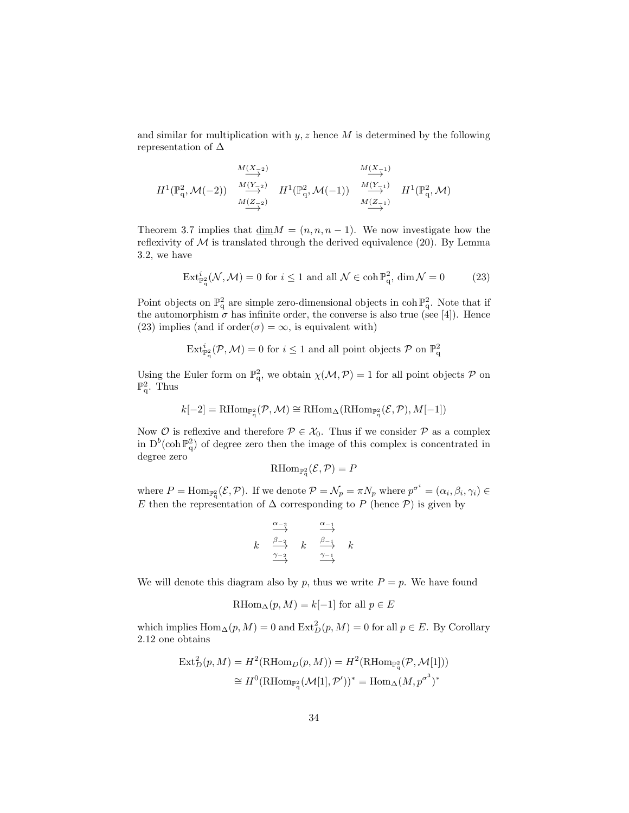and similar for multiplication with  $y, z$  hence  $M$  is determined by the following representation of  $\Delta$ 

$$
\begin{array}{ccccc}\n&\stackrel{M(X_{-2})}{\longrightarrow} &\stackrel{M(X_{-1})}{\longrightarrow} \\
H^1(\mathbb{P}_q^2,\mathcal{M}(-2))&\stackrel{M(Y_{-2})}{\longrightarrow}&H^1(\mathbb{P}_q^2,\mathcal{M}(-1))&\stackrel{M(Y_{-1})}{\longrightarrow}&H^1(\mathbb{P}_q^2,\mathcal{M})\\
&\stackrel{M(Z_{-2})}{\longrightarrow}&\stackrel{M(Z_{-1})}{\longrightarrow}&\stackrel{M(Z_{-1})}{\longrightarrow}&\n\end{array}
$$

Theorem 3.7 implies that  $\dim M = (n, n, n-1)$ . We now investigate how the reflexivity of  $M$  is translated through the derived equivalence (20). By Lemma 3.2, we have

$$
\operatorname{Ext}_{\mathbb{P}_q}^i(\mathcal{N},\mathcal{M}) = 0 \text{ for } i \le 1 \text{ and all } \mathcal{N} \in \coth \mathbb{P}_q^2, \dim \mathcal{N} = 0 \tag{23}
$$

Point objects on  $\mathbb{P}^2_q$  are simple zero-dimensional objects in coh $\mathbb{P}^2_q$ . Note that if the automorphism  $\sigma$  has infinite order, the converse is also true (see [4]). Hence (23) implies (and if order( $\sigma$ ) =  $\infty$ , is equivalent with)

$$
\operatorname{Ext}_{\mathbb{P}_q^2}^i(\mathcal{P},\mathcal{M})=0 \text{ for } i\leq 1 \text{ and all point objects } \mathcal{P} \text{ on } \mathbb{P}_q^2
$$

Using the Euler form on  $\mathbb{P}^2_q$ , we obtain  $\chi(\mathcal{M}, \mathcal{P}) = 1$  for all point objects  $\mathcal P$  on  $\mathbb{P}^2_q$ . Thus

$$
k[-2] = \mathrm{RHom}_{\mathbb{P}^2_{q}}(\mathcal{P}, \mathcal{M}) \cong \mathrm{RHom}_{\Delta}(\mathrm{RHom}_{\mathbb{P}^2_{q}}(\mathcal{E}, \mathcal{P}), M[-1])
$$

Now  $\mathcal O$  is reflexive and therefore  $\mathcal P \in \mathcal X_0$ . Thus if we consider  $\mathcal P$  as a complex in  $D^b(\text{coh } \mathbb{P}^2_q)$  of degree zero then the image of this complex is concentrated in degree zero

$$
\mathrm{RHom}_{\mathbb{P}^2_{q}}(\mathcal{E}, \mathcal{P}) = P
$$

where  $P = \text{Hom}_{\mathbb{P}_q^2}(\mathcal{E}, \mathcal{P})$ . If we denote  $\mathcal{P} = \mathcal{N}_p = \pi N_p$  where  $p^{\sigma^i} = (\alpha_i, \beta_i, \gamma_i) \in$ E then the representation of  $\Delta$  corresponding to P (hence P) is given by

$$
\begin{array}{ccc}\n & \xrightarrow{\alpha_{-2}} & \xrightarrow{\alpha_{-1}} \\
 k & \xrightarrow{\beta_{-2}} & k & \xrightarrow{\beta_{-1}} & k \\
 & \xrightarrow{\gamma_{-2}} & & \xrightarrow{\gamma_{-1}} & \n\end{array}
$$

We will denote this diagram also by p, thus we write  $P = p$ . We have found

$$
\operatorname{RHom}_{\Delta}(p, M) = k[-1] \text{ for all } p \in E
$$

which implies  $\text{Hom}_{\Delta}(p, M) = 0$  and  $\text{Ext}^2_D(p, M) = 0$  for all  $p \in E$ . By Corollary 2.12 one obtains

$$
\operatorname{Ext}^2_D(p, M) = H^2(\operatorname{RHom}_D(p, M)) = H^2(\operatorname{RHom}_{\mathbb{P}_q^2}(\mathcal{P}, \mathcal{M}[1]))
$$
  
\n
$$
\cong H^0(\operatorname{RHom}_{\mathbb{P}_q^2}(\mathcal{M}[1], \mathcal{P}'))^* = \operatorname{Hom}_{\Delta}(M, p^{\sigma^3})^*
$$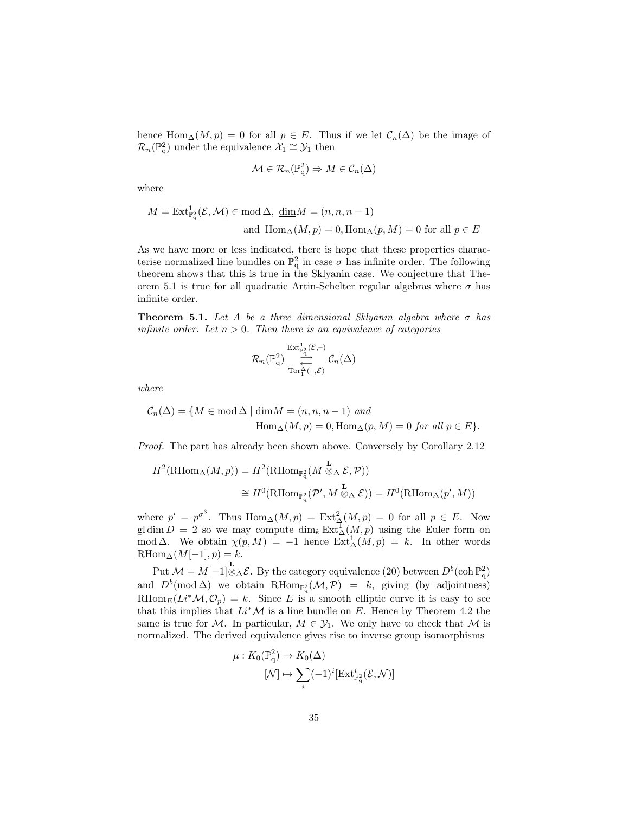hence Hom<sub>△</sub> $(M, p) = 0$  for all  $p \in E$ . Thus if we let  $C_n(\Delta)$  be the image of  $\mathcal{R}_n(\mathbb{P}^2_q)$  under the equivalence  $\mathcal{X}_1 \cong \mathcal{Y}_1$  then

$$
\mathcal{M} \in \mathcal{R}_n(\mathbb{P}_q^2) \Rightarrow M \in \mathcal{C}_n(\Delta)
$$

where

$$
M = \text{Ext}_{\mathbb{P}^2_q}^1(\mathcal{E}, \mathcal{M}) \in \text{mod}\,\Delta, \, \underline{\text{dim}}M = (n, n, n-1)
$$
  
and 
$$
\text{Hom}_{\Delta}(M, p) = 0, \text{Hom}_{\Delta}(p, M) = 0 \text{ for all } p \in E
$$

As we have more or less indicated, there is hope that these properties characterise normalized line bundles on  $\mathbb{P}^2_q$  in case  $\sigma$  has infinite order. The following theorem shows that this is true in the Sklyanin case. We conjecture that Theorem 5.1 is true for all quadratic Artin-Schelter regular algebras where  $\sigma$  has infinite order.

**Theorem 5.1.** Let A be a three dimensional Sklyanin algebra where  $\sigma$  has infinite order. Let  $n > 0$ . Then there is an equivalence of categories

$$
\mathcal{R}_n(\mathbb{P}_\mathbf{q}^2) \underset{\substack{\longrightarrow \\ \mathrm{Tor}_1^\Delta(-,\mathcal{E})}}{\overset{\mathrm{Ext}_{\mathbb{P}_\mathbf{q}^2}^1(\mathcal{E},-)}} \mathcal{C}_n(\Delta)
$$

where

$$
C_n(\Delta) = \{ M \in \text{mod } \Delta \mid \underline{\dim} M = (n, n, n-1) \text{ and}
$$
  
 
$$
\text{Hom}_{\Delta}(M, p) = 0, \text{Hom}_{\Delta}(p, M) = 0 \text{ for all } p \in E \}.
$$

Proof. The part has already been shown above. Conversely by Corollary 2.12

$$
H^2(\mathrm{RHom}_{\Delta}(M, p)) = H^2(\mathrm{RHom}_{\mathbb{P}_q^2}(M \overset{\mathbf{L}}{\otimes}_{\Delta} \mathcal{E}, \mathcal{P}))
$$
  

$$
\cong H^0(\mathrm{RHom}_{\mathbb{P}_q^2}(\mathcal{P}', M \overset{\mathbf{L}}{\otimes}_{\Delta} \mathcal{E})) = H^0(\mathrm{RHom}_{\Delta}(p', M))
$$

where  $p' = p^{\sigma^3}$ . Thus  $\text{Hom}_{\Delta}(M, p) = \text{Ext}^2_{\Delta}(M, p) = 0$  for all  $p \in E$ . Now gl dim  $D = 2$  so we may compute  $\dim_k \text{Ext}_{\Delta}^{\mathcal{T}}(M, p)$  using the Euler form on mod  $\Delta$ . We obtain  $\chi(p,M) = -1$  hence  $\text{Ext}^1_{\Delta}(M,p) = k$ . In other words  $\label{eq:RHom} \text{RHom}_{\Delta}(M[-1],p)=k.$ 

Put  $\mathcal{M} = M[-1] \otimes_{\Delta} \mathcal{E}$ . By the category equivalence (20) between  $D^b(\text{coh } \mathbb{P}^2_q)$ and  $D^b(\text{mod }\Delta)$  we obtain RHom<sub>P<sub>4</sub></sub> ( $\mathcal{M}, \mathcal{P}$ ) = k, giving (by adjointness) RHom<sub>E</sub> $(L_i^*M, \mathcal{O}_p) = k$ . Since E is a smooth elliptic curve it is easy to see that this implies that  $Li^*\mathcal{M}$  is a line bundle on E. Hence by Theorem 4.2 the same is true for M. In particular,  $M \in \mathcal{Y}_1$ . We only have to check that M is normalized. The derived equivalence gives rise to inverse group isomorphisms

$$
\mu: K_0(\mathbb{P}_q^2) \to K_0(\Delta)
$$

$$
[\mathcal{N}] \mapsto \sum_i (-1)^i [\text{Ext}_{\mathbb{P}_q^2}^i(\mathcal{E}, \mathcal{N})]
$$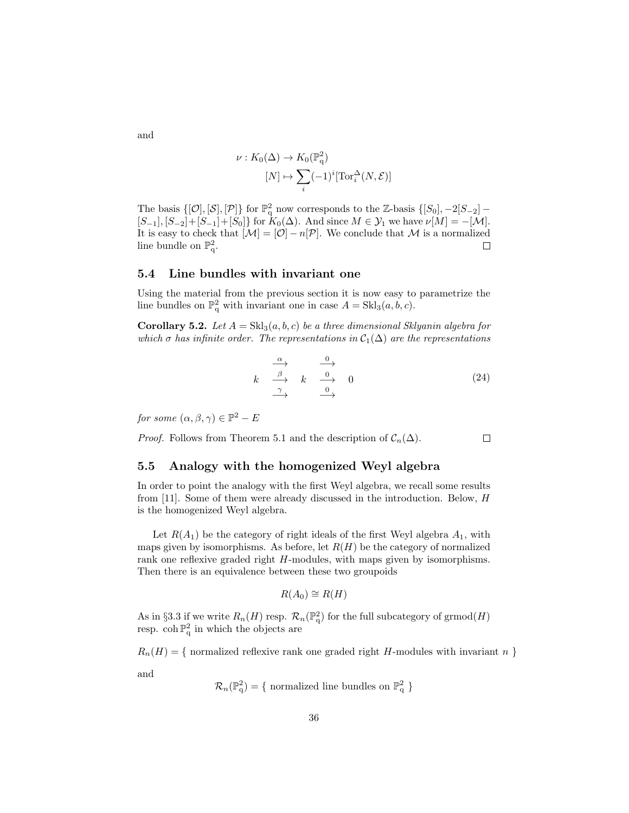$$
\nu: K_0(\Delta) \to K_0(\mathbb{P}_q^2)
$$

$$
[N] \mapsto \sum_i (-1)^i [\operatorname{Tor}_i^{\Delta}(N, \mathcal{E})]
$$

The basis  $\{[\mathcal{O}], [\mathcal{S}], [\mathcal{P}]\}$  for  $\mathbb{P}^2_q$  now corresponds to the Z-basis  $\{[S_0], -2[S_{-2}]$  –  $[S_{-1}], [S_{-2}] + [S_{-1}] + [S_0]$  for  $K_0(\Delta)$ . And since  $M \in \mathcal{Y}_1$  we have  $\nu[M] = -[\mathcal{M}]$ . It is easy to check that  $[\mathcal{M}] = [\mathcal{O}] - n[\mathcal{P}]$ . We conclude that M is a normalized line bundle on  $\mathbb{P}^2$ .  $\Box$ 

## 5.4 Line bundles with invariant one

Using the material from the previous section it is now easy to parametrize the line bundles on  $\mathbb{P}^2_q$  with invariant one in case  $A = Skl_3(a, b, c)$ .

**Corollary 5.2.** Let  $A = Skl_3(a, b, c)$  be a three dimensional Sklyanin algebra for which  $\sigma$  has infinite order. The representations in  $\mathcal{C}_1(\Delta)$  are the representations

$$
k \xrightarrow{\alpha} \begin{array}{c} \xrightarrow{\alpha} \\ \hline \beta \\ \hline \gamma \\ \end{array} \begin{array}{c} 0 \\ \hline \gamma \\ \end{array} \begin{array}{c} 0 \\ \hline 0 \\ \end{array} \end{array} \tag{24}
$$

for some  $(\alpha, \beta, \gamma) \in \mathbb{P}^2 - E$ 

*Proof.* Follows from Theorem 5.1 and the description of  $C_n(\Delta)$ .  $\Box$ 

## 5.5 Analogy with the homogenized Weyl algebra

In order to point the analogy with the first Weyl algebra, we recall some results from [11]. Some of them were already discussed in the introduction. Below, H is the homogenized Weyl algebra.

Let  $R(A_1)$  be the category of right ideals of the first Weyl algebra  $A_1$ , with maps given by isomorphisms. As before, let  $R(H)$  be the category of normalized rank one reflexive graded right H-modules, with maps given by isomorphisms. Then there is an equivalence between these two groupoids

$$
R(A_0) \cong R(H)
$$

As in §3.3 if we write  $R_n(H)$  resp.  $\mathcal{R}_n(\mathbb{P}^2_q)$  for the full subcategory of grmod $(H)$ resp.  $\coh \mathbb{P}_{q}^{2}$  in which the objects are

 $R_n(H) = \{$  normalized reflexive rank one graded right H-modules with invariant n }

and

$$
\mathcal{R}_n(\mathbb{P}_q^2) = \{ \text{ normalized line bundles on } \mathbb{P}_q^2 \}
$$

and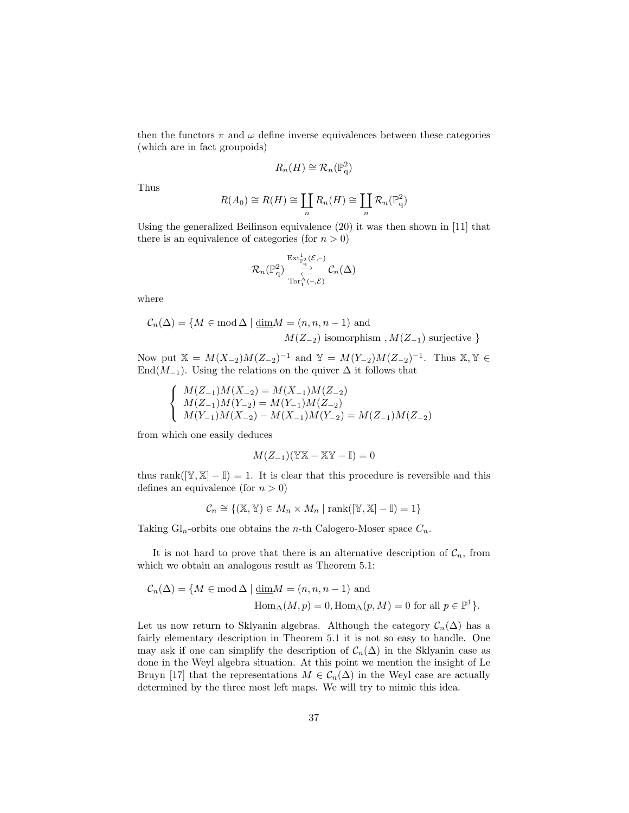then the functors  $\pi$  and  $\omega$  define inverse equivalences between these categories (which are in fact groupoids)

$$
R_n(H) \cong \mathcal{R}_n(\mathbb{P}^2_q)
$$

Thus

$$
R(A_0) \cong R(H) \cong \coprod_n R_n(H) \cong \coprod_n \mathcal{R}_n(\mathbb{P}_q^2)
$$

Using the generalized Beilinson equivalence (20) it was then shown in [11] that there is an equivalence of categories (for  $n > 0$ )

$$
\mathcal{R}_n(\mathbb{P}_\mathrm{q}^2)\underset{\substack{\longrightarrow \\ \mathrm{Tor}_1^\mathrm{c}(-,\mathcal{E})}}{\overset{\mathrm{Ext}^1_{\mathbb{P}_\mathrm{q}^2}(\mathcal{E},-)}{\underset{\longrightarrow}{\longleftarrow}}}\mathcal{C}_n(\Delta)
$$

where

$$
C_n(\Delta) = \{ M \in \text{mod } \Delta \mid \underline{\dim} M = (n, n, n-1) \text{ and}
$$
  

$$
M(Z_{-2}) \text{ isomorphism }, M(Z_{-1}) \text{ surjective }\}
$$

Now put  $\mathbb{X} = M(X_{-2})M(Z_{-2})^{-1}$  and  $\mathbb{Y} = M(Y_{-2})M(Z_{-2})^{-1}$ . Thus  $\mathbb{X}, \mathbb{Y} \in$ End $(M_{-1})$ . Using the relations on the quiver  $\Delta$  it follows that

$$
\left\{\begin{array}{l} M(Z_{-1})M(X_{-2})=M(X_{-1})M(Z_{-2})\\ M(Z_{-1})M(Y_{-2})=M(Y_{-1})M(Z_{-2})\\ M(Y_{-1})M(X_{-2})-M(X_{-1})M(Y_{-2})=M(Z_{-1})M(Z_{-2})\end{array}\right.
$$

from which one easily deduces

$$
M(Z_{-1})(\mathbb{Y}\mathbb{X}-\mathbb{X}\mathbb{Y}-\mathbb{I})=0
$$

thus rank( $[\mathbb{Y}, \mathbb{X}] - \mathbb{I}$ ) = 1. It is clear that this procedure is reversible and this defines an equivalence (for  $n > 0$ )

$$
\mathcal{C}_n \cong \{ (\mathbb{X}, \mathbb{Y}) \in M_n \times M_n \mid \text{rank}([\mathbb{Y}, \mathbb{X}] - \mathbb{I}) = 1 \}
$$

Taking  $Gl_n$ -orbits one obtains the *n*-th Calogero-Moser space  $C_n$ .

It is not hard to prove that there is an alternative description of  $C_n$ , from which we obtain an analogous result as Theorem 5.1:

$$
\mathcal{C}_n(\Delta) = \{ M \in \text{mod} \,\Delta \mid \underline{\dim} M = (n, n, n-1) \text{ and}
$$

$$
\text{Hom}_{\Delta}(M, p) = 0, \text{Hom}_{\Delta}(p, M) = 0 \text{ for all } p \in \mathbb{P}^1 \}.
$$

Let us now return to Sklyanin algebras. Although the category  $\mathcal{C}_n(\Delta)$  has a fairly elementary description in Theorem 5.1 it is not so easy to handle. One may ask if one can simplify the description of  $C_n(\Delta)$  in the Sklyanin case as done in the Weyl algebra situation. At this point we mention the insight of Le Bruyn [17] that the representations  $M \in \mathcal{C}_n(\Delta)$  in the Weyl case are actually determined by the three most left maps. We will try to mimic this idea.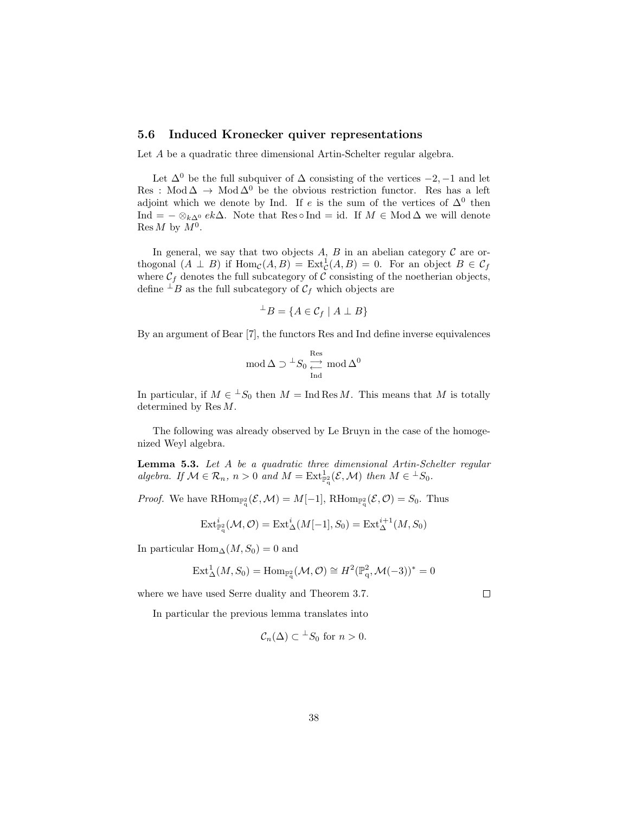## 5.6 Induced Kronecker quiver representations

Let A be a quadratic three dimensional Artin-Schelter regular algebra.

Let  $\Delta^0$  be the full subquiver of  $\Delta$  consisting of the vertices  $-2$ ,  $-1$  and let Res : Mod $\Delta \to \text{Mod}\Delta^0$  be the obvious restriction functor. Res has a left adjoint which we denote by Ind. If e is the sum of the vertices of  $\Delta^0$  then Ind =  $-\otimes_{k\Delta^0} e_k\Delta$ . Note that Res ∘ Ind = id. If  $M \in Mod \Delta$  we will denote  $\operatorname{Res} M$  by  $M^0$ .

In general, we say that two objects  $A, B$  in an abelian category  $C$  are orthogonal  $(A \perp B)$  if  $\text{Hom}_{\mathcal{C}}(A, B) = \text{Ext}^1_{\mathcal{C}}(A, B) = 0$ . For an object  $B \in \mathcal{C}_f$ where  $C_f$  denotes the full subcategory of C consisting of the noetherian objects, define  $\perp B$  as the full subcategory of  $\mathcal{C}_f$  which objects are

$$
{}^{\perp}B = \{ A \in \mathcal{C}_f \mid A \perp B \}
$$

By an argument of Bear [7], the functors Res and Ind define inverse equivalences

$$
\operatorname{mod} \Delta \supset {}^{\perp}S_0 \underset{\operatorname{Ind}}{\underset{\longleftarrow}{\longrightarrow}} \operatorname{mod} \Delta^0
$$

In particular, if  $M \in {}^{\perp}S_0$  then  $M = \text{Ind} \text{Res } M$ . This means that M is totally determined by Res M.

The following was already observed by Le Bruyn in the case of the homogenized Weyl algebra.

Lemma 5.3. Let A be a quadratic three dimensional Artin-Schelter regular algebra. If  $\mathcal{M} \in \mathcal{R}_n$ ,  $n > 0$  and  $M = \text{Ext}^1_{\mathbb{P}^2_q}(\mathcal{E}, \mathcal{M})$  then  $M \in {}^{\perp}S_0$ .

*Proof.* We have  $\text{RHom}_{\mathbb{P}_q^2}(\mathcal{E},\mathcal{M})=M[-1], \text{RHom}_{\mathbb{P}_q^2}(\mathcal{E},\mathcal{O})=S_0.$  Thus

$$
\operatorname{Ext}\nolimits^i_{{\mathbb P}^2_\mathsf{q}}(\mathcal{M},\mathcal{O})=\operatorname{Ext}\nolimits^i_\Delta(M[-1],S_0)=\operatorname{Ext}\nolimits^{i+1}_\Delta(M,S_0)
$$

In particular Hom<sub>∆</sub> $(M, S_0) = 0$  and

$$
\operatorname{Ext}_{\Delta}^{1}(M, S_{0}) = \operatorname{Hom}_{\mathbb{P}_{q}^{2}}(\mathcal{M}, \mathcal{O}) \cong H^{2}(\mathbb{P}_{q}^{2}, \mathcal{M}(-3))^{*} = 0
$$

 $\Box$ 

where we have used Serre duality and Theorem 3.7.

In particular the previous lemma translates into

$$
\mathcal{C}_n(\Delta) \subset {}^{\perp}S_0
$$
 for  $n > 0$ .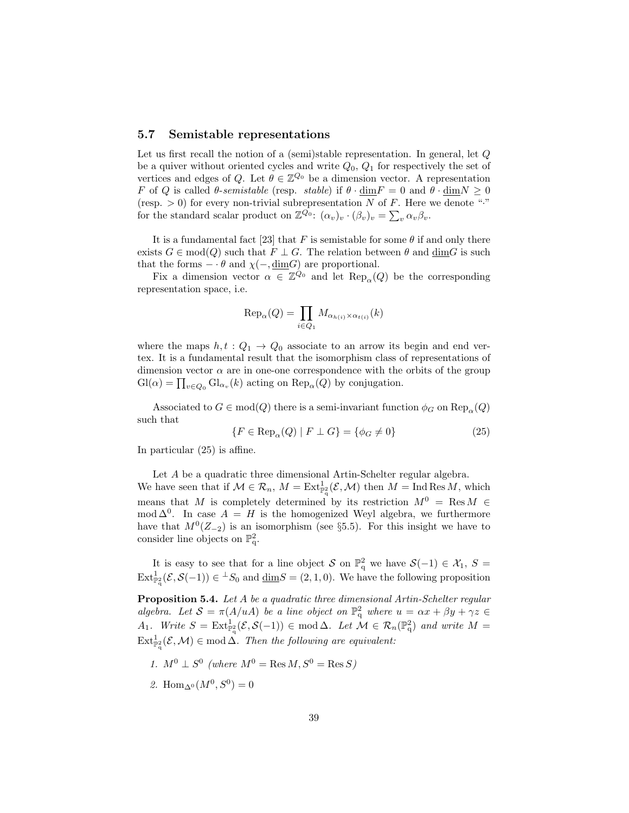## 5.7 Semistable representations

Let us first recall the notion of a (semi)stable representation. In general, let Q be a quiver without oriented cycles and write  $Q_0$ ,  $Q_1$  for respectively the set of vertices and edges of Q. Let  $\theta \in \mathbb{Z}^{Q_0}$  be a dimension vector. A representation F of Q is called  $\theta$ -semistable (resp. stable) if  $\theta \cdot \dim F = 0$  and  $\theta \cdot \dim N \ge 0$ (resp.  $> 0$ ) for every non-trivial subrepresentation N of F. Here we denote "." for the standard scalar product on  $\mathbb{Z}^{\overline{Q_0}}$ :  $(\alpha_v)_v \cdot (\beta_v)_v = \sum_v \alpha_v \beta_v$ .

It is a fundamental fact [23] that F is semistable for some  $\theta$  if and only there exists  $G \in \text{mod}(Q)$  such that  $F \perp G$ . The relation between  $\theta$  and  $\dim G$  is such that the forms  $- \cdot \theta$  and  $\chi(-, \underline{\text{dim}}G)$  are proportional.

Fix a dimension vector  $\alpha \in \mathbb{Z}^{\overline{Q}_0}$  and let  $\text{Rep}_{\alpha}(Q)$  be the corresponding representation space, i.e.

$$
\text{Rep}_{\alpha}(Q) = \prod_{i \in Q_1} M_{\alpha_{h(i)} \times \alpha_{t(i)}}(k)
$$

where the maps  $h, t : Q_1 \rightarrow Q_0$  associate to an arrow its begin and end vertex. It is a fundamental result that the isomorphism class of representations of dimension vector  $\alpha$  are in one-one correspondence with the orbits of the group  $\mathrm{Gl}(\alpha) = \prod_{v \in Q_0} \mathrm{Gl}_{\alpha_v}(k)$  acting on  $\mathrm{Rep}_{\alpha}(Q)$  by conjugation.

Associated to  $G \in \text{mod}(Q)$  there is a semi-invariant function  $\phi_G$  on  $\text{Rep}_{\alpha}(Q)$ such that

$$
\{F \in \text{Rep}_{\alpha}(Q) \mid F \perp G\} = \{\phi_G \neq 0\} \tag{25}
$$

In particular (25) is affine.

Let A be a quadratic three dimensional Artin-Schelter regular algebra. We have seen that if  $\mathcal{M} \in \mathcal{R}_n$ ,  $M = \text{Ext}_{\mathbb{P}_q}^1(\mathcal{E}, \mathcal{M})$  then  $M = \text{Ind} \operatorname{Res} M$ , which means that M is completely determined by its restriction  $M^0 = \text{Res } M \in$ mod  $\Delta^{0}$ . In case  $A = H$  is the homogenized Weyl algebra, we furthermore have that  $M^0(Z_{-2})$  is an isomorphism (see §5.5). For this insight we have to consider line objects on  $\mathbb{P}^2_q$ .

It is easy to see that for a line object S on  $\mathbb{P}^2_q$  we have  $\mathcal{S}(-1) \in \mathcal{X}_1$ ,  $S =$  $\text{Ext}_{\mathbb{P}_q^2}^1(\mathcal{E}, \mathcal{S}(-1)) \in {}^{\perp}S_0$  and  $\underline{\dim}S = (2, 1, 0)$ . We have the following proposition

Proposition 5.4. Let A be a quadratic three dimensional Artin-Schelter regular algebra. Let  $S = \pi(A/uA)$  be a line object on  $\mathbb{P}^2_q$  where  $u = \alpha x + \beta y + \gamma z \in$  $A_1$ . Write  $S = \text{Ext}^1_{\mathbb{P}^2_q}(\mathcal{E}, \mathcal{S}(-1)) \in \text{mod } \Delta$ . Let  $\mathcal{M} \in \mathcal{R}_n(\mathbb{P}^2_q)$  and write  $M =$  $\text{Ext}_{\mathbb{P}^2_\mathsf{q}}^1(\mathcal{E},\mathcal{M}) \in \text{mod }\Delta$ . Then the following are equivalent:

- 1.  $M^0 \perp S^0$  (where  $M^0 = \text{Res } M, S^0 = \text{Res } S$ )
- 2. Hom<sub>∆</sub> $(M^0, S^0) = 0$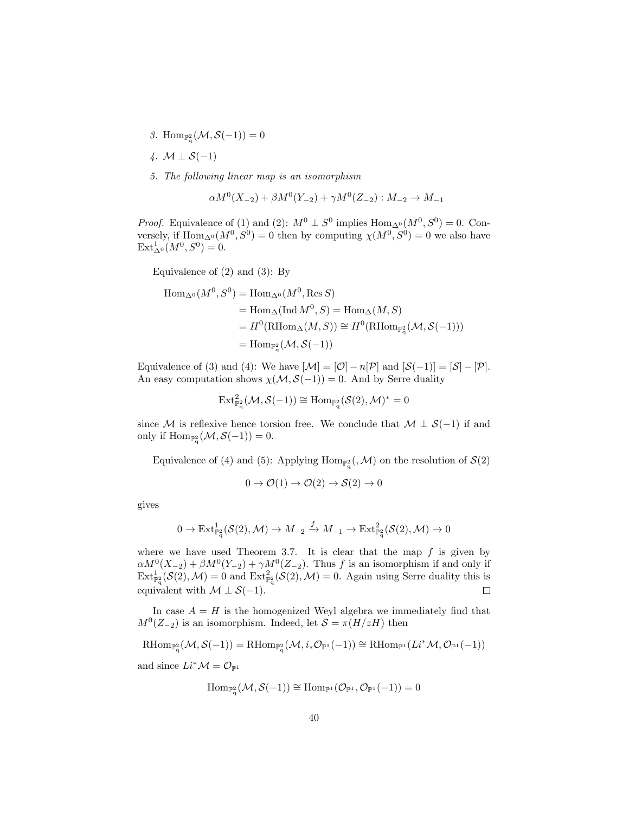- 3. Hom<sub> $\mathbb{P}^2_q(M, \mathcal{S}(-1)) = 0$ </sub>
- 4.  $M \perp S(-1)$
- 5. The following linear map is an isomorphism

$$
\alpha M^0(X_{-2}) + \beta M^0(Y_{-2}) + \gamma M^0(Z_{-2}) : M_{-2} \to M_{-1}
$$

*Proof.* Equivalence of (1) and (2):  $M^0 \perp S^0$  implies  $\text{Hom}_{\Delta^0}(M^0, S^0) = 0$ . Conversely, if  $\text{Hom}_{\Delta^0}(M^0, S^0) = 0$  then by computing  $\chi(M^0, S^0) = 0$  we also have  $Ext^1_{\Delta^0}(M^0, S^0) = 0.$ 

Equivalence of (2) and (3): By

$$
\begin{aligned} \text{Hom}_{\Delta^0}(M^0, S^0) &= \text{Hom}_{\Delta^0}(M^0, \text{Res } S) \\ &= \text{Hom}_{\Delta}(\text{Ind } M^0, S) = \text{Hom}_{\Delta}(M, S) \\ &= H^0(\text{RHom}_{\Delta}(M, S)) \cong H^0(\text{RHom}_{\mathbb{P}_q^2}(\mathcal{M}, \mathcal{S}(-1))) \\ &= \text{Hom}_{\mathbb{P}_q^2}(\mathcal{M}, \mathcal{S}(-1)) \end{aligned}
$$

Equivalence of (3) and (4): We have  $[\mathcal{M}] = [\mathcal{O}] - n[\mathcal{P}]$  and  $[\mathcal{S}(-1)] = [\mathcal{S}] - [\mathcal{P}]$ . An easy computation shows  $\chi(\mathcal{M}, \mathcal{S}(-1)) = 0$ . And by Serre duality

$$
\operatorname{Ext}\nolimits^2_{{\mathbb F}_q^2}({\mathcal M}, {\mathcal S}(-1)) \cong \operatorname{Hom}\nolimits_{{\mathbb F}_q^2}({\mathcal S}(2), {\mathcal M})^* = 0
$$

since M is reflexive hence torsion free. We conclude that  $M \perp S(-1)$  if and only if  $\text{Hom}_{\mathbb{P}^2_q}(\mathcal{M}, \mathcal{S}(-1)) = 0.$ 

Equivalence of (4) and (5): Applying  $\text{Hom}_{\mathbb{P}_q^2}(, \mathcal{M})$  on the resolution of  $\mathcal{S}(2)$ 

$$
0 \to \mathcal{O}(1) \to \mathcal{O}(2) \to \mathcal{S}(2) \to 0
$$

gives

$$
0 \to \mathrm{Ext}^1_{\mathbb{P}^2_\mathsf{q}}(\mathcal{S}(2),\mathcal{M}) \to M_{-2} \xrightarrow{f} M_{-1} \to \mathrm{Ext}^2_{\mathbb{P}^2_\mathsf{q}}(\mathcal{S}(2),\mathcal{M}) \to 0
$$

where we have used Theorem 3.7. It is clear that the map  $f$  is given by  $\alpha M^0(X_{-2}) + \beta M^0(Y_{-2}) + \gamma M^0(Z_{-2})$ . Thus f is an isomorphism if and only if  $\text{Ext}_{\mathbb{P}_q^2}^1(\mathcal{S}(2),\mathcal{M})=0$  and  $\text{Ext}_{\mathbb{P}_q^2}^2(\mathcal{S}(2),\mathcal{M})=0$ . Again using Serre duality this is equivalent with  $\mathcal{M} \perp \mathcal{S}(-1)$ .

In case  $A = H$  is the homogenized Weyl algebra we immediately find that  $M<sup>0</sup>(Z<sub>-2</sub>)$  is an isomorphism. Indeed, let  $S = \pi(H/zH)$  then

$$
\mathrm{RHom}_{\mathbb{P}^2_q}(\mathcal{M},\mathcal{S}(-1))=\mathrm{RHom}_{\mathbb{P}^2_q}(\mathcal{M},i_*\mathcal{O}_{\mathbb{P}^1}(-1))\cong\mathrm{RHom}_{\mathbb{P}^1}(Li^*\mathcal{M},\mathcal{O}_{\mathbb{P}^1}(-1))
$$

and since  $Li^*\mathcal{M} = \mathcal{O}_{\mathbb{P}^1}$ 

$$
\mathrm{Hom}_{\mathbb{P}^2_q}(\mathcal{M},\mathcal{S}(-1))\cong \mathrm{Hom}_{\mathbb{P}^1}(\mathcal{O}_{\mathbb{P}^1},\mathcal{O}_{\mathbb{P}^1}(-1))=0
$$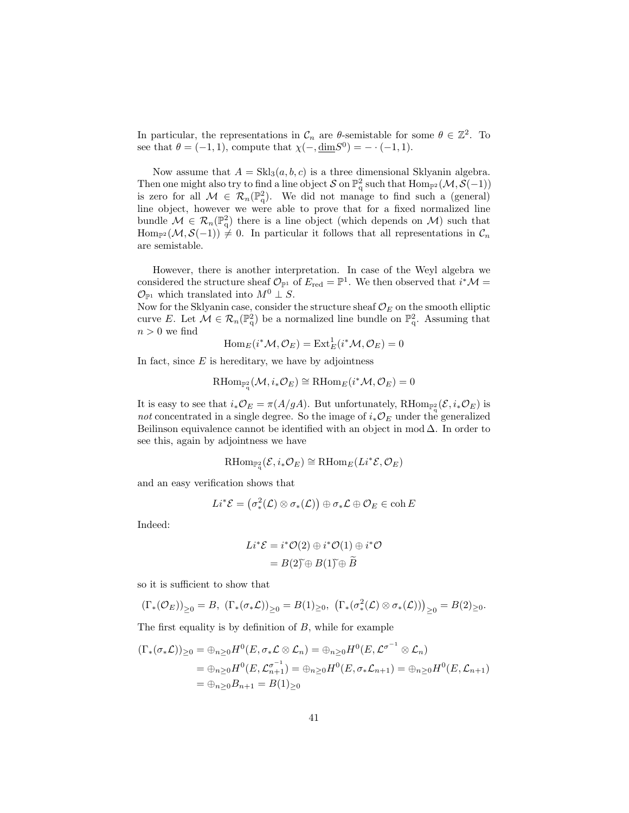In particular, the representations in  $\mathcal{C}_n$  are  $\theta$ -semistable for some  $\theta \in \mathbb{Z}^2$ . To see that  $\theta = (-1, 1)$ , compute that  $\chi(-, \underline{\text{dim}} S^0) = - \cdot (-1, 1)$ .

Now assume that  $A = Skl_3(a, b, c)$  is a three dimensional Sklyanin algebra. Then one might also try to find a line object S on  $\mathbb{P}^2_q$  such that  $\text{Hom}_{\mathbb{P}^2}(\mathcal{M}, \mathcal{S}(-1))$ is zero for all  $M \in \mathcal{R}_n(\mathbb{P}_q^2)$ . We did not manage to find such a (general) line object, however we were able to prove that for a fixed normalized line bundle  $\mathcal{M} \in \mathcal{R}_n(\mathbb{P}^2_q)$  there is a line object (which depends on  $\mathcal{M}$ ) such that Hom<sub>P2</sub> (M, S(-1))  $\neq$  0. In particular it follows that all representations in  $\mathcal{C}_n$ are semistable.

However, there is another interpretation. In case of the Weyl algebra we considered the structure sheaf  $\mathcal{O}_{\mathbb{P}^1}$  of  $E_{\text{red}} = \mathbb{P}^1$ . We then observed that  $i^*\mathcal{M} =$  $\mathcal{O}_{\mathbb{P}^1}$  which translated into  $M^0 \perp S$ .

Now for the Sklyanin case, consider the structure sheaf  $\mathcal{O}_E$  on the smooth elliptic curve E. Let  $\mathcal{M} \in \mathcal{R}_n(\mathbb{P}^2_q)$  be a normalized line bundle on  $\mathbb{P}^2_q$ . Assuming that  $n > 0$  we find

$$
\operatorname{Hom}_E(i^*\mathcal{M}, \mathcal{O}_E) = \operatorname{Ext}_E^1(i^*\mathcal{M}, \mathcal{O}_E) = 0
$$

In fact, since  $E$  is hereditary, we have by adjointness

$$
\mathrm{RHom}_{\mathbb{P}^2_{q}}(\mathcal{M}, i_*\mathcal{O}_E) \cong \mathrm{RHom}_E(i^*\mathcal{M}, \mathcal{O}_E) = 0
$$

It is easy to see that  $i_*\mathcal{O}_E = \pi(A/gA)$ . But unfortunately,  $\text{RHom}_{\mathbb{P}_q^2}(\mathcal{E}, i_*\mathcal{O}_E)$  is not concentrated in a single degree. So the image of  $i_*\mathcal{O}_E$  under the generalized Beilinson equivalence cannot be identified with an object in mod  $\Delta$ . In order to see this, again by adjointness we have

$$
\mathrm{RHom}_{\mathbb{P}^2_{q}}(\mathcal{E}, i_*\mathcal{O}_E) \cong \mathrm{RHom}_E(Li^*\mathcal{E}, \mathcal{O}_E)
$$

and an easy verification shows that

$$
Li^*{\mathcal E}=\left(\sigma_*^2({\mathcal L})\otimes\sigma_*( {\mathcal L})\right)\oplus\sigma_*{\mathcal L}\oplus{\mathcal O}_E\in\operatorname{coh} E
$$

Indeed:

$$
Li^*\mathcal{E} = i^*\mathcal{O}(2) \oplus i^*\mathcal{O}(1) \oplus i^*\mathcal{O}
$$

$$
= B(2)\oplus B(1)\oplus \widetilde{B}
$$

so it is sufficient to show that

$$
(\Gamma_*(\mathcal{O}_E))_{\geq 0} = B, \ (\Gamma_*(\sigma_* \mathcal{L}))_{\geq 0} = B(1)_{\geq 0}, \ (\Gamma_*(\sigma^2_*(\mathcal{L}) \otimes \sigma_*(\mathcal{L})))_{\geq 0} = B(2)_{\geq 0}.
$$

The first equality is by definition of  $B$ , while for example

$$
(\Gamma_*(\sigma_* \mathcal{L}))_{\geq 0} = \bigoplus_{n \geq 0} H^0(E, \sigma_* \mathcal{L} \otimes \mathcal{L}_n) = \bigoplus_{n \geq 0} H^0(E, \mathcal{L}^{\sigma^{-1}} \otimes \mathcal{L}_n)
$$
  
= 
$$
\bigoplus_{n \geq 0} H^0(E, \mathcal{L}^{\sigma^{-1}}_{n+1}) = \bigoplus_{n \geq 0} H^0(E, \sigma_* \mathcal{L}_{n+1}) = \bigoplus_{n \geq 0} H^0(E, \mathcal{L}_{n+1})
$$
  
= 
$$
\bigoplus_{n \geq 0} B_{n+1} = B(1)_{\geq 0}
$$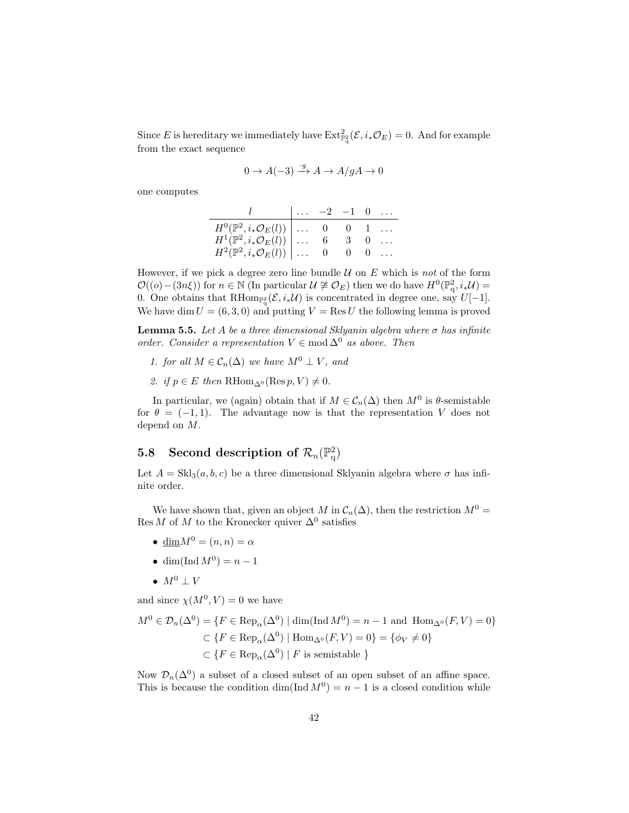Since E is hereditary we immediately have  $\text{Ext}_{\mathbb{P}_q^2}^2(\mathcal{E}, i_*\mathcal{O}_E) = 0$ . And for example from the exact sequence

$$
0 \to A(-3) \xrightarrow{g} A \to A/gA \to 0
$$

one computes

|                                                         | $\vert \ldots -2 \vert -1 \vert 0 \ldots$ |  |  |
|---------------------------------------------------------|-------------------------------------------|--|--|
| $H^0(\mathbb{P}^2, i_*\mathcal{O}_E(l)) \Big  \ldots 0$ |                                           |  |  |
| $H^1(\mathbb{P}^2, i_*\mathcal{O}_E(l))$ 6              |                                           |  |  |
| $H^2(\mathbb{P}^2, i_*\mathcal{O}_E(l)) \Big  \ldots 0$ |                                           |  |  |

However, if we pick a degree zero line bundle  $U$  on E which is not of the form  $\mathcal{O}((o)-(3n\xi))$  for  $n \in \mathbb{N}$  (In particular  $\mathcal{U} \not\cong \mathcal{O}_E$ ) then we do have  $H^0(\mathbb{P}_q^2, i_*\mathcal{U}) =$ 0. One obtains that  $\text{RHom}_{\mathbb{P}^2_q}(\mathcal{E}, i_*\mathcal{U})$  is concentrated in degree one, say  $U[-1]$ . We have dim  $U = (6, 3, 0)$  and putting  $V = \text{Res } U$  the following lemma is proved

**Lemma 5.5.** Let A be a three dimensional Sklyanin algebra where  $\sigma$  has infinite order. Consider a representation  $V \in \text{mod } \Delta^0$  as above. Then

- 1. for all  $M \in \mathcal{C}_n(\Delta)$  we have  $M^0 \perp V$ , and
- 2. if  $p \in E$  then  $\mathrm{RHom}_{\Delta^0}(\mathrm{Res}\, p, V) \neq 0$ .

In particular, we (again) obtain that if  $M \in \mathcal{C}_n(\Delta)$  then  $M^0$  is  $\theta$ -semistable for  $\theta = (-1, 1)$ . The advantage now is that the representation V does not depend on M.

# 5.8 Second description of  $\mathcal{R}_n(\mathbb{P}^2_q)$

Let  $A = Skl<sub>3</sub>(a, b, c)$  be a three dimensional Sklyanin algebra where  $\sigma$  has infinite order.

We have shown that, given an object M in  $C_n(\Delta)$ , then the restriction  $M^0 =$ Res M of M to the Kronecker quiver  $\Delta^0$  satisfies

- $\underline{\dim}M^0 = (n, n) = \alpha$
- dim(Ind  $M^0$ ) =  $n-1$
- $M^0 \perp V$

and since  $\chi(M^0, V) = 0$  we have

$$
M^{0} \in \mathcal{D}_{n}(\Delta^{0}) = \{ F \in \text{Rep}_{\alpha}(\Delta^{0}) \mid \dim(\text{Ind } M^{0}) = n - 1 \text{ and } \text{Hom}_{\Delta^{0}}(F, V) = 0 \}
$$
  

$$
\subset \{ F \in \text{Rep}_{\alpha}(\Delta^{0}) \mid \text{Hom}_{\Delta^{0}}(F, V) = 0 \} = \{ \phi_{V} \neq 0 \}
$$
  

$$
\subset \{ F \in \text{Rep}_{\alpha}(\Delta^{0}) \mid F \text{ is semistable } \}
$$

Now  $\mathcal{D}_n(\Delta^0)$  a subset of a closed subset of an open subset of an affine space. This is because the condition dim(Ind  $M^0$ ) =  $n-1$  is a closed condition while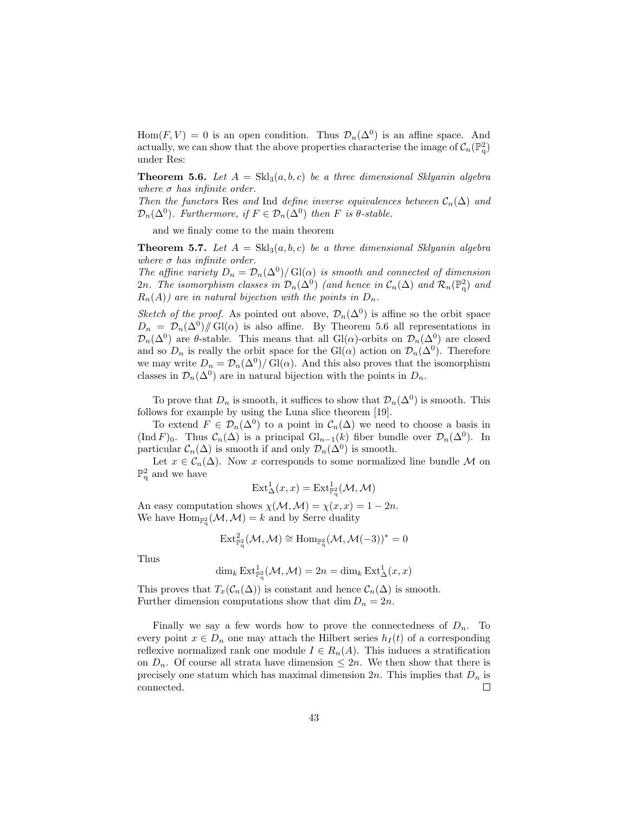Hom $(F, V) = 0$  is an open condition. Thus  $\mathcal{D}_n(\Delta^0)$  is an affine space. And actually, we can show that the above properties characterise the image of  $C_n(\mathbb{P}^2_q)$ under Res:

**Theorem 5.6.** Let  $A = \text{Skl}_3(a, b, c)$  be a three dimensional Sklyanin algebra where  $\sigma$  has infinite order.

Then the functors Res and Ind define inverse equivalences between  $\mathcal{C}_n(\Delta)$  and  $\mathcal{D}_n(\Delta^0)$ . Furthermore, if  $F \in \mathcal{D}_n(\Delta^0)$  then F is  $\theta$ -stable.

and we finaly come to the main theorem

**Theorem 5.7.** Let  $A = Skl_3(a, b, c)$  be a three dimensional Sklyanin algebra where  $\sigma$  has infinite order.

The affine variety  $D_n = \mathcal{D}_n(\Delta^0)/\mathrm{Gl}(\alpha)$  is smooth and connected of dimension 2n. The isomorphism classes in  $\mathcal{D}_n(\Delta^0)$  (and hence in  $\mathcal{C}_n(\Delta)$  and  $\mathcal{R}_n(\mathbb{P}^2_q)$  and  $R_n(A)$  are in natural bijection with the points in  $D_n$ .

Sketch of the proof. As pointed out above,  $\mathcal{D}_n(\Delta^0)$  is affine so the orbit space  $D_n = \mathcal{D}_n(\Delta^0)/\!\!/ \operatorname{Gl}(\alpha)$  is also affine. By Theorem 5.6 all representations in  $\mathcal{D}_n(\Delta^0)$  are  $\theta$ -stable. This means that all Gl( $\alpha$ )-orbits on  $\mathcal{D}_n(\Delta^0)$  are closed and so  $D_n$  is really the orbit space for the Gl( $\alpha$ ) action on  $\mathcal{D}_n(\Delta^0)$ . Therefore we may write  $D_n = \mathcal{D}_n(\Delta^0)/\mathrm{Gl}(\alpha)$ . And this also proves that the isomorphism classes in  $\mathcal{D}_n(\Delta^0)$  are in natural bijection with the points in  $D_n$ .

To prove that  $D_n$  is smooth, it suffices to show that  $\mathcal{D}_n(\Delta^0)$  is smooth. This follows for example by using the Luna slice theorem [19].

To extend  $F \in \mathcal{D}_n(\Delta^0)$  to a point in  $\mathcal{C}_n(\Delta)$  we need to choose a basis in  $(\text{Ind } F)_0$ . Thus  $\mathcal{C}_n(\Delta)$  is a principal  $\mathrm{Gl}_{n-1}(k)$  fiber bundle over  $\mathcal{D}_n(\Delta^0)$ . In particular  $C_n(\Delta)$  is smooth if and only  $\mathcal{D}_n(\Delta^0)$  is smooth.

Let  $x \in \mathcal{C}_n(\Delta)$ . Now x corresponds to some normalized line bundle M on  $\mathbb{P}^2_q$  and we have

$$
\operatorname{Ext}\nolimits_{\Delta}^{1}(x,x)=\operatorname{Ext}\nolimits_{\mathbb{P}_{q}^{2}}^{1}(\mathcal{M},\mathcal{M})
$$

An easy computation shows  $\chi(\mathcal{M}, \mathcal{M}) = \chi(x, x) = 1 - 2n$ . We have  $\text{Hom}_{\mathbb{P}^2_\mathbf{q}}(\mathcal{M},\mathcal{M})=k$  and by Serre duality

$$
\operatorname{Ext}\nolimits^2_{{\mathbb F}_q^2}({\mathcal M},{\mathcal M})\cong \operatorname{Hom}\nolimits_{{\mathbb F}_q^2}({\mathcal M},{\mathcal M}(-3))^*=0
$$

Thus

$$
\dim_k \operatorname{Ext}_{\mathbb{P}_q^2}^1(\mathcal{M},\mathcal{M}) = 2n = \dim_k \operatorname{Ext}_\Delta^1(x,x)
$$

This proves that  $T_x(\mathcal{C}_n(\Delta))$  is constant and hence  $\mathcal{C}_n(\Delta)$  is smooth. Further dimension computations show that dim  $D_n = 2n$ .

Finally we say a few words how to prove the connectedness of  $D_n$ . To every point  $x \in D_n$  one may attach the Hilbert series  $h_I(t)$  of a corresponding reflexive normalized rank one module  $I \in R_n(A)$ . This induces a stratification on  $D_n$ . Of course all strata have dimension  $\leq 2n$ . We then show that there is precisely one statum which has maximal dimension  $2n$ . This implies that  $D_n$  is connected.  $\Box$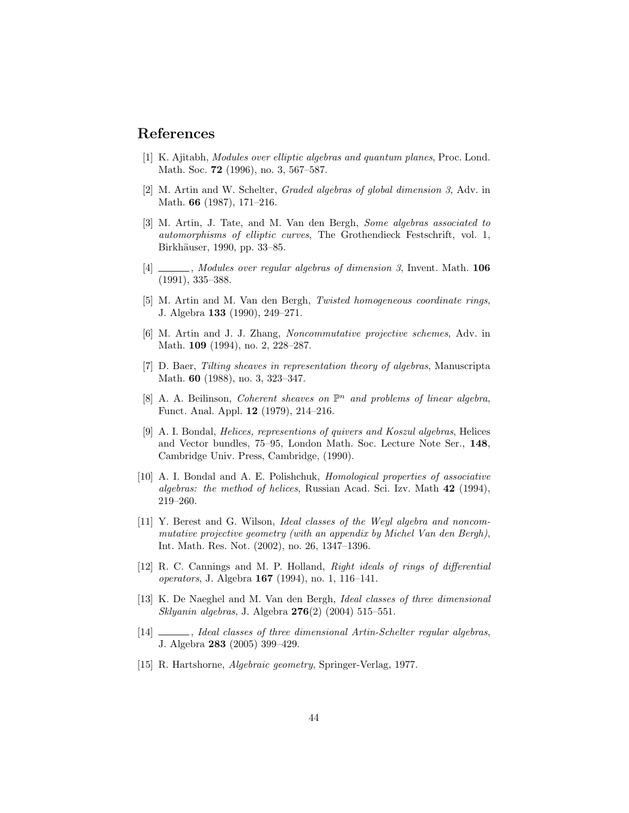# References

- [1] K. Ajitabh, Modules over elliptic algebras and quantum planes, Proc. Lond. Math. Soc. **72** (1996), no. 3, 567–587.
- [2] M. Artin and W. Schelter, Graded algebras of global dimension 3, Adv. in Math. 66 (1987), 171–216.
- [3] M. Artin, J. Tate, and M. Van den Bergh, Some algebras associated to automorphisms of elliptic curves, The Grothendieck Festschrift, vol. 1, Birkhäuser, 1990, pp. 33-85.
- $[4]$   $\_\_\_\_\_\$ , Modules over regular algebras of dimension 3, Invent. Math. 106 (1991), 335–388.
- [5] M. Artin and M. Van den Bergh, Twisted homogeneous coordinate rings, J. Algebra 133 (1990), 249–271.
- [6] M. Artin and J. J. Zhang, Noncommutative projective schemes, Adv. in Math. 109 (1994), no. 2, 228–287.
- [7] D. Baer, Tilting sheaves in representation theory of algebras, Manuscripta Math. 60 (1988), no. 3, 323–347.
- [8] A. A. Beilinson, Coherent sheaves on  $\mathbb{P}^n$  and problems of linear algebra, Funct. Anal. Appl. 12 (1979), 214–216.
- [9] A. I. Bondal, Helices, representions of quivers and Koszul algebras, Helices and Vector bundles, 75–95, London Math. Soc. Lecture Note Ser., 148, Cambridge Univ. Press, Cambridge, (1990).
- [10] A. I. Bondal and A. E. Polishchuk, Homological properties of associative algebras: the method of helices, Russian Acad. Sci. Izv. Math 42 (1994), 219–260.
- [11] Y. Berest and G. Wilson, Ideal classes of the Weyl algebra and noncommutative projective geometry (with an appendix by Michel Van den Bergh), Int. Math. Res. Not. (2002), no. 26, 1347–1396.
- [12] R. C. Cannings and M. P. Holland, Right ideals of rings of differential operators, J. Algebra 167 (1994), no. 1, 116–141.
- [13] K. De Naeghel and M. Van den Bergh, Ideal classes of three dimensional Sklyanin algebras, J. Algebra 276(2) (2004) 515–551.
- [14] \_\_\_\_\_\_, Ideal classes of three dimensional Artin-Schelter regular algebras, J. Algebra 283 (2005) 399–429.
- [15] R. Hartshorne, Algebraic geometry, Springer-Verlag, 1977.